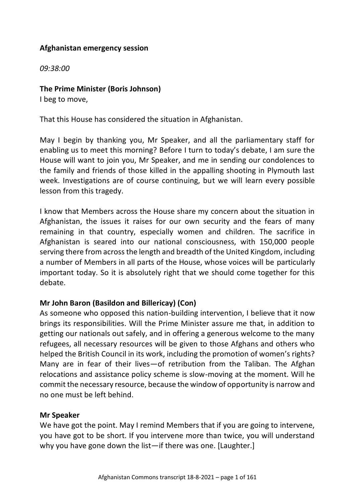### **Afghanistan emergency session**

*09:38:00*

#### **The Prime Minister (Boris Johnson)**

I beg to move,

That this House has considered the situation in Afghanistan.

May I begin by thanking you, Mr Speaker, and all the parliamentary staff for enabling us to meet this morning? Before I turn to today's debate, I am sure the House will want to join you, Mr Speaker, and me in sending our condolences to the family and friends of those killed in the appalling shooting in Plymouth last week. Investigations are of course continuing, but we will learn every possible lesson from this tragedy.

I know that Members across the House share my concern about the situation in Afghanistan, the issues it raises for our own security and the fears of many remaining in that country, especially women and children. The sacrifice in Afghanistan is seared into our national consciousness, with 150,000 people serving there from across the length and breadth of the United Kingdom, including a number of Members in all parts of the House, whose voices will be particularly important today. So it is absolutely right that we should come together for this debate.

### **Mr John Baron (Basildon and Billericay) (Con)**

As someone who opposed this nation-building intervention, I believe that it now brings its responsibilities. Will the Prime Minister assure me that, in addition to getting our nationals out safely, and in offering a generous welcome to the many refugees, all necessary resources will be given to those Afghans and others who helped the British Council in its work, including the promotion of women's rights? Many are in fear of their lives—of retribution from the Taliban. The Afghan relocations and assistance policy scheme is slow-moving at the moment. Will he commit the necessary resource, because the window of opportunity is narrow and no one must be left behind.

#### **Mr Speaker**

We have got the point. May I remind Members that if you are going to intervene, you have got to be short. If you intervene more than twice, you will understand why you have gone down the list—if there was one. [Laughter.]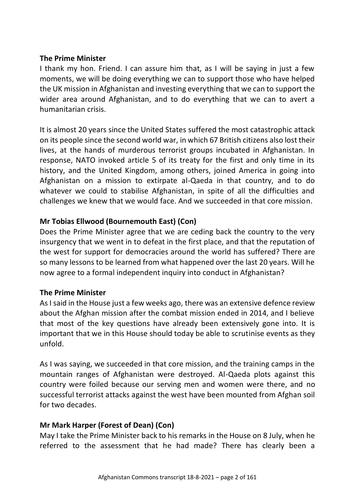#### **The Prime Minister**

I thank my hon. Friend. I can assure him that, as I will be saying in just a few moments, we will be doing everything we can to support those who have helped the UK mission in Afghanistan and investing everything that we can to support the wider area around Afghanistan, and to do everything that we can to avert a humanitarian crisis.

It is almost 20 years since the United States suffered the most catastrophic attack on its people since the second world war, in which 67 British citizens also lost their lives, at the hands of murderous terrorist groups incubated in Afghanistan. In response, NATO invoked article 5 of its treaty for the first and only time in its history, and the United Kingdom, among others, joined America in going into Afghanistan on a mission to extirpate al-Qaeda in that country, and to do whatever we could to stabilise Afghanistan, in spite of all the difficulties and challenges we knew that we would face. And we succeeded in that core mission.

# **Mr Tobias Ellwood (Bournemouth East) (Con)**

Does the Prime Minister agree that we are ceding back the country to the very insurgency that we went in to defeat in the first place, and that the reputation of the west for support for democracies around the world has suffered? There are so many lessons to be learned from what happened over the last 20 years. Will he now agree to a formal independent inquiry into conduct in Afghanistan?

### **The Prime Minister**

As I said in the House just a few weeks ago, there was an extensive defence review about the Afghan mission after the combat mission ended in 2014, and I believe that most of the key questions have already been extensively gone into. It is important that we in this House should today be able to scrutinise events as they unfold.

As I was saying, we succeeded in that core mission, and the training camps in the mountain ranges of Afghanistan were destroyed. Al-Qaeda plots against this country were foiled because our serving men and women were there, and no successful terrorist attacks against the west have been mounted from Afghan soil for two decades.

# **Mr Mark Harper (Forest of Dean) (Con)**

May I take the Prime Minister back to his remarks in the House on 8 July, when he referred to the assessment that he had made? There has clearly been a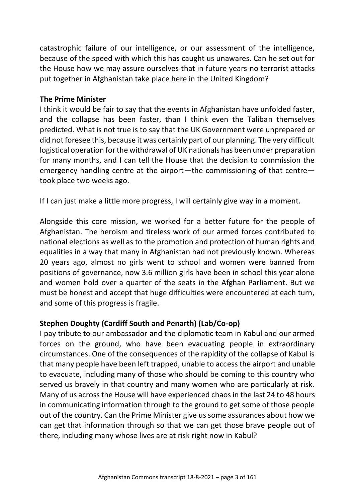catastrophic failure of our intelligence, or our assessment of the intelligence, because of the speed with which this has caught us unawares. Can he set out for the House how we may assure ourselves that in future years no terrorist attacks put together in Afghanistan take place here in the United Kingdom?

#### **The Prime Minister**

I think it would be fair to say that the events in Afghanistan have unfolded faster, and the collapse has been faster, than I think even the Taliban themselves predicted. What is not true is to say that the UK Government were unprepared or did not foresee this, because it was certainly part of our planning. The very difficult logistical operation for the withdrawal of UK nationals has been under preparation for many months, and I can tell the House that the decision to commission the emergency handling centre at the airport—the commissioning of that centre took place two weeks ago.

If I can just make a little more progress, I will certainly give way in a moment.

Alongside this core mission, we worked for a better future for the people of Afghanistan. The heroism and tireless work of our armed forces contributed to national elections as well as to the promotion and protection of human rights and equalities in a way that many in Afghanistan had not previously known. Whereas 20 years ago, almost no girls went to school and women were banned from positions of governance, now 3.6 million girls have been in school this year alone and women hold over a quarter of the seats in the Afghan Parliament. But we must be honest and accept that huge difficulties were encountered at each turn, and some of this progress is fragile.

# **Stephen Doughty (Cardiff South and Penarth) (Lab/Co-op)**

I pay tribute to our ambassador and the diplomatic team in Kabul and our armed forces on the ground, who have been evacuating people in extraordinary circumstances. One of the consequences of the rapidity of the collapse of Kabul is that many people have been left trapped, unable to access the airport and unable to evacuate, including many of those who should be coming to this country who served us bravely in that country and many women who are particularly at risk. Many of us across the House will have experienced chaos in the last 24 to 48 hours in communicating information through to the ground to get some of those people out of the country. Can the Prime Minister give us some assurances about how we can get that information through so that we can get those brave people out of there, including many whose lives are at risk right now in Kabul?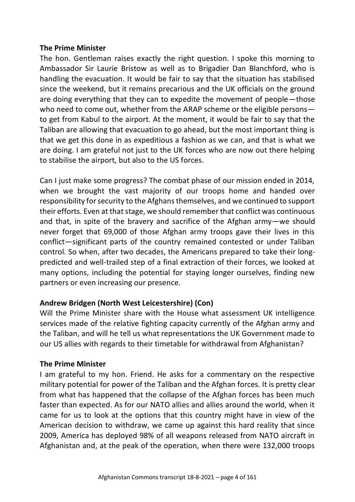#### **The Prime Minister**

The hon. Gentleman raises exactly the right question. I spoke this morning to Ambassador Sir Laurie Bristow as well as to Brigadier Dan Blanchford, who is handling the evacuation. It would be fair to say that the situation has stabilised since the weekend, but it remains precarious and the UK officials on the ground are doing everything that they can to expedite the movement of people—those who need to come out, whether from the ARAP scheme or the eligible persons to get from Kabul to the airport. At the moment, it would be fair to say that the Taliban are allowing that evacuation to go ahead, but the most important thing is that we get this done in as expeditious a fashion as we can, and that is what we are doing. I am grateful not just to the UK forces who are now out there helping to stabilise the airport, but also to the US forces.

Can I just make some progress? The combat phase of our mission ended in 2014, when we brought the vast majority of our troops home and handed over responsibility for security to the Afghans themselves, and we continued to support their efforts. Even at that stage, we should remember that conflict was continuous and that, in spite of the bravery and sacrifice of the Afghan army—we should never forget that 69,000 of those Afghan army troops gave their lives in this conflict—significant parts of the country remained contested or under Taliban control. So when, after two decades, the Americans prepared to take their longpredicted and well-trailed step of a final extraction of their forces, we looked at many options, including the potential for staying longer ourselves, finding new partners or even increasing our presence.

### **Andrew Bridgen (North West Leicestershire) (Con)**

Will the Prime Minister share with the House what assessment UK intelligence services made of the relative fighting capacity currently of the Afghan army and the Taliban, and will he tell us what representations the UK Government made to our US allies with regards to their timetable for withdrawal from Afghanistan?

### **The Prime Minister**

I am grateful to my hon. Friend. He asks for a commentary on the respective military potential for power of the Taliban and the Afghan forces. It is pretty clear from what has happened that the collapse of the Afghan forces has been much faster than expected. As for our NATO allies and allies around the world, when it came for us to look at the options that this country might have in view of the American decision to withdraw, we came up against this hard reality that since 2009, America has deployed 98% of all weapons released from NATO aircraft in Afghanistan and, at the peak of the operation, when there were 132,000 troops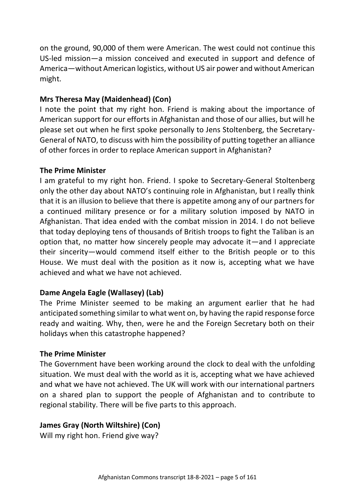on the ground, 90,000 of them were American. The west could not continue this US-led mission—a mission conceived and executed in support and defence of America—without American logistics, without US air power and without American might.

# **Mrs Theresa May (Maidenhead) (Con)**

I note the point that my right hon. Friend is making about the importance of American support for our efforts in Afghanistan and those of our allies, but will he please set out when he first spoke personally to Jens Stoltenberg, the Secretary-General of NATO, to discuss with him the possibility of putting together an alliance of other forces in order to replace American support in Afghanistan?

#### **The Prime Minister**

I am grateful to my right hon. Friend. I spoke to Secretary-General Stoltenberg only the other day about NATO's continuing role in Afghanistan, but I really think that it is an illusion to believe that there is appetite among any of our partners for a continued military presence or for a military solution imposed by NATO in Afghanistan. That idea ended with the combat mission in 2014. I do not believe that today deploying tens of thousands of British troops to fight the Taliban is an option that, no matter how sincerely people may advocate it—and I appreciate their sincerity—would commend itself either to the British people or to this House. We must deal with the position as it now is, accepting what we have achieved and what we have not achieved.

### **Dame Angela Eagle (Wallasey) (Lab)**

The Prime Minister seemed to be making an argument earlier that he had anticipated something similar to what went on, by having the rapid response force ready and waiting. Why, then, were he and the Foreign Secretary both on their holidays when this catastrophe happened?

### **The Prime Minister**

The Government have been working around the clock to deal with the unfolding situation. We must deal with the world as it is, accepting what we have achieved and what we have not achieved. The UK will work with our international partners on a shared plan to support the people of Afghanistan and to contribute to regional stability. There will be five parts to this approach.

### **James Gray (North Wiltshire) (Con)**

Will my right hon. Friend give way?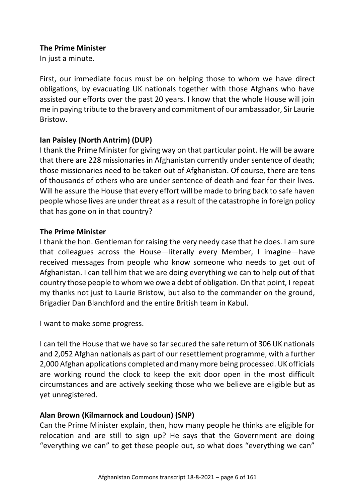#### **The Prime Minister**

In just a minute.

First, our immediate focus must be on helping those to whom we have direct obligations, by evacuating UK nationals together with those Afghans who have assisted our efforts over the past 20 years. I know that the whole House will join me in paying tribute to the bravery and commitment of our ambassador, Sir Laurie Bristow.

# **Ian Paisley (North Antrim) (DUP)**

I thank the Prime Minister for giving way on that particular point. He will be aware that there are 228 missionaries in Afghanistan currently under sentence of death; those missionaries need to be taken out of Afghanistan. Of course, there are tens of thousands of others who are under sentence of death and fear for their lives. Will he assure the House that every effort will be made to bring back to safe haven people whose lives are under threat as a result of the catastrophe in foreign policy that has gone on in that country?

### **The Prime Minister**

I thank the hon. Gentleman for raising the very needy case that he does. I am sure that colleagues across the House—literally every Member, I imagine—have received messages from people who know someone who needs to get out of Afghanistan. I can tell him that we are doing everything we can to help out of that country those people to whom we owe a debt of obligation. On that point, I repeat my thanks not just to Laurie Bristow, but also to the commander on the ground, Brigadier Dan Blanchford and the entire British team in Kabul.

I want to make some progress.

I can tell the House that we have so far secured the safe return of 306 UK nationals and 2,052 Afghan nationals as part of our resettlement programme, with a further 2,000 Afghan applications completed and many more being processed. UK officials are working round the clock to keep the exit door open in the most difficult circumstances and are actively seeking those who we believe are eligible but as yet unregistered.

### **Alan Brown (Kilmarnock and Loudoun) (SNP)**

Can the Prime Minister explain, then, how many people he thinks are eligible for relocation and are still to sign up? He says that the Government are doing "everything we can" to get these people out, so what does "everything we can"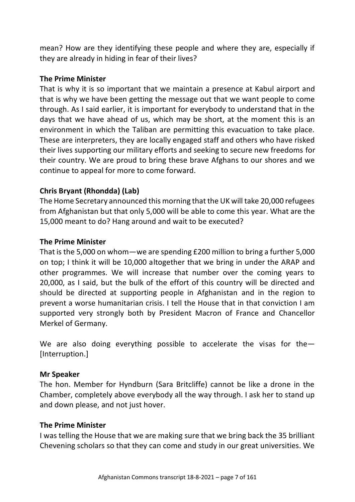mean? How are they identifying these people and where they are, especially if they are already in hiding in fear of their lives?

#### **The Prime Minister**

That is why it is so important that we maintain a presence at Kabul airport and that is why we have been getting the message out that we want people to come through. As I said earlier, it is important for everybody to understand that in the days that we have ahead of us, which may be short, at the moment this is an environment in which the Taliban are permitting this evacuation to take place. These are interpreters, they are locally engaged staff and others who have risked their lives supporting our military efforts and seeking to secure new freedoms for their country. We are proud to bring these brave Afghans to our shores and we continue to appeal for more to come forward.

# **Chris Bryant (Rhondda) (Lab)**

The Home Secretary announced this morning that the UK will take 20,000 refugees from Afghanistan but that only 5,000 will be able to come this year. What are the 15,000 meant to do? Hang around and wait to be executed?

#### **The Prime Minister**

That is the 5,000 on whom—we are spending £200 million to bring a further 5,000 on top; I think it will be 10,000 altogether that we bring in under the ARAP and other programmes. We will increase that number over the coming years to 20,000, as I said, but the bulk of the effort of this country will be directed and should be directed at supporting people in Afghanistan and in the region to prevent a worse humanitarian crisis. I tell the House that in that conviction I am supported very strongly both by President Macron of France and Chancellor Merkel of Germany.

We are also doing everything possible to accelerate the visas for the-[Interruption.]

### **Mr Speaker**

The hon. Member for Hyndburn (Sara Britcliffe) cannot be like a drone in the Chamber, completely above everybody all the way through. I ask her to stand up and down please, and not just hover.

#### **The Prime Minister**

I was telling the House that we are making sure that we bring back the 35 brilliant Chevening scholars so that they can come and study in our great universities. We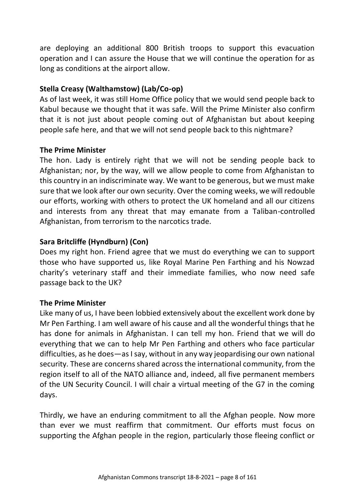are deploying an additional 800 British troops to support this evacuation operation and I can assure the House that we will continue the operation for as long as conditions at the airport allow.

### **Stella Creasy (Walthamstow) (Lab/Co-op)**

As of last week, it was still Home Office policy that we would send people back to Kabul because we thought that it was safe. Will the Prime Minister also confirm that it is not just about people coming out of Afghanistan but about keeping people safe here, and that we will not send people back to this nightmare?

# **The Prime Minister**

The hon. Lady is entirely right that we will not be sending people back to Afghanistan; nor, by the way, will we allow people to come from Afghanistan to this country in an indiscriminate way. We want to be generous, but we must make sure that we look after our own security. Over the coming weeks, we will redouble our efforts, working with others to protect the UK homeland and all our citizens and interests from any threat that may emanate from a Taliban-controlled Afghanistan, from terrorism to the narcotics trade.

# **Sara Britcliffe (Hyndburn) (Con)**

Does my right hon. Friend agree that we must do everything we can to support those who have supported us, like Royal Marine Pen Farthing and his Nowzad charity's veterinary staff and their immediate families, who now need safe passage back to the UK?

### **The Prime Minister**

Like many of us, I have been lobbied extensively about the excellent work done by Mr Pen Farthing. I am well aware of his cause and all the wonderful things that he has done for animals in Afghanistan. I can tell my hon. Friend that we will do everything that we can to help Mr Pen Farthing and others who face particular difficulties, as he does—as I say, without in any way jeopardising our own national security. These are concerns shared across the international community, from the region itself to all of the NATO alliance and, indeed, all five permanent members of the UN Security Council. I will chair a virtual meeting of the G7 in the coming days.

Thirdly, we have an enduring commitment to all the Afghan people. Now more than ever we must reaffirm that commitment. Our efforts must focus on supporting the Afghan people in the region, particularly those fleeing conflict or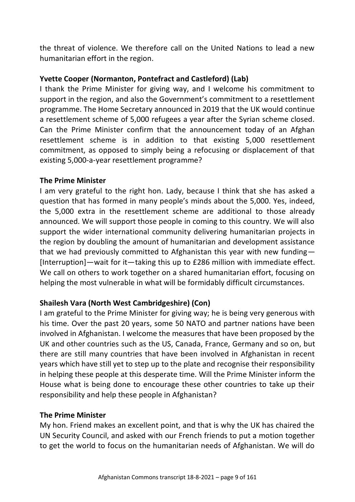the threat of violence. We therefore call on the United Nations to lead a new humanitarian effort in the region.

### **Yvette Cooper (Normanton, Pontefract and Castleford) (Lab)**

I thank the Prime Minister for giving way, and I welcome his commitment to support in the region, and also the Government's commitment to a resettlement programme. The Home Secretary announced in 2019 that the UK would continue a resettlement scheme of 5,000 refugees a year after the Syrian scheme closed. Can the Prime Minister confirm that the announcement today of an Afghan resettlement scheme is in addition to that existing 5,000 resettlement commitment, as opposed to simply being a refocusing or displacement of that existing 5,000-a-year resettlement programme?

#### **The Prime Minister**

I am very grateful to the right hon. Lady, because I think that she has asked a question that has formed in many people's minds about the 5,000. Yes, indeed, the 5,000 extra in the resettlement scheme are additional to those already announced. We will support those people in coming to this country. We will also support the wider international community delivering humanitarian projects in the region by doubling the amount of humanitarian and development assistance that we had previously committed to Afghanistan this year with new funding— [Interruption]—wait for it—taking this up to £286 million with immediate effect. We call on others to work together on a shared humanitarian effort, focusing on helping the most vulnerable in what will be formidably difficult circumstances.

### **Shailesh Vara (North West Cambridgeshire) (Con)**

I am grateful to the Prime Minister for giving way; he is being very generous with his time. Over the past 20 years, some 50 NATO and partner nations have been involved in Afghanistan. I welcome the measures that have been proposed by the UK and other countries such as the US, Canada, France, Germany and so on, but there are still many countries that have been involved in Afghanistan in recent years which have still yet to step up to the plate and recognise their responsibility in helping these people at this desperate time. Will the Prime Minister inform the House what is being done to encourage these other countries to take up their responsibility and help these people in Afghanistan?

### **The Prime Minister**

My hon. Friend makes an excellent point, and that is why the UK has chaired the UN Security Council, and asked with our French friends to put a motion together to get the world to focus on the humanitarian needs of Afghanistan. We will do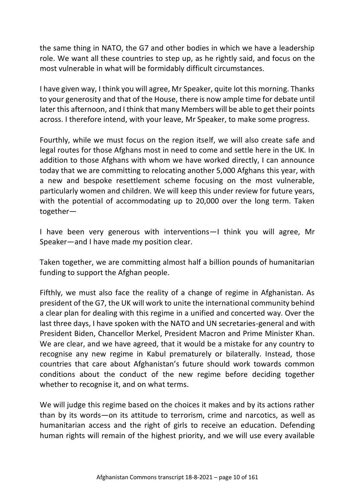the same thing in NATO, the G7 and other bodies in which we have a leadership role. We want all these countries to step up, as he rightly said, and focus on the most vulnerable in what will be formidably difficult circumstances.

I have given way, I think you will agree, Mr Speaker, quite lot this morning. Thanks to your generosity and that of the House, there is now ample time for debate until later this afternoon, and I think that many Members will be able to get their points across. I therefore intend, with your leave, Mr Speaker, to make some progress.

Fourthly, while we must focus on the region itself, we will also create safe and legal routes for those Afghans most in need to come and settle here in the UK. In addition to those Afghans with whom we have worked directly, I can announce today that we are committing to relocating another 5,000 Afghans this year, with a new and bespoke resettlement scheme focusing on the most vulnerable, particularly women and children. We will keep this under review for future years, with the potential of accommodating up to 20,000 over the long term. Taken together—

I have been very generous with interventions—I think you will agree, Mr Speaker—and I have made my position clear.

Taken together, we are committing almost half a billion pounds of humanitarian funding to support the Afghan people.

Fifthly, we must also face the reality of a change of regime in Afghanistan. As president of the G7, the UK will work to unite the international community behind a clear plan for dealing with this regime in a unified and concerted way. Over the last three days, I have spoken with the NATO and UN secretaries-general and with President Biden, Chancellor Merkel, President Macron and Prime Minister Khan. We are clear, and we have agreed, that it would be a mistake for any country to recognise any new regime in Kabul prematurely or bilaterally. Instead, those countries that care about Afghanistan's future should work towards common conditions about the conduct of the new regime before deciding together whether to recognise it, and on what terms.

We will judge this regime based on the choices it makes and by its actions rather than by its words—on its attitude to terrorism, crime and narcotics, as well as humanitarian access and the right of girls to receive an education. Defending human rights will remain of the highest priority, and we will use every available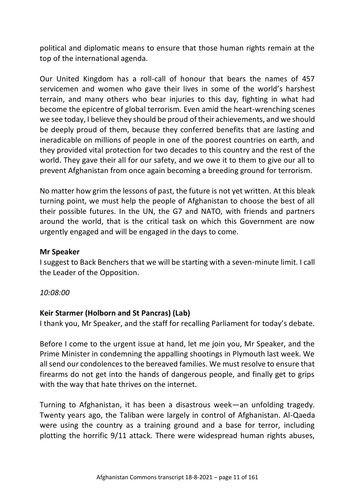political and diplomatic means to ensure that those human rights remain at the top of the international agenda.

Our United Kingdom has a roll-call of honour that bears the names of 457 servicemen and women who gave their lives in some of the world's harshest terrain, and many others who bear injuries to this day, fighting in what had become the epicentre of global terrorism. Even amid the heart-wrenching scenes we see today, I believe they should be proud of their achievements, and we should be deeply proud of them, because they conferred benefits that are lasting and ineradicable on millions of people in one of the poorest countries on earth, and they provided vital protection for two decades to this country and the rest of the world. They gave their all for our safety, and we owe it to them to give our all to prevent Afghanistan from once again becoming a breeding ground for terrorism.

No matter how grim the lessons of past, the future is not yet written. At this bleak turning point, we must help the people of Afghanistan to choose the best of all their possible futures. In the UN, the G7 and NATO, with friends and partners around the world, that is the critical task on which this Government are now urgently engaged and will be engaged in the days to come.

#### **Mr Speaker**

I suggest to Back Benchers that we will be starting with a seven-minute limit. I call the Leader of the Opposition.

*10:08:00*

### **Keir Starmer (Holborn and St Pancras) (Lab)**

I thank you, Mr Speaker, and the staff for recalling Parliament for today's debate.

Before I come to the urgent issue at hand, let me join you, Mr Speaker, and the Prime Minister in condemning the appalling shootings in Plymouth last week. We all send our condolences to the bereaved families. We must resolve to ensure that firearms do not get into the hands of dangerous people, and finally get to grips with the way that hate thrives on the internet.

Turning to Afghanistan, it has been a disastrous week—an unfolding tragedy. Twenty years ago, the Taliban were largely in control of Afghanistan. Al-Qaeda were using the country as a training ground and a base for terror, including plotting the horrific 9/11 attack. There were widespread human rights abuses,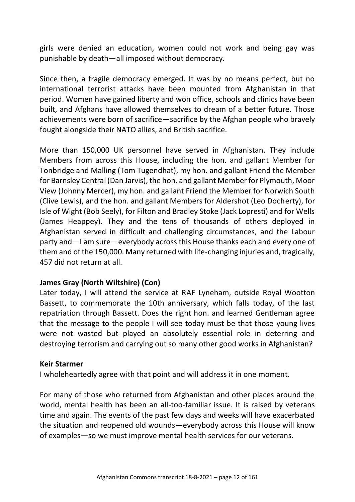girls were denied an education, women could not work and being gay was punishable by death—all imposed without democracy.

Since then, a fragile democracy emerged. It was by no means perfect, but no international terrorist attacks have been mounted from Afghanistan in that period. Women have gained liberty and won office, schools and clinics have been built, and Afghans have allowed themselves to dream of a better future. Those achievements were born of sacrifice—sacrifice by the Afghan people who bravely fought alongside their NATO allies, and British sacrifice.

More than 150,000 UK personnel have served in Afghanistan. They include Members from across this House, including the hon. and gallant Member for Tonbridge and Malling (Tom Tugendhat), my hon. and gallant Friend the Member for Barnsley Central (Dan Jarvis), the hon. and gallant Member for Plymouth, Moor View (Johnny Mercer), my hon. and gallant Friend the Member for Norwich South (Clive Lewis), and the hon. and gallant Members for Aldershot (Leo Docherty), for Isle of Wight (Bob Seely), for Filton and Bradley Stoke (Jack Lopresti) and for Wells (James Heappey). They and the tens of thousands of others deployed in Afghanistan served in difficult and challenging circumstances, and the Labour party and—I am sure—everybody across this House thanks each and every one of them and of the 150,000. Many returned with life-changing injuries and, tragically, 457 did not return at all.

#### **James Gray (North Wiltshire) (Con)**

Later today, I will attend the service at RAF Lyneham, outside Royal Wootton Bassett, to commemorate the 10th anniversary, which falls today, of the last repatriation through Bassett. Does the right hon. and learned Gentleman agree that the message to the people I will see today must be that those young lives were not wasted but played an absolutely essential role in deterring and destroying terrorism and carrying out so many other good works in Afghanistan?

#### **Keir Starmer**

I wholeheartedly agree with that point and will address it in one moment.

For many of those who returned from Afghanistan and other places around the world, mental health has been an all-too-familiar issue. It is raised by veterans time and again. The events of the past few days and weeks will have exacerbated the situation and reopened old wounds—everybody across this House will know of examples—so we must improve mental health services for our veterans.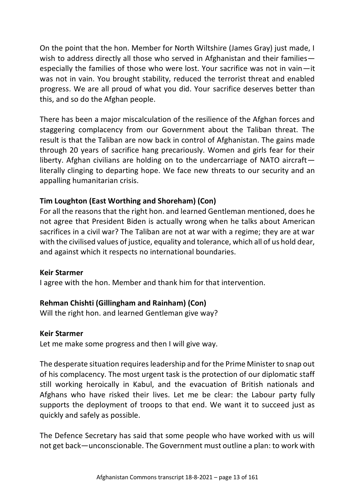On the point that the hon. Member for North Wiltshire (James Gray) just made, I wish to address directly all those who served in Afghanistan and their families especially the families of those who were lost. Your sacrifice was not in vain—it was not in vain. You brought stability, reduced the terrorist threat and enabled progress. We are all proud of what you did. Your sacrifice deserves better than this, and so do the Afghan people.

There has been a major miscalculation of the resilience of the Afghan forces and staggering complacency from our Government about the Taliban threat. The result is that the Taliban are now back in control of Afghanistan. The gains made through 20 years of sacrifice hang precariously. Women and girls fear for their liberty. Afghan civilians are holding on to the undercarriage of NATO aircraft literally clinging to departing hope. We face new threats to our security and an appalling humanitarian crisis.

# **Tim Loughton (East Worthing and Shoreham) (Con)**

For all the reasons that the right hon. and learned Gentleman mentioned, does he not agree that President Biden is actually wrong when he talks about American sacrifices in a civil war? The Taliban are not at war with a regime; they are at war with the civilised values of justice, equality and tolerance, which all of us hold dear, and against which it respects no international boundaries.

#### **Keir Starmer**

I agree with the hon. Member and thank him for that intervention.

### **Rehman Chishti (Gillingham and Rainham) (Con)**

Will the right hon. and learned Gentleman give way?

#### **Keir Starmer**

Let me make some progress and then I will give way.

The desperate situation requires leadership and for the Prime Minister to snap out of his complacency. The most urgent task is the protection of our diplomatic staff still working heroically in Kabul, and the evacuation of British nationals and Afghans who have risked their lives. Let me be clear: the Labour party fully supports the deployment of troops to that end. We want it to succeed just as quickly and safely as possible.

The Defence Secretary has said that some people who have worked with us will not get back—unconscionable. The Government must outline a plan: to work with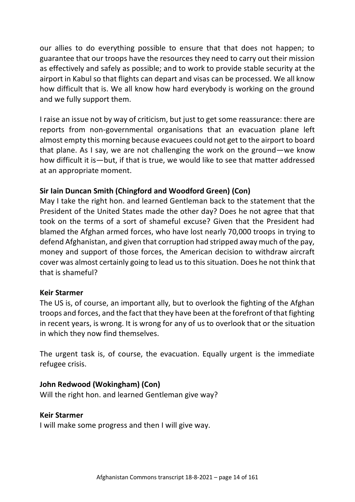our allies to do everything possible to ensure that that does not happen; to guarantee that our troops have the resources they need to carry out their mission as effectively and safely as possible; and to work to provide stable security at the airport in Kabul so that flights can depart and visas can be processed. We all know how difficult that is. We all know how hard everybody is working on the ground and we fully support them.

I raise an issue not by way of criticism, but just to get some reassurance: there are reports from non-governmental organisations that an evacuation plane left almost empty this morning because evacuees could not get to the airport to board that plane. As I say, we are not challenging the work on the ground—we know how difficult it is—but, if that is true, we would like to see that matter addressed at an appropriate moment.

# **Sir Iain Duncan Smith (Chingford and Woodford Green) (Con)**

May I take the right hon. and learned Gentleman back to the statement that the President of the United States made the other day? Does he not agree that that took on the terms of a sort of shameful excuse? Given that the President had blamed the Afghan armed forces, who have lost nearly 70,000 troops in trying to defend Afghanistan, and given that corruption had stripped away much of the pay, money and support of those forces, the American decision to withdraw aircraft cover was almost certainly going to lead us to this situation. Does he not think that that is shameful?

### **Keir Starmer**

The US is, of course, an important ally, but to overlook the fighting of the Afghan troops and forces, and the fact that they have been at the forefront of that fighting in recent years, is wrong. It is wrong for any of us to overlook that or the situation in which they now find themselves.

The urgent task is, of course, the evacuation. Equally urgent is the immediate refugee crisis.

### **John Redwood (Wokingham) (Con)**

Will the right hon. and learned Gentleman give way?

### **Keir Starmer**

I will make some progress and then I will give way.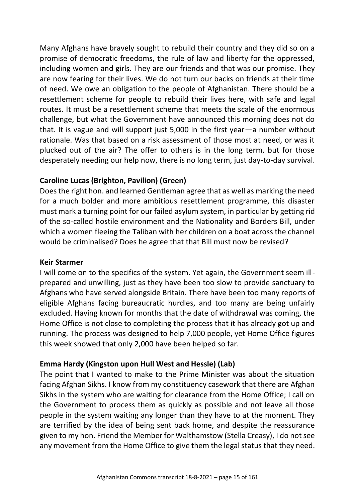Many Afghans have bravely sought to rebuild their country and they did so on a promise of democratic freedoms, the rule of law and liberty for the oppressed, including women and girls. They are our friends and that was our promise. They are now fearing for their lives. We do not turn our backs on friends at their time of need. We owe an obligation to the people of Afghanistan. There should be a resettlement scheme for people to rebuild their lives here, with safe and legal routes. It must be a resettlement scheme that meets the scale of the enormous challenge, but what the Government have announced this morning does not do that. It is vague and will support just 5,000 in the first year—a number without rationale. Was that based on a risk assessment of those most at need, or was it plucked out of the air? The offer to others is in the long term, but for those desperately needing our help now, there is no long term, just day-to-day survival.

# **Caroline Lucas (Brighton, Pavilion) (Green)**

Does the right hon. and learned Gentleman agree that as well as marking the need for a much bolder and more ambitious resettlement programme, this disaster must mark a turning point for our failed asylum system, in particular by getting rid of the so-called hostile environment and the Nationality and Borders Bill, under which a women fleeing the Taliban with her children on a boat across the channel would be criminalised? Does he agree that that Bill must now be revised?

### **Keir Starmer**

I will come on to the specifics of the system. Yet again, the Government seem illprepared and unwilling, just as they have been too slow to provide sanctuary to Afghans who have served alongside Britain. There have been too many reports of eligible Afghans facing bureaucratic hurdles, and too many are being unfairly excluded. Having known for months that the date of withdrawal was coming, the Home Office is not close to completing the process that it has already got up and running. The process was designed to help 7,000 people, yet Home Office figures this week showed that only 2,000 have been helped so far.

### **Emma Hardy (Kingston upon Hull West and Hessle) (Lab)**

The point that I wanted to make to the Prime Minister was about the situation facing Afghan Sikhs. I know from my constituency casework that there are Afghan Sikhs in the system who are waiting for clearance from the Home Office; I call on the Government to process them as quickly as possible and not leave all those people in the system waiting any longer than they have to at the moment. They are terrified by the idea of being sent back home, and despite the reassurance given to my hon. Friend the Member for Walthamstow (Stella Creasy), I do not see any movement from the Home Office to give them the legal status that they need.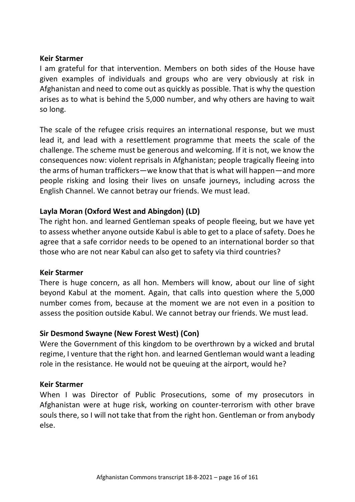#### **Keir Starmer**

I am grateful for that intervention. Members on both sides of the House have given examples of individuals and groups who are very obviously at risk in Afghanistan and need to come out as quickly as possible. That is why the question arises as to what is behind the 5,000 number, and why others are having to wait so long.

The scale of the refugee crisis requires an international response, but we must lead it, and lead with a resettlement programme that meets the scale of the challenge. The scheme must be generous and welcoming. If it is not, we know the consequences now: violent reprisals in Afghanistan; people tragically fleeing into the arms of human traffickers—we know that that is what will happen—and more people risking and losing their lives on unsafe journeys, including across the English Channel. We cannot betray our friends. We must lead.

### **Layla Moran (Oxford West and Abingdon) (LD)**

The right hon. and learned Gentleman speaks of people fleeing, but we have yet to assess whether anyone outside Kabul is able to get to a place of safety. Does he agree that a safe corridor needs to be opened to an international border so that those who are not near Kabul can also get to safety via third countries?

### **Keir Starmer**

There is huge concern, as all hon. Members will know, about our line of sight beyond Kabul at the moment. Again, that calls into question where the 5,000 number comes from, because at the moment we are not even in a position to assess the position outside Kabul. We cannot betray our friends. We must lead.

### **Sir Desmond Swayne (New Forest West) (Con)**

Were the Government of this kingdom to be overthrown by a wicked and brutal regime, I venture that the right hon. and learned Gentleman would want a leading role in the resistance. He would not be queuing at the airport, would he?

### **Keir Starmer**

When I was Director of Public Prosecutions, some of my prosecutors in Afghanistan were at huge risk, working on counter-terrorism with other brave souls there, so I will not take that from the right hon. Gentleman or from anybody else.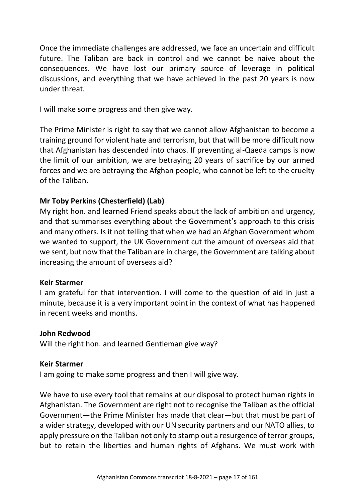Once the immediate challenges are addressed, we face an uncertain and difficult future. The Taliban are back in control and we cannot be naive about the consequences. We have lost our primary source of leverage in political discussions, and everything that we have achieved in the past 20 years is now under threat.

I will make some progress and then give way.

The Prime Minister is right to say that we cannot allow Afghanistan to become a training ground for violent hate and terrorism, but that will be more difficult now that Afghanistan has descended into chaos. If preventing al-Qaeda camps is now the limit of our ambition, we are betraying 20 years of sacrifice by our armed forces and we are betraying the Afghan people, who cannot be left to the cruelty of the Taliban.

### **Mr Toby Perkins (Chesterfield) (Lab)**

My right hon. and learned Friend speaks about the lack of ambition and urgency, and that summarises everything about the Government's approach to this crisis and many others. Is it not telling that when we had an Afghan Government whom we wanted to support, the UK Government cut the amount of overseas aid that we sent, but now that the Taliban are in charge, the Government are talking about increasing the amount of overseas aid?

#### **Keir Starmer**

I am grateful for that intervention. I will come to the question of aid in just a minute, because it is a very important point in the context of what has happened in recent weeks and months.

#### **John Redwood**

Will the right hon. and learned Gentleman give way?

#### **Keir Starmer**

I am going to make some progress and then I will give way.

We have to use every tool that remains at our disposal to protect human rights in Afghanistan. The Government are right not to recognise the Taliban as the official Government—the Prime Minister has made that clear—but that must be part of a wider strategy, developed with our UN security partners and our NATO allies, to apply pressure on the Taliban not only to stamp out a resurgence of terror groups, but to retain the liberties and human rights of Afghans. We must work with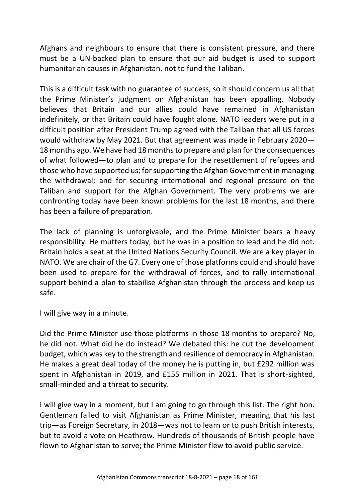Afghans and neighbours to ensure that there is consistent pressure, and there must be a UN-backed plan to ensure that our aid budget is used to support humanitarian causes in Afghanistan, not to fund the Taliban.

This is a difficult task with no guarantee of success, so it should concern us all that the Prime Minister's judgment on Afghanistan has been appalling. Nobody believes that Britain and our allies could have remained in Afghanistan indefinitely, or that Britain could have fought alone. NATO leaders were put in a difficult position after President Trump agreed with the Taliban that all US forces would withdraw by May 2021. But that agreement was made in February 2020— 18 months ago. We have had 18 months to prepare and plan for the consequences of what followed—to plan and to prepare for the resettlement of refugees and those who have supported us; for supporting the Afghan Government in managing the withdrawal; and for securing international and regional pressure on the Taliban and support for the Afghan Government. The very problems we are confronting today have been known problems for the last 18 months, and there has been a failure of preparation.

The lack of planning is unforgivable, and the Prime Minister bears a heavy responsibility. He mutters today, but he was in a position to lead and he did not. Britain holds a seat at the United Nations Security Council. We are a key player in NATO. We are chair of the G7. Every one of those platforms could and should have been used to prepare for the withdrawal of forces, and to rally international support behind a plan to stabilise Afghanistan through the process and keep us safe.

I will give way in a minute.

Did the Prime Minister use those platforms in those 18 months to prepare? No, he did not. What did he do instead? We debated this: he cut the development budget, which was key to the strength and resilience of democracy in Afghanistan. He makes a great deal today of the money he is putting in, but £292 million was spent in Afghanistan in 2019, and £155 million in 2021. That is short-sighted, small-minded and a threat to security.

I will give way in a moment, but I am going to go through this list. The right hon. Gentleman failed to visit Afghanistan as Prime Minister, meaning that his last trip—as Foreign Secretary, in 2018—was not to learn or to push British interests, but to avoid a vote on Heathrow. Hundreds of thousands of British people have flown to Afghanistan to serve; the Prime Minister flew to avoid public service.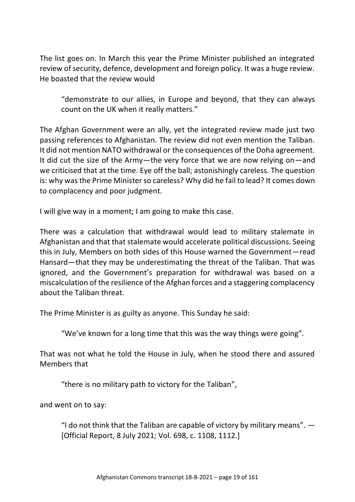The list goes on. In March this year the Prime Minister published an integrated review of security, defence, development and foreign policy. It was a huge review. He boasted that the review would

"demonstrate to our allies, in Europe and beyond, that they can always count on the UK when it really matters."

The Afghan Government were an ally, yet the integrated review made just two passing references to Afghanistan. The review did not even mention the Taliban. It did not mention NATO withdrawal or the consequences of the Doha agreement. It did cut the size of the Army—the very force that we are now relying on—and we criticised that at the time. Eye off the ball; astonishingly careless. The question is: why was the Prime Minister so careless? Why did he fail to lead? It comes down to complacency and poor judgment.

I will give way in a moment; I am going to make this case.

There was a calculation that withdrawal would lead to military stalemate in Afghanistan and that that stalemate would accelerate political discussions. Seeing this in July, Members on both sides of this House warned the Government—read Hansard—that they may be underestimating the threat of the Taliban. That was ignored, and the Government's preparation for withdrawal was based on a miscalculation of the resilience of the Afghan forces and a staggering complacency about the Taliban threat.

The Prime Minister is as guilty as anyone. This Sunday he said:

"We've known for a long time that this was the way things were going".

That was not what he told the House in July, when he stood there and assured Members that

"there is no military path to victory for the Taliban",

and went on to say:

"I do not think that the Taliban are capable of victory by military means".  $-$ [Official Report, 8 July 2021; Vol. 698, c. 1108, 1112.]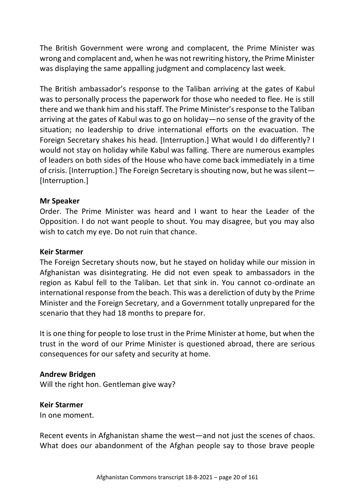The British Government were wrong and complacent, the Prime Minister was wrong and complacent and, when he was not rewriting history, the Prime Minister was displaying the same appalling judgment and complacency last week.

The British ambassador's response to the Taliban arriving at the gates of Kabul was to personally process the paperwork for those who needed to flee. He is still there and we thank him and his staff. The Prime Minister's response to the Taliban arriving at the gates of Kabul was to go on holiday—no sense of the gravity of the situation; no leadership to drive international efforts on the evacuation. The Foreign Secretary shakes his head. [Interruption.] What would I do differently? I would not stay on holiday while Kabul was falling. There are numerous examples of leaders on both sides of the House who have come back immediately in a time of crisis. [Interruption.] The Foreign Secretary is shouting now, but he was silent— [Interruption.]

#### **Mr Speaker**

Order. The Prime Minister was heard and I want to hear the Leader of the Opposition. I do not want people to shout. You may disagree, but you may also wish to catch my eye. Do not ruin that chance.

#### **Keir Starmer**

The Foreign Secretary shouts now, but he stayed on holiday while our mission in Afghanistan was disintegrating. He did not even speak to ambassadors in the region as Kabul fell to the Taliban. Let that sink in. You cannot co-ordinate an international response from the beach. This was a dereliction of duty by the Prime Minister and the Foreign Secretary, and a Government totally unprepared for the scenario that they had 18 months to prepare for.

It is one thing for people to lose trust in the Prime Minister at home, but when the trust in the word of our Prime Minister is questioned abroad, there are serious consequences for our safety and security at home.

#### **Andrew Bridgen**

Will the right hon. Gentleman give way?

### **Keir Starmer**

In one moment.

Recent events in Afghanistan shame the west—and not just the scenes of chaos. What does our abandonment of the Afghan people say to those brave people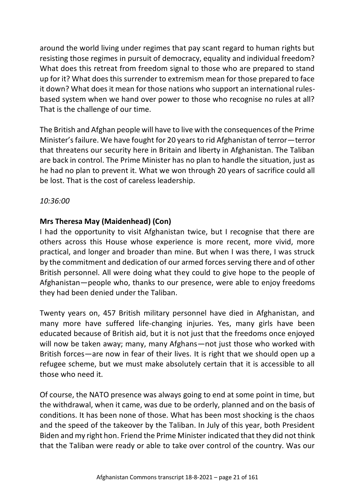around the world living under regimes that pay scant regard to human rights but resisting those regimes in pursuit of democracy, equality and individual freedom? What does this retreat from freedom signal to those who are prepared to stand up for it? What does this surrender to extremism mean for those prepared to face it down? What does it mean for those nations who support an international rulesbased system when we hand over power to those who recognise no rules at all? That is the challenge of our time.

The British and Afghan people will have to live with the consequences of the Prime Minister's failure. We have fought for 20 years to rid Afghanistan of terror—terror that threatens our security here in Britain and liberty in Afghanistan. The Taliban are back in control. The Prime Minister has no plan to handle the situation, just as he had no plan to prevent it. What we won through 20 years of sacrifice could all be lost. That is the cost of careless leadership.

### *10:36:00*

### **Mrs Theresa May (Maidenhead) (Con)**

I had the opportunity to visit Afghanistan twice, but I recognise that there are others across this House whose experience is more recent, more vivid, more practical, and longer and broader than mine. But when I was there, I was struck by the commitment and dedication of our armed forces serving there and of other British personnel. All were doing what they could to give hope to the people of Afghanistan—people who, thanks to our presence, were able to enjoy freedoms they had been denied under the Taliban.

Twenty years on, 457 British military personnel have died in Afghanistan, and many more have suffered life-changing injuries. Yes, many girls have been educated because of British aid, but it is not just that the freedoms once enjoyed will now be taken away; many, many Afghans—not just those who worked with British forces—are now in fear of their lives. It is right that we should open up a refugee scheme, but we must make absolutely certain that it is accessible to all those who need it.

Of course, the NATO presence was always going to end at some point in time, but the withdrawal, when it came, was due to be orderly, planned and on the basis of conditions. It has been none of those. What has been most shocking is the chaos and the speed of the takeover by the Taliban. In July of this year, both President Biden and my right hon. Friend the Prime Minister indicated that they did not think that the Taliban were ready or able to take over control of the country. Was our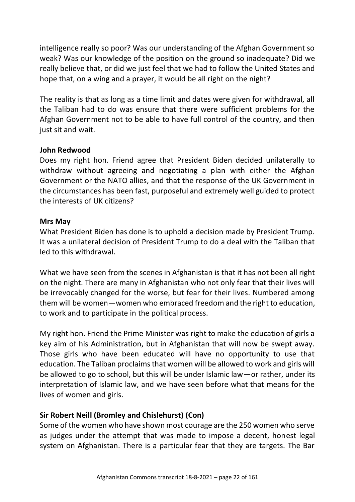intelligence really so poor? Was our understanding of the Afghan Government so weak? Was our knowledge of the position on the ground so inadequate? Did we really believe that, or did we just feel that we had to follow the United States and hope that, on a wing and a prayer, it would be all right on the night?

The reality is that as long as a time limit and dates were given for withdrawal, all the Taliban had to do was ensure that there were sufficient problems for the Afghan Government not to be able to have full control of the country, and then just sit and wait.

#### **John Redwood**

Does my right hon. Friend agree that President Biden decided unilaterally to withdraw without agreeing and negotiating a plan with either the Afghan Government or the NATO allies, and that the response of the UK Government in the circumstances has been fast, purposeful and extremely well guided to protect the interests of UK citizens?

#### **Mrs May**

What President Biden has done is to uphold a decision made by President Trump. It was a unilateral decision of President Trump to do a deal with the Taliban that led to this withdrawal.

What we have seen from the scenes in Afghanistan is that it has not been all right on the night. There are many in Afghanistan who not only fear that their lives will be irrevocably changed for the worse, but fear for their lives. Numbered among them will be women—women who embraced freedom and the right to education, to work and to participate in the political process.

My right hon. Friend the Prime Minister was right to make the education of girls a key aim of his Administration, but in Afghanistan that will now be swept away. Those girls who have been educated will have no opportunity to use that education. The Taliban proclaims that women will be allowed to work and girls will be allowed to go to school, but this will be under Islamic law—or rather, under its interpretation of Islamic law, and we have seen before what that means for the lives of women and girls.

### **Sir Robert Neill (Bromley and Chislehurst) (Con)**

Some of the women who have shown most courage are the 250 women who serve as judges under the attempt that was made to impose a decent, honest legal system on Afghanistan. There is a particular fear that they are targets. The Bar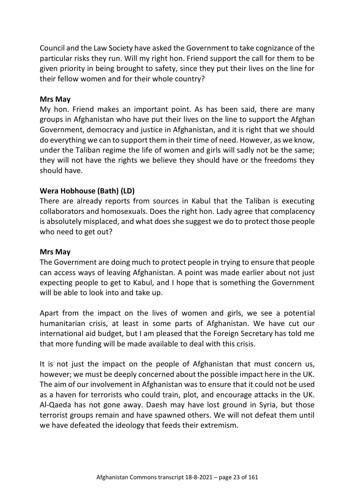Council and the Law Society have asked the Government to take cognizance of the particular risks they run. Will my right hon. Friend support the call for them to be given priority in being brought to safety, since they put their lives on the line for their fellow women and for their whole country?

#### **Mrs May**

My hon. Friend makes an important point. As has been said, there are many groups in Afghanistan who have put their lives on the line to support the Afghan Government, democracy and justice in Afghanistan, and it is right that we should do everything we can to support them in their time of need. However, as we know, under the Taliban regime the life of women and girls will sadly not be the same; they will not have the rights we believe they should have or the freedoms they should have.

### **Wera Hobhouse (Bath) (LD)**

There are already reports from sources in Kabul that the Taliban is executing collaborators and homosexuals. Does the right hon. Lady agree that complacency is absolutely misplaced, and what does she suggest we do to protect those people who need to get out?

### **Mrs May**

The Government are doing much to protect people in trying to ensure that people can access ways of leaving Afghanistan. A point was made earlier about not just expecting people to get to Kabul, and I hope that is something the Government will be able to look into and take up.

Apart from the impact on the lives of women and girls, we see a potential humanitarian crisis, at least in some parts of Afghanistan. We have cut our international aid budget, but I am pleased that the Foreign Secretary has told me that more funding will be made available to deal with this crisis.

It is not just the impact on the people of Afghanistan that must concern us, however; we must be deeply concerned about the possible impact here in the UK. The aim of our involvement in Afghanistan was to ensure that it could not be used as a haven for terrorists who could train, plot, and encourage attacks in the UK. Al-Qaeda has not gone away. Daesh may have lost ground in Syria, but those terrorist groups remain and have spawned others. We will not defeat them until we have defeated the ideology that feeds their extremism.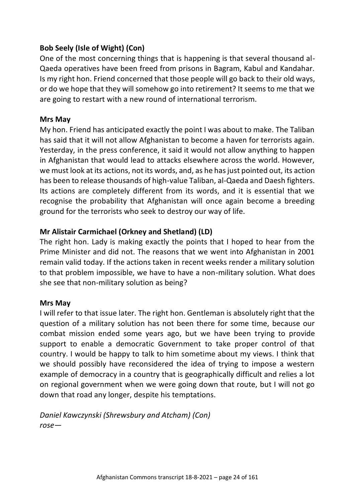# **Bob Seely (Isle of Wight) (Con)**

One of the most concerning things that is happening is that several thousand al-Qaeda operatives have been freed from prisons in Bagram, Kabul and Kandahar. Is my right hon. Friend concerned that those people will go back to their old ways, or do we hope that they will somehow go into retirement? It seems to me that we are going to restart with a new round of international terrorism.

#### **Mrs May**

My hon. Friend has anticipated exactly the point I was about to make. The Taliban has said that it will not allow Afghanistan to become a haven for terrorists again. Yesterday, in the press conference, it said it would not allow anything to happen in Afghanistan that would lead to attacks elsewhere across the world. However, we must look at its actions, not its words, and, as he has just pointed out, its action has been to release thousands of high-value Taliban, al-Qaeda and Daesh fighters. Its actions are completely different from its words, and it is essential that we recognise the probability that Afghanistan will once again become a breeding ground for the terrorists who seek to destroy our way of life.

### **Mr Alistair Carmichael (Orkney and Shetland) (LD)**

The right hon. Lady is making exactly the points that I hoped to hear from the Prime Minister and did not. The reasons that we went into Afghanistan in 2001 remain valid today. If the actions taken in recent weeks render a military solution to that problem impossible, we have to have a non-military solution. What does she see that non-military solution as being?

#### **Mrs May**

I will refer to that issue later. The right hon. Gentleman is absolutely right that the question of a military solution has not been there for some time, because our combat mission ended some years ago, but we have been trying to provide support to enable a democratic Government to take proper control of that country. I would be happy to talk to him sometime about my views. I think that we should possibly have reconsidered the idea of trying to impose a western example of democracy in a country that is geographically difficult and relies a lot on regional government when we were going down that route, but I will not go down that road any longer, despite his temptations.

*Daniel Kawczynski (Shrewsbury and Atcham) (Con) rose—*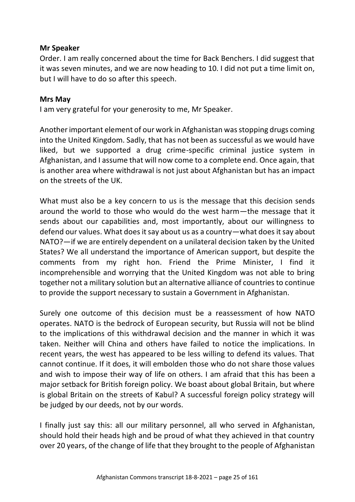#### **Mr Speaker**

Order. I am really concerned about the time for Back Benchers. I did suggest that it was seven minutes, and we are now heading to 10. I did not put a time limit on, but I will have to do so after this speech.

#### **Mrs May**

I am very grateful for your generosity to me, Mr Speaker.

Another important element of our work in Afghanistan was stopping drugs coming into the United Kingdom. Sadly, that has not been as successful as we would have liked, but we supported a drug crime-specific criminal justice system in Afghanistan, and I assume that will now come to a complete end. Once again, that is another area where withdrawal is not just about Afghanistan but has an impact on the streets of the UK.

What must also be a key concern to us is the message that this decision sends around the world to those who would do the west harm—the message that it sends about our capabilities and, most importantly, about our willingness to defend our values. What does it say about us as a country—what does it say about NATO?—if we are entirely dependent on a unilateral decision taken by the United States? We all understand the importance of American support, but despite the comments from my right hon. Friend the Prime Minister, I find it incomprehensible and worrying that the United Kingdom was not able to bring together not a military solution but an alternative alliance of countries to continue to provide the support necessary to sustain a Government in Afghanistan.

Surely one outcome of this decision must be a reassessment of how NATO operates. NATO is the bedrock of European security, but Russia will not be blind to the implications of this withdrawal decision and the manner in which it was taken. Neither will China and others have failed to notice the implications. In recent years, the west has appeared to be less willing to defend its values. That cannot continue. If it does, it will embolden those who do not share those values and wish to impose their way of life on others. I am afraid that this has been a major setback for British foreign policy. We boast about global Britain, but where is global Britain on the streets of Kabul? A successful foreign policy strategy will be judged by our deeds, not by our words.

I finally just say this: all our military personnel, all who served in Afghanistan, should hold their heads high and be proud of what they achieved in that country over 20 years, of the change of life that they brought to the people of Afghanistan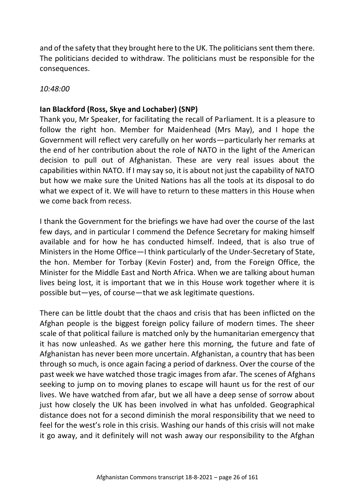and of the safety that they brought here to the UK. The politicians sent them there. The politicians decided to withdraw. The politicians must be responsible for the consequences.

*10:48:00*

# **Ian Blackford (Ross, Skye and Lochaber) (SNP)**

Thank you, Mr Speaker, for facilitating the recall of Parliament. It is a pleasure to follow the right hon. Member for Maidenhead (Mrs May), and I hope the Government will reflect very carefully on her words—particularly her remarks at the end of her contribution about the role of NATO in the light of the American decision to pull out of Afghanistan. These are very real issues about the capabilities within NATO. If I may say so, it is about not just the capability of NATO but how we make sure the United Nations has all the tools at its disposal to do what we expect of it. We will have to return to these matters in this House when we come back from recess.

I thank the Government for the briefings we have had over the course of the last few days, and in particular I commend the Defence Secretary for making himself available and for how he has conducted himself. Indeed, that is also true of Ministers in the Home Office—I think particularly of the Under-Secretary of State, the hon. Member for Torbay (Kevin Foster) and, from the Foreign Office, the Minister for the Middle East and North Africa. When we are talking about human lives being lost, it is important that we in this House work together where it is possible but—yes, of course—that we ask legitimate questions.

There can be little doubt that the chaos and crisis that has been inflicted on the Afghan people is the biggest foreign policy failure of modern times. The sheer scale of that political failure is matched only by the humanitarian emergency that it has now unleashed. As we gather here this morning, the future and fate of Afghanistan has never been more uncertain. Afghanistan, a country that has been through so much, is once again facing a period of darkness. Over the course of the past week we have watched those tragic images from afar. The scenes of Afghans seeking to jump on to moving planes to escape will haunt us for the rest of our lives. We have watched from afar, but we all have a deep sense of sorrow about just how closely the UK has been involved in what has unfolded. Geographical distance does not for a second diminish the moral responsibility that we need to feel for the west's role in this crisis. Washing our hands of this crisis will not make it go away, and it definitely will not wash away our responsibility to the Afghan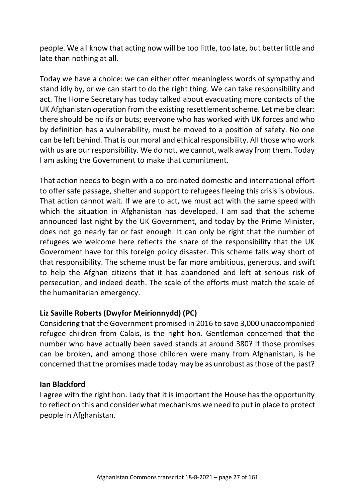people. We all know that acting now will be too little, too late, but better little and late than nothing at all.

Today we have a choice: we can either offer meaningless words of sympathy and stand idly by, or we can start to do the right thing. We can take responsibility and act. The Home Secretary has today talked about evacuating more contacts of the UK Afghanistan operation from the existing resettlement scheme. Let me be clear: there should be no ifs or buts; everyone who has worked with UK forces and who by definition has a vulnerability, must be moved to a position of safety. No one can be left behind. That is our moral and ethical responsibility. All those who work with us are our responsibility. We do not, we cannot, walk away from them. Today I am asking the Government to make that commitment.

That action needs to begin with a co-ordinated domestic and international effort to offer safe passage, shelter and support to refugees fleeing this crisis is obvious. That action cannot wait. If we are to act, we must act with the same speed with which the situation in Afghanistan has developed. I am sad that the scheme announced last night by the UK Government, and today by the Prime Minister, does not go nearly far or fast enough. It can only be right that the number of refugees we welcome here reflects the share of the responsibility that the UK Government have for this foreign policy disaster. This scheme falls way short of that responsibility. The scheme must be far more ambitious, generous, and swift to help the Afghan citizens that it has abandoned and left at serious risk of persecution, and indeed death. The scale of the efforts must match the scale of the humanitarian emergency.

### **Liz Saville Roberts (Dwyfor Meirionnydd) (PC)**

Considering that the Government promised in 2016 to save 3,000 unaccompanied refugee children from Calais, is the right hon. Gentleman concerned that the number who have actually been saved stands at around 380? If those promises can be broken, and among those children were many from Afghanistan, is he concerned that the promises made today may be as unrobust as those of the past?

#### **Ian Blackford**

I agree with the right hon. Lady that it is important the House has the opportunity to reflect on this and consider what mechanisms we need to put in place to protect people in Afghanistan.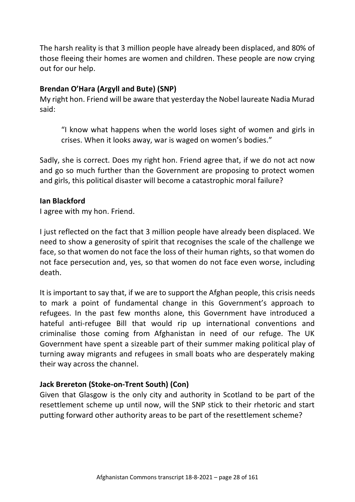The harsh reality is that 3 million people have already been displaced, and 80% of those fleeing their homes are women and children. These people are now crying out for our help.

### **Brendan O'Hara (Argyll and Bute) (SNP)**

My right hon. Friend will be aware that yesterday the Nobel laureate Nadia Murad said:

"I know what happens when the world loses sight of women and girls in crises. When it looks away, war is waged on women's bodies."

Sadly, she is correct. Does my right hon. Friend agree that, if we do not act now and go so much further than the Government are proposing to protect women and girls, this political disaster will become a catastrophic moral failure?

#### **Ian Blackford**

I agree with my hon. Friend.

I just reflected on the fact that 3 million people have already been displaced. We need to show a generosity of spirit that recognises the scale of the challenge we face, so that women do not face the loss of their human rights, so that women do not face persecution and, yes, so that women do not face even worse, including death.

It is important to say that, if we are to support the Afghan people, this crisis needs to mark a point of fundamental change in this Government's approach to refugees. In the past few months alone, this Government have introduced a hateful anti-refugee Bill that would rip up international conventions and criminalise those coming from Afghanistan in need of our refuge. The UK Government have spent a sizeable part of their summer making political play of turning away migrants and refugees in small boats who are desperately making their way across the channel.

### **Jack Brereton (Stoke-on-Trent South) (Con)**

Given that Glasgow is the only city and authority in Scotland to be part of the resettlement scheme up until now, will the SNP stick to their rhetoric and start putting forward other authority areas to be part of the resettlement scheme?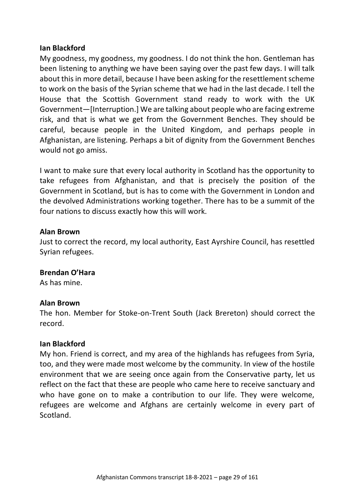#### **Ian Blackford**

My goodness, my goodness, my goodness. I do not think the hon. Gentleman has been listening to anything we have been saying over the past few days. I will talk about this in more detail, because I have been asking for the resettlement scheme to work on the basis of the Syrian scheme that we had in the last decade. I tell the House that the Scottish Government stand ready to work with the UK Government—[Interruption.] We are talking about people who are facing extreme risk, and that is what we get from the Government Benches. They should be careful, because people in the United Kingdom, and perhaps people in Afghanistan, are listening. Perhaps a bit of dignity from the Government Benches would not go amiss.

I want to make sure that every local authority in Scotland has the opportunity to take refugees from Afghanistan, and that is precisely the position of the Government in Scotland, but is has to come with the Government in London and the devolved Administrations working together. There has to be a summit of the four nations to discuss exactly how this will work.

#### **Alan Brown**

Just to correct the record, my local authority, East Ayrshire Council, has resettled Syrian refugees.

#### **Brendan O'Hara**

As has mine.

#### **Alan Brown**

The hon. Member for Stoke-on-Trent South (Jack Brereton) should correct the record.

#### **Ian Blackford**

My hon. Friend is correct, and my area of the highlands has refugees from Syria, too, and they were made most welcome by the community. In view of the hostile environment that we are seeing once again from the Conservative party, let us reflect on the fact that these are people who came here to receive sanctuary and who have gone on to make a contribution to our life. They were welcome, refugees are welcome and Afghans are certainly welcome in every part of Scotland.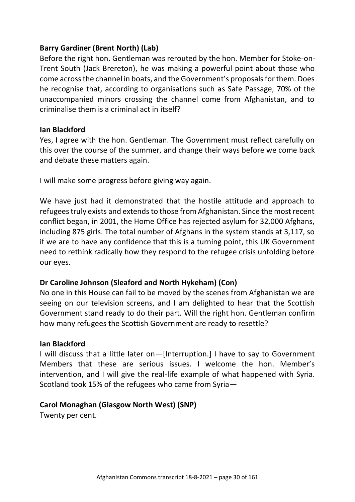# **Barry Gardiner (Brent North) (Lab)**

Before the right hon. Gentleman was rerouted by the hon. Member for Stoke-on-Trent South (Jack Brereton), he was making a powerful point about those who come across the channel in boats, and the Government's proposals for them. Does he recognise that, according to organisations such as Safe Passage, 70% of the unaccompanied minors crossing the channel come from Afghanistan, and to criminalise them is a criminal act in itself?

#### **Ian Blackford**

Yes, I agree with the hon. Gentleman. The Government must reflect carefully on this over the course of the summer, and change their ways before we come back and debate these matters again.

I will make some progress before giving way again.

We have just had it demonstrated that the hostile attitude and approach to refugees truly exists and extends to those from Afghanistan. Since the most recent conflict began, in 2001, the Home Office has rejected asylum for 32,000 Afghans, including 875 girls. The total number of Afghans in the system stands at 3,117, so if we are to have any confidence that this is a turning point, this UK Government need to rethink radically how they respond to the refugee crisis unfolding before our eyes.

### **Dr Caroline Johnson (Sleaford and North Hykeham) (Con)**

No one in this House can fail to be moved by the scenes from Afghanistan we are seeing on our television screens, and I am delighted to hear that the Scottish Government stand ready to do their part. Will the right hon. Gentleman confirm how many refugees the Scottish Government are ready to resettle?

#### **Ian Blackford**

I will discuss that a little later on—[Interruption.] I have to say to Government Members that these are serious issues. I welcome the hon. Member's intervention, and I will give the real-life example of what happened with Syria. Scotland took 15% of the refugees who came from Syria—

### **Carol Monaghan (Glasgow North West) (SNP)**

Twenty per cent.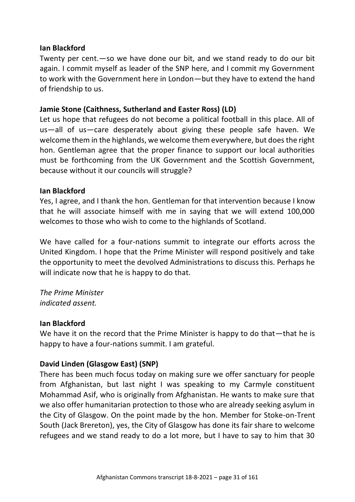#### **Ian Blackford**

Twenty per cent.—so we have done our bit, and we stand ready to do our bit again. I commit myself as leader of the SNP here, and I commit my Government to work with the Government here in London—but they have to extend the hand of friendship to us.

### **Jamie Stone (Caithness, Sutherland and Easter Ross) (LD)**

Let us hope that refugees do not become a political football in this place. All of us—all of us—care desperately about giving these people safe haven. We welcome them in the highlands, we welcome them everywhere, but does the right hon. Gentleman agree that the proper finance to support our local authorities must be forthcoming from the UK Government and the Scottish Government, because without it our councils will struggle?

#### **Ian Blackford**

Yes, I agree, and I thank the hon. Gentleman for that intervention because I know that he will associate himself with me in saying that we will extend 100,000 welcomes to those who wish to come to the highlands of Scotland.

We have called for a four-nations summit to integrate our efforts across the United Kingdom. I hope that the Prime Minister will respond positively and take the opportunity to meet the devolved Administrations to discuss this. Perhaps he will indicate now that he is happy to do that.

*The Prime Minister indicated assent.*

#### **Ian Blackford**

We have it on the record that the Prime Minister is happy to do that—that he is happy to have a four-nations summit. I am grateful.

### **David Linden (Glasgow East) (SNP)**

There has been much focus today on making sure we offer sanctuary for people from Afghanistan, but last night I was speaking to my Carmyle constituent Mohammad Asif, who is originally from Afghanistan. He wants to make sure that we also offer humanitarian protection to those who are already seeking asylum in the City of Glasgow. On the point made by the hon. Member for Stoke-on-Trent South (Jack Brereton), yes, the City of Glasgow has done its fair share to welcome refugees and we stand ready to do a lot more, but I have to say to him that 30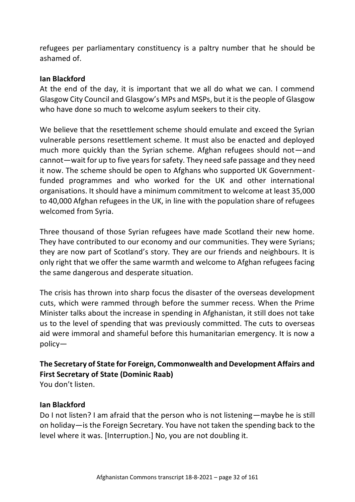refugees per parliamentary constituency is a paltry number that he should be ashamed of.

#### **Ian Blackford**

At the end of the day, it is important that we all do what we can. I commend Glasgow City Council and Glasgow's MPs and MSPs, but it is the people of Glasgow who have done so much to welcome asylum seekers to their city.

We believe that the resettlement scheme should emulate and exceed the Syrian vulnerable persons resettlement scheme. It must also be enacted and deployed much more quickly than the Syrian scheme. Afghan refugees should not—and cannot—wait for up to five years for safety. They need safe passage and they need it now. The scheme should be open to Afghans who supported UK Governmentfunded programmes and who worked for the UK and other international organisations. It should have a minimum commitment to welcome at least 35,000 to 40,000 Afghan refugees in the UK, in line with the population share of refugees welcomed from Syria.

Three thousand of those Syrian refugees have made Scotland their new home. They have contributed to our economy and our communities. They were Syrians; they are now part of Scotland's story. They are our friends and neighbours. It is only right that we offer the same warmth and welcome to Afghan refugees facing the same dangerous and desperate situation.

The crisis has thrown into sharp focus the disaster of the overseas development cuts, which were rammed through before the summer recess. When the Prime Minister talks about the increase in spending in Afghanistan, it still does not take us to the level of spending that was previously committed. The cuts to overseas aid were immoral and shameful before this humanitarian emergency. It is now a policy—

# **The Secretary of State for Foreign, Commonwealth and Development Affairs and First Secretary of State (Dominic Raab)**

You don't listen.

### **Ian Blackford**

Do I not listen? I am afraid that the person who is not listening—maybe he is still on holiday—is the Foreign Secretary. You have not taken the spending back to the level where it was. [Interruption.] No, you are not doubling it.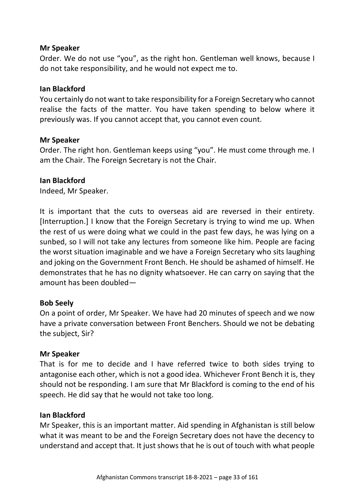#### **Mr Speaker**

Order. We do not use "you", as the right hon. Gentleman well knows, because I do not take responsibility, and he would not expect me to.

#### **Ian Blackford**

You certainly do not want to take responsibility for a Foreign Secretary who cannot realise the facts of the matter. You have taken spending to below where it previously was. If you cannot accept that, you cannot even count.

#### **Mr Speaker**

Order. The right hon. Gentleman keeps using "you". He must come through me. I am the Chair. The Foreign Secretary is not the Chair.

#### **Ian Blackford**

Indeed, Mr Speaker.

It is important that the cuts to overseas aid are reversed in their entirety. [Interruption.] I know that the Foreign Secretary is trying to wind me up. When the rest of us were doing what we could in the past few days, he was lying on a sunbed, so I will not take any lectures from someone like him. People are facing the worst situation imaginable and we have a Foreign Secretary who sits laughing and joking on the Government Front Bench. He should be ashamed of himself. He demonstrates that he has no dignity whatsoever. He can carry on saying that the amount has been doubled—

### **Bob Seely**

On a point of order, Mr Speaker. We have had 20 minutes of speech and we now have a private conversation between Front Benchers. Should we not be debating the subject, Sir?

### **Mr Speaker**

That is for me to decide and I have referred twice to both sides trying to antagonise each other, which is not a good idea. Whichever Front Bench it is, they should not be responding. I am sure that Mr Blackford is coming to the end of his speech. He did say that he would not take too long.

### **Ian Blackford**

Mr Speaker, this is an important matter. Aid spending in Afghanistan is still below what it was meant to be and the Foreign Secretary does not have the decency to understand and accept that. It just shows that he is out of touch with what people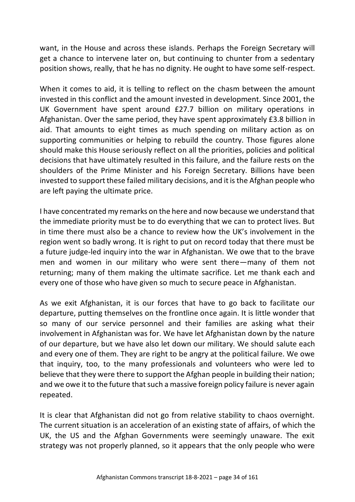want, in the House and across these islands. Perhaps the Foreign Secretary will get a chance to intervene later on, but continuing to chunter from a sedentary position shows, really, that he has no dignity. He ought to have some self-respect.

When it comes to aid, it is telling to reflect on the chasm between the amount invested in this conflict and the amount invested in development. Since 2001, the UK Government have spent around £27.7 billion on military operations in Afghanistan. Over the same period, they have spent approximately £3.8 billion in aid. That amounts to eight times as much spending on military action as on supporting communities or helping to rebuild the country. Those figures alone should make this House seriously reflect on all the priorities, policies and political decisions that have ultimately resulted in this failure, and the failure rests on the shoulders of the Prime Minister and his Foreign Secretary. Billions have been invested to support these failed military decisions, and it is the Afghan people who are left paying the ultimate price.

I have concentrated my remarks on the here and now because we understand that the immediate priority must be to do everything that we can to protect lives. But in time there must also be a chance to review how the UK's involvement in the region went so badly wrong. It is right to put on record today that there must be a future judge-led inquiry into the war in Afghanistan. We owe that to the brave men and women in our military who were sent there—many of them not returning; many of them making the ultimate sacrifice. Let me thank each and every one of those who have given so much to secure peace in Afghanistan.

As we exit Afghanistan, it is our forces that have to go back to facilitate our departure, putting themselves on the frontline once again. It is little wonder that so many of our service personnel and their families are asking what their involvement in Afghanistan was for. We have let Afghanistan down by the nature of our departure, but we have also let down our military. We should salute each and every one of them. They are right to be angry at the political failure. We owe that inquiry, too, to the many professionals and volunteers who were led to believe that they were there to support the Afghan people in building their nation; and we owe it to the future that such a massive foreign policy failure is never again repeated.

It is clear that Afghanistan did not go from relative stability to chaos overnight. The current situation is an acceleration of an existing state of affairs, of which the UK, the US and the Afghan Governments were seemingly unaware. The exit strategy was not properly planned, so it appears that the only people who were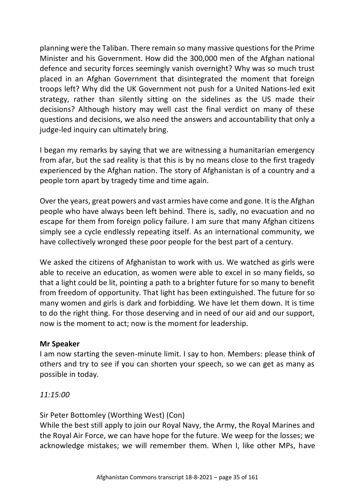planning were the Taliban. There remain so many massive questions for the Prime Minister and his Government. How did the 300,000 men of the Afghan national defence and security forces seemingly vanish overnight? Why was so much trust placed in an Afghan Government that disintegrated the moment that foreign troops left? Why did the UK Government not push for a United Nations-led exit strategy, rather than silently sitting on the sidelines as the US made their decisions? Although history may well cast the final verdict on many of these questions and decisions, we also need the answers and accountability that only a judge-led inquiry can ultimately bring.

I began my remarks by saying that we are witnessing a humanitarian emergency from afar, but the sad reality is that this is by no means close to the first tragedy experienced by the Afghan nation. The story of Afghanistan is of a country and a people torn apart by tragedy time and time again.

Over the years, great powers and vast armies have come and gone. It is the Afghan people who have always been left behind. There is, sadly, no evacuation and no escape for them from foreign policy failure. I am sure that many Afghan citizens simply see a cycle endlessly repeating itself. As an international community, we have collectively wronged these poor people for the best part of a century.

We asked the citizens of Afghanistan to work with us. We watched as girls were able to receive an education, as women were able to excel in so many fields, so that a light could be lit, pointing a path to a brighter future for so many to benefit from freedom of opportunity. That light has been extinguished. The future for so many women and girls is dark and forbidding. We have let them down. It is time to do the right thing. For those deserving and in need of our aid and our support, now is the moment to act; now is the moment for leadership.

### **Mr Speaker**

I am now starting the seven-minute limit. I say to hon. Members: please think of others and try to see if you can shorten your speech, so we can get as many as possible in today.

### *11:15:00*

Sir Peter Bottomley (Worthing West) (Con)

While the best still apply to join our Royal Navy, the Army, the Royal Marines and the Royal Air Force, we can have hope for the future. We weep for the losses; we acknowledge mistakes; we will remember them. When I, like other MPs, have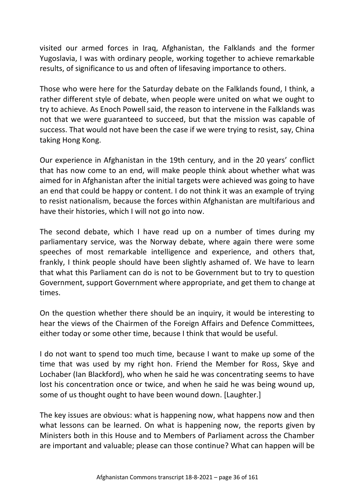visited our armed forces in Iraq, Afghanistan, the Falklands and the former Yugoslavia, I was with ordinary people, working together to achieve remarkable results, of significance to us and often of lifesaving importance to others.

Those who were here for the Saturday debate on the Falklands found, I think, a rather different style of debate, when people were united on what we ought to try to achieve. As Enoch Powell said, the reason to intervene in the Falklands was not that we were guaranteed to succeed, but that the mission was capable of success. That would not have been the case if we were trying to resist, say, China taking Hong Kong.

Our experience in Afghanistan in the 19th century, and in the 20 years' conflict that has now come to an end, will make people think about whether what was aimed for in Afghanistan after the initial targets were achieved was going to have an end that could be happy or content. I do not think it was an example of trying to resist nationalism, because the forces within Afghanistan are multifarious and have their histories, which I will not go into now.

The second debate, which I have read up on a number of times during my parliamentary service, was the Norway debate, where again there were some speeches of most remarkable intelligence and experience, and others that, frankly, I think people should have been slightly ashamed of. We have to learn that what this Parliament can do is not to be Government but to try to question Government, support Government where appropriate, and get them to change at times.

On the question whether there should be an inquiry, it would be interesting to hear the views of the Chairmen of the Foreign Affairs and Defence Committees, either today or some other time, because I think that would be useful.

I do not want to spend too much time, because I want to make up some of the time that was used by my right hon. Friend the Member for Ross, Skye and Lochaber (Ian Blackford), who when he said he was concentrating seems to have lost his concentration once or twice, and when he said he was being wound up, some of us thought ought to have been wound down. [Laughter.]

The key issues are obvious: what is happening now, what happens now and then what lessons can be learned. On what is happening now, the reports given by Ministers both in this House and to Members of Parliament across the Chamber are important and valuable; please can those continue? What can happen will be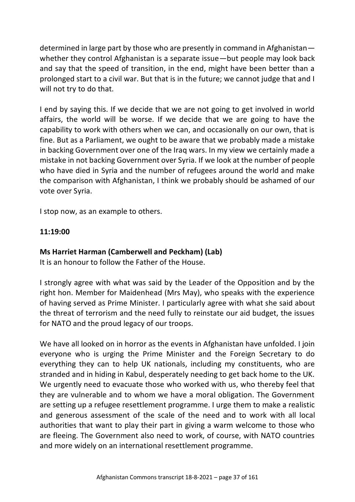determined in large part by those who are presently in command in Afghanistan whether they control Afghanistan is a separate issue—but people may look back and say that the speed of transition, in the end, might have been better than a prolonged start to a civil war. But that is in the future; we cannot judge that and I will not try to do that.

I end by saying this. If we decide that we are not going to get involved in world affairs, the world will be worse. If we decide that we are going to have the capability to work with others when we can, and occasionally on our own, that is fine. But as a Parliament, we ought to be aware that we probably made a mistake in backing Government over one of the Iraq wars. In my view we certainly made a mistake in not backing Government over Syria. If we look at the number of people who have died in Syria and the number of refugees around the world and make the comparison with Afghanistan, I think we probably should be ashamed of our vote over Syria.

I stop now, as an example to others.

# **11:19:00**

# **Ms Harriet Harman (Camberwell and Peckham) (Lab)**

It is an honour to follow the Father of the House.

I strongly agree with what was said by the Leader of the Opposition and by the right hon. Member for Maidenhead (Mrs May), who speaks with the experience of having served as Prime Minister. I particularly agree with what she said about the threat of terrorism and the need fully to reinstate our aid budget, the issues for NATO and the proud legacy of our troops.

We have all looked on in horror as the events in Afghanistan have unfolded. I join everyone who is urging the Prime Minister and the Foreign Secretary to do everything they can to help UK nationals, including my constituents, who are stranded and in hiding in Kabul, desperately needing to get back home to the UK. We urgently need to evacuate those who worked with us, who thereby feel that they are vulnerable and to whom we have a moral obligation. The Government are setting up a refugee resettlement programme. I urge them to make a realistic and generous assessment of the scale of the need and to work with all local authorities that want to play their part in giving a warm welcome to those who are fleeing. The Government also need to work, of course, with NATO countries and more widely on an international resettlement programme.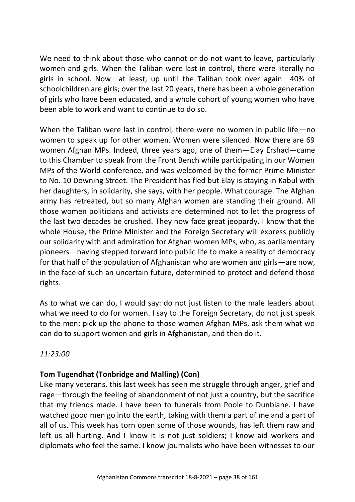We need to think about those who cannot or do not want to leave, particularly women and girls. When the Taliban were last in control, there were literally no girls in school. Now—at least, up until the Taliban took over again—40% of schoolchildren are girls; over the last 20 years, there has been a whole generation of girls who have been educated, and a whole cohort of young women who have been able to work and want to continue to do so.

When the Taliban were last in control, there were no women in public life —no women to speak up for other women. Women were silenced. Now there are 69 women Afghan MPs. Indeed, three years ago, one of them—Elay Ershad—came to this Chamber to speak from the Front Bench while participating in our Women MPs of the World conference, and was welcomed by the former Prime Minister to No. 10 Downing Street. The President has fled but Elay is staying in Kabul with her daughters, in solidarity, she says, with her people. What courage. The Afghan army has retreated, but so many Afghan women are standing their ground. All those women politicians and activists are determined not to let the progress of the last two decades be crushed. They now face great jeopardy. I know that the whole House, the Prime Minister and the Foreign Secretary will express publicly our solidarity with and admiration for Afghan women MPs, who, as parliamentary pioneers—having stepped forward into public life to make a reality of democracy for that half of the population of Afghanistan who are women and girls—are now, in the face of such an uncertain future, determined to protect and defend those rights.

As to what we can do, I would say: do not just listen to the male leaders about what we need to do for women. I say to the Foreign Secretary, do not just speak to the men; pick up the phone to those women Afghan MPs, ask them what we can do to support women and girls in Afghanistan, and then do it.

*11:23:00*

# **Tom Tugendhat (Tonbridge and Malling) (Con)**

Like many veterans, this last week has seen me struggle through anger, grief and rage—through the feeling of abandonment of not just a country, but the sacrifice that my friends made. I have been to funerals from Poole to Dunblane. I have watched good men go into the earth, taking with them a part of me and a part of all of us. This week has torn open some of those wounds, has left them raw and left us all hurting. And I know it is not just soldiers; I know aid workers and diplomats who feel the same. I know journalists who have been witnesses to our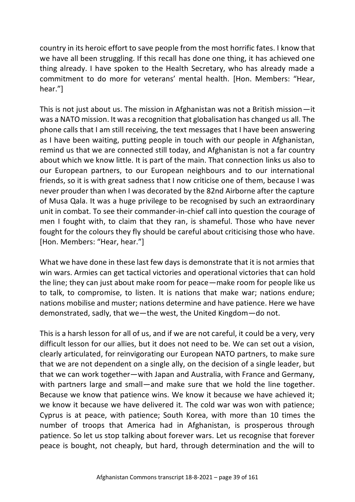country in its heroic effort to save people from the most horrific fates. I know that we have all been struggling. If this recall has done one thing, it has achieved one thing already. I have spoken to the Health Secretary, who has already made a commitment to do more for veterans' mental health. [Hon. Members: "Hear, hear."]

This is not just about us. The mission in Afghanistan was not a British mission—it was a NATO mission. It was a recognition that globalisation has changed us all. The phone calls that I am still receiving, the text messages that I have been answering as I have been waiting, putting people in touch with our people in Afghanistan, remind us that we are connected still today, and Afghanistan is not a far country about which we know little. It is part of the main. That connection links us also to our European partners, to our European neighbours and to our international friends, so it is with great sadness that I now criticise one of them, because I was never prouder than when I was decorated by the 82nd Airborne after the capture of Musa Qala. It was a huge privilege to be recognised by such an extraordinary unit in combat. To see their commander-in-chief call into question the courage of men I fought with, to claim that they ran, is shameful. Those who have never fought for the colours they fly should be careful about criticising those who have. [Hon. Members: "Hear, hear."]

What we have done in these last few days is demonstrate that it is not armies that win wars. Armies can get tactical victories and operational victories that can hold the line; they can just about make room for peace—make room for people like us to talk, to compromise, to listen. It is nations that make war; nations endure; nations mobilise and muster; nations determine and have patience. Here we have demonstrated, sadly, that we—the west, the United Kingdom—do not.

This is a harsh lesson for all of us, and if we are not careful, it could be a very, very difficult lesson for our allies, but it does not need to be. We can set out a vision, clearly articulated, for reinvigorating our European NATO partners, to make sure that we are not dependent on a single ally, on the decision of a single leader, but that we can work together—with Japan and Australia, with France and Germany, with partners large and small—and make sure that we hold the line together. Because we know that patience wins. We know it because we have achieved it; we know it because we have delivered it. The cold war was won with patience; Cyprus is at peace, with patience; South Korea, with more than 10 times the number of troops that America had in Afghanistan, is prosperous through patience. So let us stop talking about forever wars. Let us recognise that forever peace is bought, not cheaply, but hard, through determination and the will to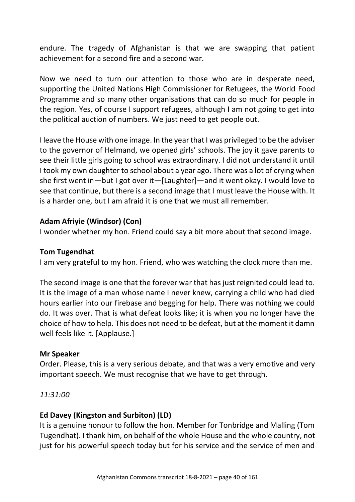endure. The tragedy of Afghanistan is that we are swapping that patient achievement for a second fire and a second war.

Now we need to turn our attention to those who are in desperate need, supporting the United Nations High Commissioner for Refugees, the World Food Programme and so many other organisations that can do so much for people in the region. Yes, of course I support refugees, although I am not going to get into the political auction of numbers. We just need to get people out.

I leave the House with one image. In the year that I was privileged to be the adviser to the governor of Helmand, we opened girls' schools. The joy it gave parents to see their little girls going to school was extraordinary. I did not understand it until I took my own daughter to school about a year ago. There was a lot of crying when she first went in—but I got over it—[Laughter]—and it went okay. I would love to see that continue, but there is a second image that I must leave the House with. It is a harder one, but I am afraid it is one that we must all remember.

#### **Adam Afriyie (Windsor) (Con)**

I wonder whether my hon. Friend could say a bit more about that second image.

#### **Tom Tugendhat**

I am very grateful to my hon. Friend, who was watching the clock more than me.

The second image is one that the forever war that has just reignited could lead to. It is the image of a man whose name I never knew, carrying a child who had died hours earlier into our firebase and begging for help. There was nothing we could do. It was over. That is what defeat looks like; it is when you no longer have the choice of how to help. This does not need to be defeat, but at the moment it damn well feels like it. [Applause.]

#### **Mr Speaker**

Order. Please, this is a very serious debate, and that was a very emotive and very important speech. We must recognise that we have to get through.

*11:31:00*

### **Ed Davey (Kingston and Surbiton) (LD)**

It is a genuine honour to follow the hon. Member for Tonbridge and Malling (Tom Tugendhat). I thank him, on behalf of the whole House and the whole country, not just for his powerful speech today but for his service and the service of men and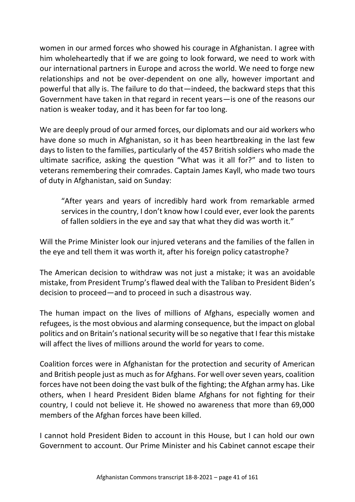women in our armed forces who showed his courage in Afghanistan. I agree with him wholeheartedly that if we are going to look forward, we need to work with our international partners in Europe and across the world. We need to forge new relationships and not be over-dependent on one ally, however important and powerful that ally is. The failure to do that—indeed, the backward steps that this Government have taken in that regard in recent years—is one of the reasons our nation is weaker today, and it has been for far too long.

We are deeply proud of our armed forces, our diplomats and our aid workers who have done so much in Afghanistan, so it has been heartbreaking in the last few days to listen to the families, particularly of the 457 British soldiers who made the ultimate sacrifice, asking the question "What was it all for?" and to listen to veterans remembering their comrades. Captain James Kayll, who made two tours of duty in Afghanistan, said on Sunday:

"After years and years of incredibly hard work from remarkable armed services in the country, I don't know how I could ever, ever look the parents of fallen soldiers in the eye and say that what they did was worth it."

Will the Prime Minister look our injured veterans and the families of the fallen in the eye and tell them it was worth it, after his foreign policy catastrophe?

The American decision to withdraw was not just a mistake; it was an avoidable mistake, from President Trump's flawed deal with the Taliban to President Biden's decision to proceed—and to proceed in such a disastrous way.

The human impact on the lives of millions of Afghans, especially women and refugees, is the most obvious and alarming consequence, but the impact on global politics and on Britain's national security will be so negative that I fear this mistake will affect the lives of millions around the world for years to come.

Coalition forces were in Afghanistan for the protection and security of American and British people just as much as for Afghans. For well over seven years, coalition forces have not been doing the vast bulk of the fighting; the Afghan army has. Like others, when I heard President Biden blame Afghans for not fighting for their country, I could not believe it. He showed no awareness that more than 69,000 members of the Afghan forces have been killed.

I cannot hold President Biden to account in this House, but I can hold our own Government to account. Our Prime Minister and his Cabinet cannot escape their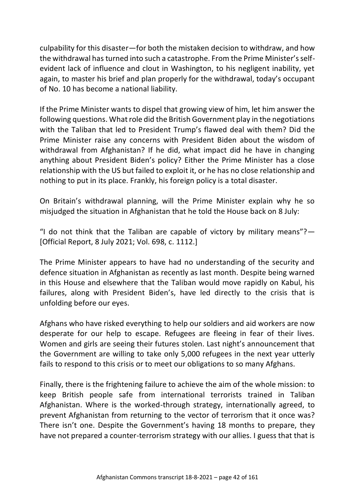culpability for this disaster—for both the mistaken decision to withdraw, and how the withdrawal has turned into such a catastrophe. From the Prime Minister's selfevident lack of influence and clout in Washington, to his negligent inability, yet again, to master his brief and plan properly for the withdrawal, today's occupant of No. 10 has become a national liability.

If the Prime Minister wants to dispel that growing view of him, let him answer the following questions. What role did the British Government play in the negotiations with the Taliban that led to President Trump's flawed deal with them? Did the Prime Minister raise any concerns with President Biden about the wisdom of withdrawal from Afghanistan? If he did, what impact did he have in changing anything about President Biden's policy? Either the Prime Minister has a close relationship with the US but failed to exploit it, or he has no close relationship and nothing to put in its place. Frankly, his foreign policy is a total disaster.

On Britain's withdrawal planning, will the Prime Minister explain why he so misjudged the situation in Afghanistan that he told the House back on 8 July:

"I do not think that the Taliban are capable of victory by military means"? $-$ [Official Report, 8 July 2021; Vol. 698, c. 1112.]

The Prime Minister appears to have had no understanding of the security and defence situation in Afghanistan as recently as last month. Despite being warned in this House and elsewhere that the Taliban would move rapidly on Kabul, his failures, along with President Biden's, have led directly to the crisis that is unfolding before our eyes.

Afghans who have risked everything to help our soldiers and aid workers are now desperate for our help to escape. Refugees are fleeing in fear of their lives. Women and girls are seeing their futures stolen. Last night's announcement that the Government are willing to take only 5,000 refugees in the next year utterly fails to respond to this crisis or to meet our obligations to so many Afghans.

Finally, there is the frightening failure to achieve the aim of the whole mission: to keep British people safe from international terrorists trained in Taliban Afghanistan. Where is the worked-through strategy, internationally agreed, to prevent Afghanistan from returning to the vector of terrorism that it once was? There isn't one. Despite the Government's having 18 months to prepare, they have not prepared a counter-terrorism strategy with our allies. I guess that that is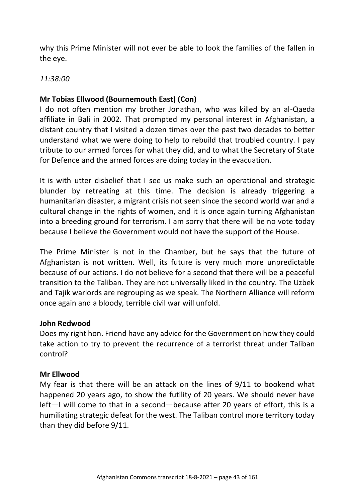why this Prime Minister will not ever be able to look the families of the fallen in the eye.

#### *11:38:00*

## **Mr Tobias Ellwood (Bournemouth East) (Con)**

I do not often mention my brother Jonathan, who was killed by an al-Qaeda affiliate in Bali in 2002. That prompted my personal interest in Afghanistan, a distant country that I visited a dozen times over the past two decades to better understand what we were doing to help to rebuild that troubled country. I pay tribute to our armed forces for what they did, and to what the Secretary of State for Defence and the armed forces are doing today in the evacuation.

It is with utter disbelief that I see us make such an operational and strategic blunder by retreating at this time. The decision is already triggering a humanitarian disaster, a migrant crisis not seen since the second world war and a cultural change in the rights of women, and it is once again turning Afghanistan into a breeding ground for terrorism. I am sorry that there will be no vote today because I believe the Government would not have the support of the House.

The Prime Minister is not in the Chamber, but he says that the future of Afghanistan is not written. Well, its future is very much more unpredictable because of our actions. I do not believe for a second that there will be a peaceful transition to the Taliban. They are not universally liked in the country. The Uzbek and Tajik warlords are regrouping as we speak. The Northern Alliance will reform once again and a bloody, terrible civil war will unfold.

#### **John Redwood**

Does my right hon. Friend have any advice for the Government on how they could take action to try to prevent the recurrence of a terrorist threat under Taliban control?

#### **Mr Ellwood**

My fear is that there will be an attack on the lines of 9/11 to bookend what happened 20 years ago, to show the futility of 20 years. We should never have left—I will come to that in a second—because after 20 years of effort, this is a humiliating strategic defeat for the west. The Taliban control more territory today than they did before 9/11.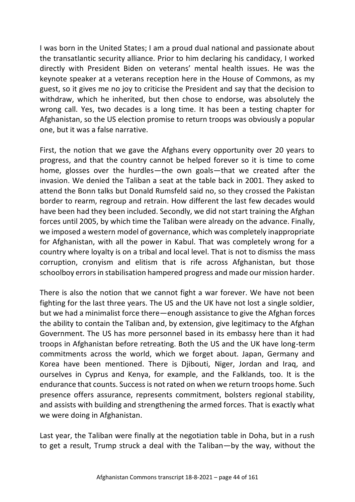I was born in the United States; I am a proud dual national and passionate about the transatlantic security alliance. Prior to him declaring his candidacy, I worked directly with President Biden on veterans' mental health issues. He was the keynote speaker at a veterans reception here in the House of Commons, as my guest, so it gives me no joy to criticise the President and say that the decision to withdraw, which he inherited, but then chose to endorse, was absolutely the wrong call. Yes, two decades is a long time. It has been a testing chapter for Afghanistan, so the US election promise to return troops was obviously a popular one, but it was a false narrative.

First, the notion that we gave the Afghans every opportunity over 20 years to progress, and that the country cannot be helped forever so it is time to come home, glosses over the hurdles—the own goals—that we created after the invasion. We denied the Taliban a seat at the table back in 2001. They asked to attend the Bonn talks but Donald Rumsfeld said no, so they crossed the Pakistan border to rearm, regroup and retrain. How different the last few decades would have been had they been included. Secondly, we did not start training the Afghan forces until 2005, by which time the Taliban were already on the advance. Finally, we imposed a western model of governance, which was completely inappropriate for Afghanistan, with all the power in Kabul. That was completely wrong for a country where loyalty is on a tribal and local level. That is not to dismiss the mass corruption, cronyism and elitism that is rife across Afghanistan, but those schoolboy errors in stabilisation hampered progress and made our mission harder.

There is also the notion that we cannot fight a war forever. We have not been fighting for the last three years. The US and the UK have not lost a single soldier, but we had a minimalist force there—enough assistance to give the Afghan forces the ability to contain the Taliban and, by extension, give legitimacy to the Afghan Government. The US has more personnel based in its embassy here than it had troops in Afghanistan before retreating. Both the US and the UK have long-term commitments across the world, which we forget about. Japan, Germany and Korea have been mentioned. There is Djibouti, Niger, Jordan and Iraq, and ourselves in Cyprus and Kenya, for example, and the Falklands, too. It is the endurance that counts. Success is not rated on when we return troops home. Such presence offers assurance, represents commitment, bolsters regional stability, and assists with building and strengthening the armed forces. That is exactly what we were doing in Afghanistan.

Last year, the Taliban were finally at the negotiation table in Doha, but in a rush to get a result, Trump struck a deal with the Taliban—by the way, without the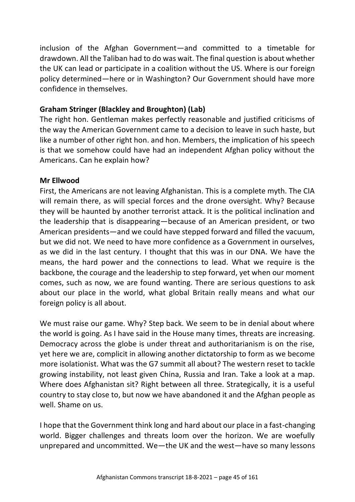inclusion of the Afghan Government—and committed to a timetable for drawdown. All the Taliban had to do was wait. The final question is about whether the UK can lead or participate in a coalition without the US. Where is our foreign policy determined—here or in Washington? Our Government should have more confidence in themselves.

## **Graham Stringer (Blackley and Broughton) (Lab)**

The right hon. Gentleman makes perfectly reasonable and justified criticisms of the way the American Government came to a decision to leave in such haste, but like a number of other right hon. and hon. Members, the implication of his speech is that we somehow could have had an independent Afghan policy without the Americans. Can he explain how?

### **Mr Ellwood**

First, the Americans are not leaving Afghanistan. This is a complete myth. The CIA will remain there, as will special forces and the drone oversight. Why? Because they will be haunted by another terrorist attack. It is the political inclination and the leadership that is disappearing—because of an American president, or two American presidents—and we could have stepped forward and filled the vacuum, but we did not. We need to have more confidence as a Government in ourselves, as we did in the last century. I thought that this was in our DNA. We have the means, the hard power and the connections to lead. What we require is the backbone, the courage and the leadership to step forward, yet when our moment comes, such as now, we are found wanting. There are serious questions to ask about our place in the world, what global Britain really means and what our foreign policy is all about.

We must raise our game. Why? Step back. We seem to be in denial about where the world is going. As I have said in the House many times, threats are increasing. Democracy across the globe is under threat and authoritarianism is on the rise, yet here we are, complicit in allowing another dictatorship to form as we become more isolationist. What was the G7 summit all about? The western reset to tackle growing instability, not least given China, Russia and Iran. Take a look at a map. Where does Afghanistan sit? Right between all three. Strategically, it is a useful country to stay close to, but now we have abandoned it and the Afghan people as well. Shame on us.

I hope that the Government think long and hard about our place in a fast-changing world. Bigger challenges and threats loom over the horizon. We are woefully unprepared and uncommitted. We—the UK and the west—have so many lessons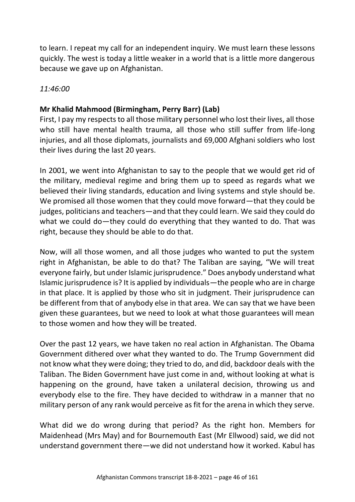to learn. I repeat my call for an independent inquiry. We must learn these lessons quickly. The west is today a little weaker in a world that is a little more dangerous because we gave up on Afghanistan.

### *11:46:00*

## **Mr Khalid Mahmood (Birmingham, Perry Barr) (Lab)**

First, I pay my respects to all those military personnel who lost their lives, all those who still have mental health trauma, all those who still suffer from life-long injuries, and all those diplomats, journalists and 69,000 Afghani soldiers who lost their lives during the last 20 years.

In 2001, we went into Afghanistan to say to the people that we would get rid of the military, medieval regime and bring them up to speed as regards what we believed their living standards, education and living systems and style should be. We promised all those women that they could move forward—that they could be judges, politicians and teachers—and that they could learn. We said they could do what we could do—they could do everything that they wanted to do. That was right, because they should be able to do that.

Now, will all those women, and all those judges who wanted to put the system right in Afghanistan, be able to do that? The Taliban are saying, "We will treat everyone fairly, but under Islamic jurisprudence." Does anybody understand what Islamic jurisprudence is? It is applied by individuals—the people who are in charge in that place. It is applied by those who sit in judgment. Their jurisprudence can be different from that of anybody else in that area. We can say that we have been given these guarantees, but we need to look at what those guarantees will mean to those women and how they will be treated.

Over the past 12 years, we have taken no real action in Afghanistan. The Obama Government dithered over what they wanted to do. The Trump Government did not know what they were doing; they tried to do, and did, backdoor deals with the Taliban. The Biden Government have just come in and, without looking at what is happening on the ground, have taken a unilateral decision, throwing us and everybody else to the fire. They have decided to withdraw in a manner that no military person of any rank would perceive as fit for the arena in which they serve.

What did we do wrong during that period? As the right hon. Members for Maidenhead (Mrs May) and for Bournemouth East (Mr Ellwood) said, we did not understand government there—we did not understand how it worked. Kabul has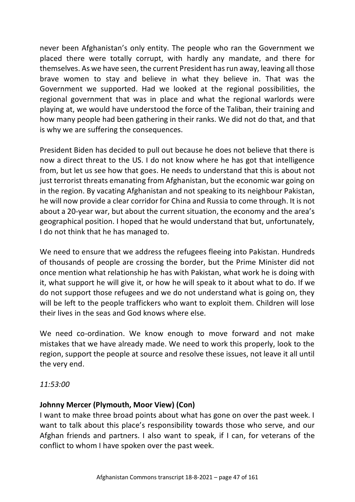never been Afghanistan's only entity. The people who ran the Government we placed there were totally corrupt, with hardly any mandate, and there for themselves. As we have seen, the current President has run away, leaving all those brave women to stay and believe in what they believe in. That was the Government we supported. Had we looked at the regional possibilities, the regional government that was in place and what the regional warlords were playing at, we would have understood the force of the Taliban, their training and how many people had been gathering in their ranks. We did not do that, and that is why we are suffering the consequences.

President Biden has decided to pull out because he does not believe that there is now a direct threat to the US. I do not know where he has got that intelligence from, but let us see how that goes. He needs to understand that this is about not just terrorist threats emanating from Afghanistan, but the economic war going on in the region. By vacating Afghanistan and not speaking to its neighbour Pakistan, he will now provide a clear corridor for China and Russia to come through. It is not about a 20-year war, but about the current situation, the economy and the area's geographical position. I hoped that he would understand that but, unfortunately, I do not think that he has managed to.

We need to ensure that we address the refugees fleeing into Pakistan. Hundreds of thousands of people are crossing the border, but the Prime Minister did not once mention what relationship he has with Pakistan, what work he is doing with it, what support he will give it, or how he will speak to it about what to do. If we do not support those refugees and we do not understand what is going on, they will be left to the people traffickers who want to exploit them. Children will lose their lives in the seas and God knows where else.

We need co-ordination. We know enough to move forward and not make mistakes that we have already made. We need to work this properly, look to the region, support the people at source and resolve these issues, not leave it all until the very end.

*11:53:00*

### **Johnny Mercer (Plymouth, Moor View) (Con)**

I want to make three broad points about what has gone on over the past week. I want to talk about this place's responsibility towards those who serve, and our Afghan friends and partners. I also want to speak, if I can, for veterans of the conflict to whom I have spoken over the past week.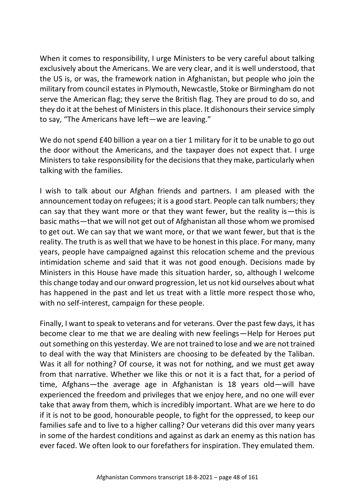When it comes to responsibility, I urge Ministers to be very careful about talking exclusively about the Americans. We are very clear, and it is well understood, that the US is, or was, the framework nation in Afghanistan, but people who join the military from council estates in Plymouth, Newcastle, Stoke or Birmingham do not serve the American flag; they serve the British flag. They are proud to do so, and they do it at the behest of Ministers in this place. It dishonours their service simply to say, "The Americans have left—we are leaving."

We do not spend £40 billion a year on a tier 1 military for it to be unable to go out the door without the Americans, and the taxpayer does not expect that. I urge Ministers to take responsibility for the decisions that they make, particularly when talking with the families.

I wish to talk about our Afghan friends and partners. I am pleased with the announcement today on refugees; it is a good start. People can talk numbers; they can say that they want more or that they want fewer, but the reality is—this is basic maths—that we will not get out of Afghanistan all those whom we promised to get out. We can say that we want more, or that we want fewer, but that is the reality. The truth is as well that we have to be honest in this place. For many, many years, people have campaigned against this relocation scheme and the previous intimidation scheme and said that it was not good enough. Decisions made by Ministers in this House have made this situation harder, so, although I welcome this change today and our onward progression, let us not kid ourselves about what has happened in the past and let us treat with a little more respect those who, with no self-interest, campaign for these people.

Finally, I want to speak to veterans and for veterans. Over the past few days, it has become clear to me that we are dealing with new feelings—Help for Heroes put out something on this yesterday. We are not trained to lose and we are not trained to deal with the way that Ministers are choosing to be defeated by the Taliban. Was it all for nothing? Of course, it was not for nothing, and we must get away from that narrative. Whether we like this or not it is a fact that, for a period of time, Afghans—the average age in Afghanistan is 18 years old—will have experienced the freedom and privileges that we enjoy here, and no one will ever take that away from them, which is incredibly important. What are we here to do if it is not to be good, honourable people, to fight for the oppressed, to keep our families safe and to live to a higher calling? Our veterans did this over many years in some of the hardest conditions and against as dark an enemy as this nation has ever faced. We often look to our forefathers for inspiration. They emulated them.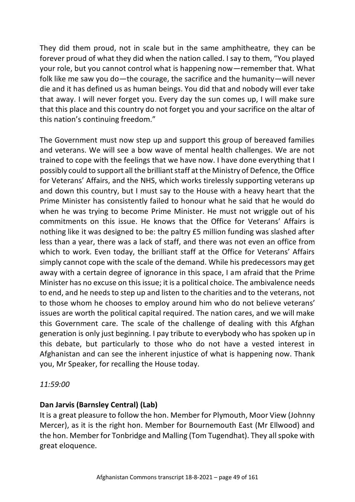They did them proud, not in scale but in the same amphitheatre, they can be forever proud of what they did when the nation called. I say to them, "You played your role, but you cannot control what is happening now—remember that. What folk like me saw you do—the courage, the sacrifice and the humanity—will never die and it has defined us as human beings. You did that and nobody will ever take that away. I will never forget you. Every day the sun comes up, I will make sure that this place and this country do not forget you and your sacrifice on the altar of this nation's continuing freedom."

The Government must now step up and support this group of bereaved families and veterans. We will see a bow wave of mental health challenges. We are not trained to cope with the feelings that we have now. I have done everything that I possibly could to support all the brilliant staff at the Ministry of Defence, the Office for Veterans' Affairs, and the NHS, which works tirelessly supporting veterans up and down this country, but I must say to the House with a heavy heart that the Prime Minister has consistently failed to honour what he said that he would do when he was trying to become Prime Minister. He must not wriggle out of his commitments on this issue. He knows that the Office for Veterans' Affairs is nothing like it was designed to be: the paltry £5 million funding was slashed after less than a year, there was a lack of staff, and there was not even an office from which to work. Even today, the brilliant staff at the Office for Veterans' Affairs simply cannot cope with the scale of the demand. While his predecessors may get away with a certain degree of ignorance in this space, I am afraid that the Prime Minister has no excuse on this issue; it is a political choice. The ambivalence needs to end, and he needs to step up and listen to the charities and to the veterans, not to those whom he chooses to employ around him who do not believe veterans' issues are worth the political capital required. The nation cares, and we will make this Government care. The scale of the challenge of dealing with this Afghan generation is only just beginning. I pay tribute to everybody who has spoken up in this debate, but particularly to those who do not have a vested interest in Afghanistan and can see the inherent injustice of what is happening now. Thank you, Mr Speaker, for recalling the House today.

*11:59:00*

# **Dan Jarvis (Barnsley Central) (Lab)**

It is a great pleasure to follow the hon. Member for Plymouth, Moor View (Johnny Mercer), as it is the right hon. Member for Bournemouth East (Mr Ellwood) and the hon. Member for Tonbridge and Malling (Tom Tugendhat). They all spoke with great eloquence.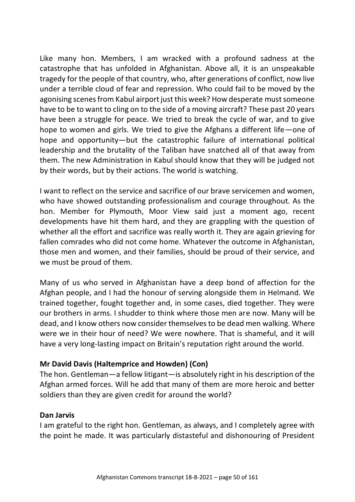Like many hon. Members, I am wracked with a profound sadness at the catastrophe that has unfolded in Afghanistan. Above all, it is an unspeakable tragedy for the people of that country, who, after generations of conflict, now live under a terrible cloud of fear and repression. Who could fail to be moved by the agonising scenes from Kabul airport just this week? How desperate must someone have to be to want to cling on to the side of a moving aircraft? These past 20 years have been a struggle for peace. We tried to break the cycle of war, and to give hope to women and girls. We tried to give the Afghans a different life—one of hope and opportunity—but the catastrophic failure of international political leadership and the brutality of the Taliban have snatched all of that away from them. The new Administration in Kabul should know that they will be judged not by their words, but by their actions. The world is watching.

I want to reflect on the service and sacrifice of our brave servicemen and women, who have showed outstanding professionalism and courage throughout. As the hon. Member for Plymouth, Moor View said just a moment ago, recent developments have hit them hard, and they are grappling with the question of whether all the effort and sacrifice was really worth it. They are again grieving for fallen comrades who did not come home. Whatever the outcome in Afghanistan, those men and women, and their families, should be proud of their service, and we must be proud of them.

Many of us who served in Afghanistan have a deep bond of affection for the Afghan people, and I had the honour of serving alongside them in Helmand. We trained together, fought together and, in some cases, died together. They were our brothers in arms. I shudder to think where those men are now. Many will be dead, and I know others now consider themselves to be dead men walking. Where were we in their hour of need? We were nowhere. That is shameful, and it will have a very long-lasting impact on Britain's reputation right around the world.

### **Mr David Davis (Haltemprice and Howden) (Con)**

The hon. Gentleman—a fellow litigant—is absolutely right in his description of the Afghan armed forces. Will he add that many of them are more heroic and better soldiers than they are given credit for around the world?

# **Dan Jarvis**

I am grateful to the right hon. Gentleman, as always, and I completely agree with the point he made. It was particularly distasteful and dishonouring of President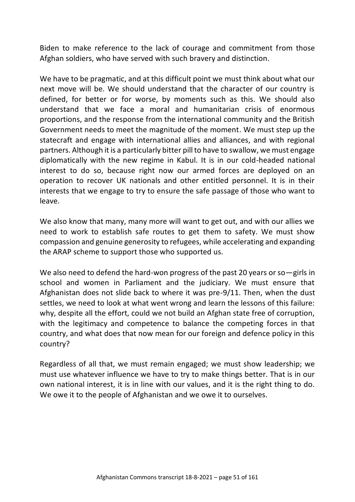Biden to make reference to the lack of courage and commitment from those Afghan soldiers, who have served with such bravery and distinction.

We have to be pragmatic, and at this difficult point we must think about what our next move will be. We should understand that the character of our country is defined, for better or for worse, by moments such as this. We should also understand that we face a moral and humanitarian crisis of enormous proportions, and the response from the international community and the British Government needs to meet the magnitude of the moment. We must step up the statecraft and engage with international allies and alliances, and with regional partners. Although it is a particularly bitter pill to have to swallow, we must engage diplomatically with the new regime in Kabul. It is in our cold-headed national interest to do so, because right now our armed forces are deployed on an operation to recover UK nationals and other entitled personnel. It is in their interests that we engage to try to ensure the safe passage of those who want to leave.

We also know that many, many more will want to get out, and with our allies we need to work to establish safe routes to get them to safety. We must show compassion and genuine generosity to refugees, while accelerating and expanding the ARAP scheme to support those who supported us.

We also need to defend the hard-won progress of the past 20 years or so - girls in school and women in Parliament and the judiciary. We must ensure that Afghanistan does not slide back to where it was pre-9/11. Then, when the dust settles, we need to look at what went wrong and learn the lessons of this failure: why, despite all the effort, could we not build an Afghan state free of corruption, with the legitimacy and competence to balance the competing forces in that country, and what does that now mean for our foreign and defence policy in this country?

Regardless of all that, we must remain engaged; we must show leadership; we must use whatever influence we have to try to make things better. That is in our own national interest, it is in line with our values, and it is the right thing to do. We owe it to the people of Afghanistan and we owe it to ourselves.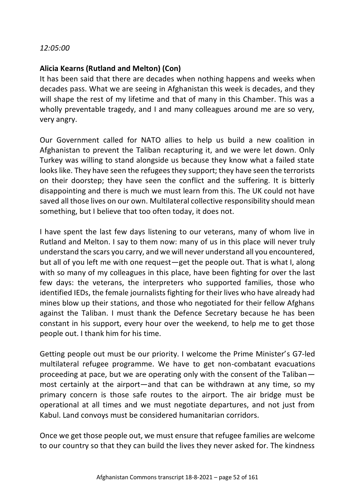#### *12:05:00*

#### **Alicia Kearns (Rutland and Melton) (Con)**

It has been said that there are decades when nothing happens and weeks when decades pass. What we are seeing in Afghanistan this week is decades, and they will shape the rest of my lifetime and that of many in this Chamber. This was a wholly preventable tragedy, and I and many colleagues around me are so very, very angry.

Our Government called for NATO allies to help us build a new coalition in Afghanistan to prevent the Taliban recapturing it, and we were let down. Only Turkey was willing to stand alongside us because they know what a failed state looks like. They have seen the refugees they support; they have seen the terrorists on their doorstep; they have seen the conflict and the suffering. It is bitterly disappointing and there is much we must learn from this. The UK could not have saved all those lives on our own. Multilateral collective responsibility should mean something, but I believe that too often today, it does not.

I have spent the last few days listening to our veterans, many of whom live in Rutland and Melton. I say to them now: many of us in this place will never truly understand the scars you carry, and we will never understand all you encountered, but all of you left me with one request—get the people out. That is what I, along with so many of my colleagues in this place, have been fighting for over the last few days: the veterans, the interpreters who supported families, those who identified IEDs, the female journalists fighting for their lives who have already had mines blow up their stations, and those who negotiated for their fellow Afghans against the Taliban. I must thank the Defence Secretary because he has been constant in his support, every hour over the weekend, to help me to get those people out. I thank him for his time.

Getting people out must be our priority. I welcome the Prime Minister's G7-led multilateral refugee programme. We have to get non-combatant evacuations proceeding at pace, but we are operating only with the consent of the Taliban most certainly at the airport—and that can be withdrawn at any time, so my primary concern is those safe routes to the airport. The air bridge must be operational at all times and we must negotiate departures, and not just from Kabul. Land convoys must be considered humanitarian corridors.

Once we get those people out, we must ensure that refugee families are welcome to our country so that they can build the lives they never asked for. The kindness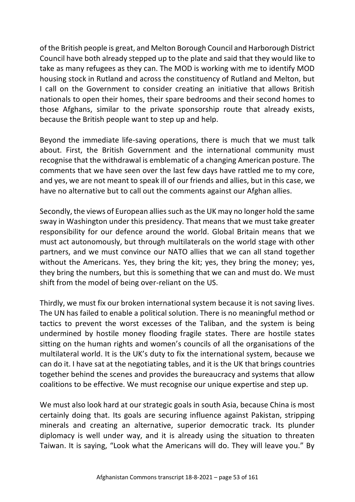of the British people is great, and Melton Borough Council and Harborough District Council have both already stepped up to the plate and said that they would like to take as many refugees as they can. The MOD is working with me to identify MOD housing stock in Rutland and across the constituency of Rutland and Melton, but I call on the Government to consider creating an initiative that allows British nationals to open their homes, their spare bedrooms and their second homes to those Afghans, similar to the private sponsorship route that already exists, because the British people want to step up and help.

Beyond the immediate life-saving operations, there is much that we must talk about. First, the British Government and the international community must recognise that the withdrawal is emblematic of a changing American posture. The comments that we have seen over the last few days have rattled me to my core, and yes, we are not meant to speak ill of our friends and allies, but in this case, we have no alternative but to call out the comments against our Afghan allies.

Secondly, the views of European allies such as the UK may no longer hold the same sway in Washington under this presidency. That means that we must take greater responsibility for our defence around the world. Global Britain means that we must act autonomously, but through multilaterals on the world stage with other partners, and we must convince our NATO allies that we can all stand together without the Americans. Yes, they bring the kit; yes, they bring the money; yes, they bring the numbers, but this is something that we can and must do. We must shift from the model of being over-reliant on the US.

Thirdly, we must fix our broken international system because it is not saving lives. The UN has failed to enable a political solution. There is no meaningful method or tactics to prevent the worst excesses of the Taliban, and the system is being undermined by hostile money flooding fragile states. There are hostile states sitting on the human rights and women's councils of all the organisations of the multilateral world. It is the UK's duty to fix the international system, because we can do it. I have sat at the negotiating tables, and it is the UK that brings countries together behind the scenes and provides the bureaucracy and systems that allow coalitions to be effective. We must recognise our unique expertise and step up.

We must also look hard at our strategic goals in south Asia, because China is most certainly doing that. Its goals are securing influence against Pakistan, stripping minerals and creating an alternative, superior democratic track. Its plunder diplomacy is well under way, and it is already using the situation to threaten Taiwan. It is saying, "Look what the Americans will do. They will leave you." By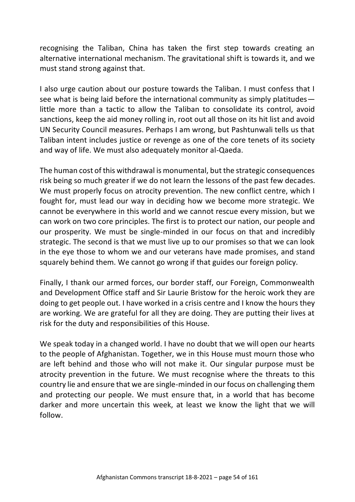recognising the Taliban, China has taken the first step towards creating an alternative international mechanism. The gravitational shift is towards it, and we must stand strong against that.

I also urge caution about our posture towards the Taliban. I must confess that I see what is being laid before the international community as simply platitudes little more than a tactic to allow the Taliban to consolidate its control, avoid sanctions, keep the aid money rolling in, root out all those on its hit list and avoid UN Security Council measures. Perhaps I am wrong, but Pashtunwali tells us that Taliban intent includes justice or revenge as one of the core tenets of its society and way of life. We must also adequately monitor al-Qaeda.

The human cost of this withdrawal is monumental, but the strategic consequences risk being so much greater if we do not learn the lessons of the past few decades. We must properly focus on atrocity prevention. The new conflict centre, which I fought for, must lead our way in deciding how we become more strategic. We cannot be everywhere in this world and we cannot rescue every mission, but we can work on two core principles. The first is to protect our nation, our people and our prosperity. We must be single-minded in our focus on that and incredibly strategic. The second is that we must live up to our promises so that we can look in the eye those to whom we and our veterans have made promises, and stand squarely behind them. We cannot go wrong if that guides our foreign policy.

Finally, I thank our armed forces, our border staff, our Foreign, Commonwealth and Development Office staff and Sir Laurie Bristow for the heroic work they are doing to get people out. I have worked in a crisis centre and I know the hours they are working. We are grateful for all they are doing. They are putting their lives at risk for the duty and responsibilities of this House.

We speak today in a changed world. I have no doubt that we will open our hearts to the people of Afghanistan. Together, we in this House must mourn those who are left behind and those who will not make it. Our singular purpose must be atrocity prevention in the future. We must recognise where the threats to this country lie and ensure that we are single-minded in our focus on challenging them and protecting our people. We must ensure that, in a world that has become darker and more uncertain this week, at least we know the light that we will follow.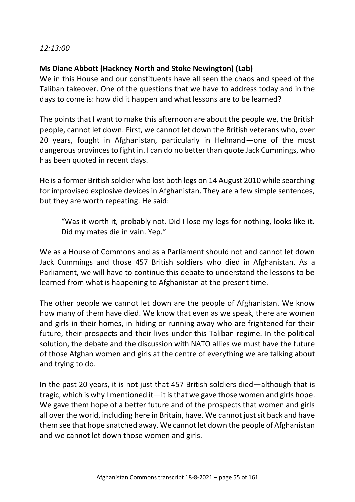#### *12:13:00*

#### **Ms Diane Abbott (Hackney North and Stoke Newington) (Lab)**

We in this House and our constituents have all seen the chaos and speed of the Taliban takeover. One of the questions that we have to address today and in the days to come is: how did it happen and what lessons are to be learned?

The points that I want to make this afternoon are about the people we, the British people, cannot let down. First, we cannot let down the British veterans who, over 20 years, fought in Afghanistan, particularly in Helmand—one of the most dangerous provinces to fight in. I can do no better than quote Jack Cummings, who has been quoted in recent days.

He is a former British soldier who lost both legs on 14 August 2010 while searching for improvised explosive devices in Afghanistan. They are a few simple sentences, but they are worth repeating. He said:

"Was it worth it, probably not. Did I lose my legs for nothing, looks like it. Did my mates die in vain. Yep."

We as a House of Commons and as a Parliament should not and cannot let down Jack Cummings and those 457 British soldiers who died in Afghanistan. As a Parliament, we will have to continue this debate to understand the lessons to be learned from what is happening to Afghanistan at the present time.

The other people we cannot let down are the people of Afghanistan. We know how many of them have died. We know that even as we speak, there are women and girls in their homes, in hiding or running away who are frightened for their future, their prospects and their lives under this Taliban regime. In the political solution, the debate and the discussion with NATO allies we must have the future of those Afghan women and girls at the centre of everything we are talking about and trying to do.

In the past 20 years, it is not just that 457 British soldiers died—although that is tragic, which is why I mentioned it—it is that we gave those women and girls hope. We gave them hope of a better future and of the prospects that women and girls all over the world, including here in Britain, have. We cannot just sit back and have them see that hope snatched away. We cannot let down the people of Afghanistan and we cannot let down those women and girls.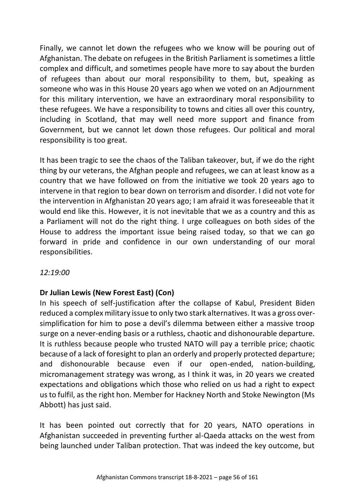Finally, we cannot let down the refugees who we know will be pouring out of Afghanistan. The debate on refugees in the British Parliament is sometimes a little complex and difficult, and sometimes people have more to say about the burden of refugees than about our moral responsibility to them, but, speaking as someone who was in this House 20 years ago when we voted on an Adjournment for this military intervention, we have an extraordinary moral responsibility to these refugees. We have a responsibility to towns and cities all over this country, including in Scotland, that may well need more support and finance from Government, but we cannot let down those refugees. Our political and moral responsibility is too great.

It has been tragic to see the chaos of the Taliban takeover, but, if we do the right thing by our veterans, the Afghan people and refugees, we can at least know as a country that we have followed on from the initiative we took 20 years ago to intervene in that region to bear down on terrorism and disorder. I did not vote for the intervention in Afghanistan 20 years ago; I am afraid it was foreseeable that it would end like this. However, it is not inevitable that we as a country and this as a Parliament will not do the right thing. I urge colleagues on both sides of the House to address the important issue being raised today, so that we can go forward in pride and confidence in our own understanding of our moral responsibilities.

### *12:19:00*

### **Dr Julian Lewis (New Forest East) (Con)**

In his speech of self-justification after the collapse of Kabul, President Biden reduced a complex military issue to only two stark alternatives. It was a gross oversimplification for him to pose a devil's dilemma between either a massive troop surge on a never-ending basis or a ruthless, chaotic and dishonourable departure. It is ruthless because people who trusted NATO will pay a terrible price; chaotic because of a lack of foresight to plan an orderly and properly protected departure; and dishonourable because even if our open-ended, nation-building, micromanagement strategy was wrong, as I think it was, in 20 years we created expectations and obligations which those who relied on us had a right to expect us to fulfil, as the right hon. Member for Hackney North and Stoke Newington (Ms Abbott) has just said.

It has been pointed out correctly that for 20 years, NATO operations in Afghanistan succeeded in preventing further al-Qaeda attacks on the west from being launched under Taliban protection. That was indeed the key outcome, but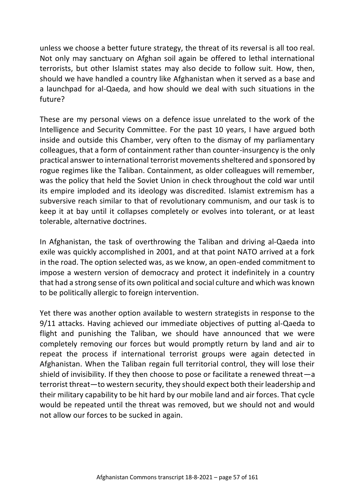unless we choose a better future strategy, the threat of its reversal is all too real. Not only may sanctuary on Afghan soil again be offered to lethal international terrorists, but other Islamist states may also decide to follow suit. How, then, should we have handled a country like Afghanistan when it served as a base and a launchpad for al-Qaeda, and how should we deal with such situations in the future?

These are my personal views on a defence issue unrelated to the work of the Intelligence and Security Committee. For the past 10 years, I have argued both inside and outside this Chamber, very often to the dismay of my parliamentary colleagues, that a form of containment rather than counter-insurgency is the only practical answer to international terrorist movements sheltered and sponsored by rogue regimes like the Taliban. Containment, as older colleagues will remember, was the policy that held the Soviet Union in check throughout the cold war until its empire imploded and its ideology was discredited. Islamist extremism has a subversive reach similar to that of revolutionary communism, and our task is to keep it at bay until it collapses completely or evolves into tolerant, or at least tolerable, alternative doctrines.

In Afghanistan, the task of overthrowing the Taliban and driving al-Qaeda into exile was quickly accomplished in 2001, and at that point NATO arrived at a fork in the road. The option selected was, as we know, an open-ended commitment to impose a western version of democracy and protect it indefinitely in a country that had a strong sense of its own political and social culture and which was known to be politically allergic to foreign intervention.

Yet there was another option available to western strategists in response to the 9/11 attacks. Having achieved our immediate objectives of putting al-Qaeda to flight and punishing the Taliban, we should have announced that we were completely removing our forces but would promptly return by land and air to repeat the process if international terrorist groups were again detected in Afghanistan. When the Taliban regain full territorial control, they will lose their shield of invisibility. If they then choose to pose or facilitate a renewed threat—a terrorist threat—to western security, they should expect both their leadership and their military capability to be hit hard by our mobile land and air forces. That cycle would be repeated until the threat was removed, but we should not and would not allow our forces to be sucked in again.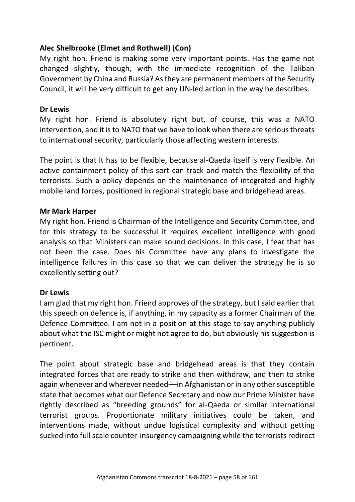## **Alec Shelbrooke (Elmet and Rothwell) (Con)**

My right hon. Friend is making some very important points. Has the game not changed slightly, though, with the immediate recognition of the Taliban Government by China and Russia? As they are permanent members of the Security Council, it will be very difficult to get any UN-led action in the way he describes.

#### **Dr Lewis**

My right hon. Friend is absolutely right but, of course, this was a NATO intervention, and it is to NATO that we have to look when there are serious threats to international security, particularly those affecting western interests.

The point is that it has to be flexible, because al-Qaeda itself is very flexible. An active containment policy of this sort can track and match the flexibility of the terrorists. Such a policy depends on the maintenance of integrated and highly mobile land forces, positioned in regional strategic base and bridgehead areas.

### **Mr Mark Harper**

My right hon. Friend is Chairman of the Intelligence and Security Committee, and for this strategy to be successful it requires excellent intelligence with good analysis so that Ministers can make sound decisions. In this case, I fear that has not been the case. Does his Committee have any plans to investigate the intelligence failures in this case so that we can deliver the strategy he is so excellently setting out?

### **Dr Lewis**

I am glad that my right hon. Friend approves of the strategy, but I said earlier that this speech on defence is, if anything, in my capacity as a former Chairman of the Defence Committee. I am not in a position at this stage to say anything publicly about what the ISC might or might not agree to do, but obviously his suggestion is pertinent.

The point about strategic base and bridgehead areas is that they contain integrated forces that are ready to strike and then withdraw, and then to strike again whenever and wherever needed––in Afghanistan or in any other susceptible state that becomes what our Defence Secretary and now our Prime Minister have rightly described as "breeding grounds" for al-Qaeda or similar international terrorist groups. Proportionate military initiatives could be taken, and interventions made, without undue logistical complexity and without getting sucked into full scale counter-insurgency campaigning while the terrorists redirect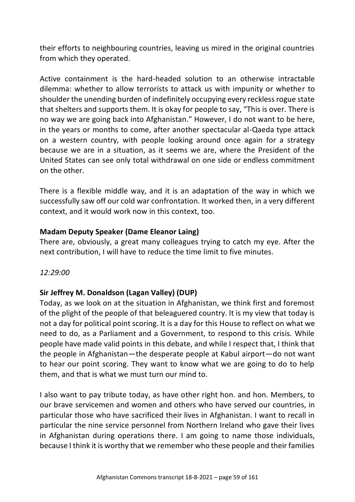their efforts to neighbouring countries, leaving us mired in the original countries from which they operated.

Active containment is the hard-headed solution to an otherwise intractable dilemma: whether to allow terrorists to attack us with impunity or whether to shoulder the unending burden of indefinitely occupying every reckless rogue state that shelters and supports them. It is okay for people to say, "This is over. There is no way we are going back into Afghanistan." However, I do not want to be here, in the years or months to come, after another spectacular al-Qaeda type attack on a western country, with people looking around once again for a strategy because we are in a situation, as it seems we are, where the President of the United States can see only total withdrawal on one side or endless commitment on the other.

There is a flexible middle way, and it is an adaptation of the way in which we successfully saw off our cold war confrontation. It worked then, in a very different context, and it would work now in this context, too.

### **Madam Deputy Speaker (Dame Eleanor Laing)**

There are, obviously, a great many colleagues trying to catch my eye. After the next contribution, I will have to reduce the time limit to five minutes.

*12:29:00*

# **Sir Jeffrey M. Donaldson (Lagan Valley) (DUP)**

Today, as we look on at the situation in Afghanistan, we think first and foremost of the plight of the people of that beleaguered country. It is my view that today is not a day for political point scoring. It is a day for this House to reflect on what we need to do, as a Parliament and a Government, to respond to this crisis. While people have made valid points in this debate, and while I respect that, I think that the people in Afghanistan—the desperate people at Kabul airport—do not want to hear our point scoring. They want to know what we are going to do to help them, and that is what we must turn our mind to.

I also want to pay tribute today, as have other right hon. and hon. Members, to our brave servicemen and women and others who have served our countries, in particular those who have sacrificed their lives in Afghanistan. I want to recall in particular the nine service personnel from Northern Ireland who gave their lives in Afghanistan during operations there. I am going to name those individuals, because I think it is worthy that we remember who these people and their families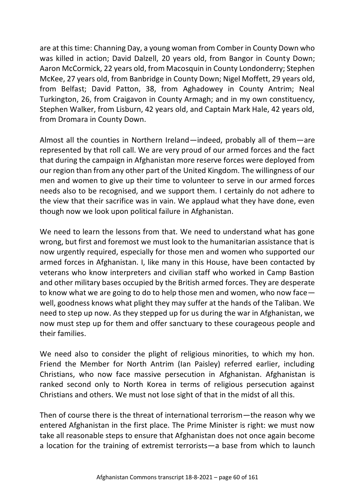are at this time: Channing Day, a young woman from Comber in County Down who was killed in action; David Dalzell, 20 years old, from Bangor in County Down; Aaron McCormick, 22 years old, from Macosquin in County Londonderry; Stephen McKee, 27 years old, from Banbridge in County Down; Nigel Moffett, 29 years old, from Belfast; David Patton, 38, from Aghadowey in County Antrim; Neal Turkington, 26, from Craigavon in County Armagh; and in my own constituency, Stephen Walker, from Lisburn, 42 years old, and Captain Mark Hale, 42 years old, from Dromara in County Down.

Almost all the counties in Northern Ireland—indeed, probably all of them—are represented by that roll call. We are very proud of our armed forces and the fact that during the campaign in Afghanistan more reserve forces were deployed from our region than from any other part of the United Kingdom. The willingness of our men and women to give up their time to volunteer to serve in our armed forces needs also to be recognised, and we support them. I certainly do not adhere to the view that their sacrifice was in vain. We applaud what they have done, even though now we look upon political failure in Afghanistan.

We need to learn the lessons from that. We need to understand what has gone wrong, but first and foremost we must look to the humanitarian assistance that is now urgently required, especially for those men and women who supported our armed forces in Afghanistan. I, like many in this House, have been contacted by veterans who know interpreters and civilian staff who worked in Camp Bastion and other military bases occupied by the British armed forces. They are desperate to know what we are going to do to help those men and women, who now face well, goodness knows what plight they may suffer at the hands of the Taliban. We need to step up now. As they stepped up for us during the war in Afghanistan, we now must step up for them and offer sanctuary to these courageous people and their families.

We need also to consider the plight of religious minorities, to which my hon. Friend the Member for North Antrim (Ian Paisley) referred earlier, including Christians, who now face massive persecution in Afghanistan. Afghanistan is ranked second only to North Korea in terms of religious persecution against Christians and others. We must not lose sight of that in the midst of all this.

Then of course there is the threat of international terrorism—the reason why we entered Afghanistan in the first place. The Prime Minister is right: we must now take all reasonable steps to ensure that Afghanistan does not once again become a location for the training of extremist terrorists—a base from which to launch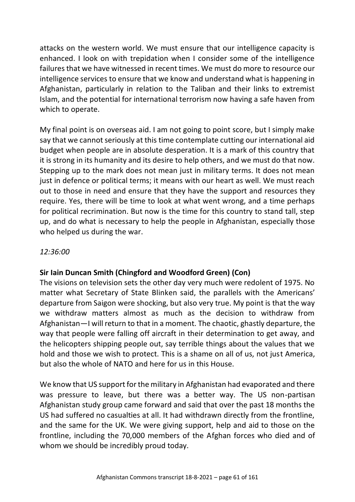attacks on the western world. We must ensure that our intelligence capacity is enhanced. I look on with trepidation when I consider some of the intelligence failures that we have witnessed in recent times. We must do more to resource our intelligence services to ensure that we know and understand what is happening in Afghanistan, particularly in relation to the Taliban and their links to extremist Islam, and the potential for international terrorism now having a safe haven from which to operate.

My final point is on overseas aid. I am not going to point score, but I simply make say that we cannot seriously at this time contemplate cutting our international aid budget when people are in absolute desperation. It is a mark of this country that it is strong in its humanity and its desire to help others, and we must do that now. Stepping up to the mark does not mean just in military terms. It does not mean just in defence or political terms; it means with our heart as well. We must reach out to those in need and ensure that they have the support and resources they require. Yes, there will be time to look at what went wrong, and a time perhaps for political recrimination. But now is the time for this country to stand tall, step up, and do what is necessary to help the people in Afghanistan, especially those who helped us during the war.

## *12:36:00*

### **Sir Iain Duncan Smith (Chingford and Woodford Green) (Con)**

The visions on television sets the other day very much were redolent of 1975. No matter what Secretary of State Blinken said, the parallels with the Americans' departure from Saigon were shocking, but also very true. My point is that the way we withdraw matters almost as much as the decision to withdraw from Afghanistan—I will return to that in a moment. The chaotic, ghastly departure, the way that people were falling off aircraft in their determination to get away, and the helicopters shipping people out, say terrible things about the values that we hold and those we wish to protect. This is a shame on all of us, not just America, but also the whole of NATO and here for us in this House.

We know that US support for the military in Afghanistan had evaporated and there was pressure to leave, but there was a better way. The US non-partisan Afghanistan study group came forward and said that over the past 18 months the US had suffered no casualties at all. It had withdrawn directly from the frontline, and the same for the UK. We were giving support, help and aid to those on the frontline, including the 70,000 members of the Afghan forces who died and of whom we should be incredibly proud today.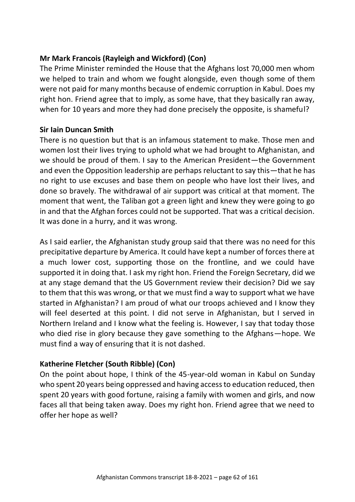# **Mr Mark Francois (Rayleigh and Wickford) (Con)**

The Prime Minister reminded the House that the Afghans lost 70,000 men whom we helped to train and whom we fought alongside, even though some of them were not paid for many months because of endemic corruption in Kabul. Does my right hon. Friend agree that to imply, as some have, that they basically ran away, when for 10 years and more they had done precisely the opposite, is shameful?

# **Sir Iain Duncan Smith**

There is no question but that is an infamous statement to make. Those men and women lost their lives trying to uphold what we had brought to Afghanistan, and we should be proud of them. I say to the American President—the Government and even the Opposition leadership are perhaps reluctant to say this—that he has no right to use excuses and base them on people who have lost their lives, and done so bravely. The withdrawal of air support was critical at that moment. The moment that went, the Taliban got a green light and knew they were going to go in and that the Afghan forces could not be supported. That was a critical decision. It was done in a hurry, and it was wrong.

As I said earlier, the Afghanistan study group said that there was no need for this precipitative departure by America. It could have kept a number of forces there at a much lower cost, supporting those on the frontline, and we could have supported it in doing that. I ask my right hon. Friend the Foreign Secretary, did we at any stage demand that the US Government review their decision? Did we say to them that this was wrong, or that we must find a way to support what we have started in Afghanistan? I am proud of what our troops achieved and I know they will feel deserted at this point. I did not serve in Afghanistan, but I served in Northern Ireland and I know what the feeling is. However, I say that today those who died rise in glory because they gave something to the Afghans—hope. We must find a way of ensuring that it is not dashed.

# **Katherine Fletcher (South Ribble) (Con)**

On the point about hope, I think of the 45-year-old woman in Kabul on Sunday who spent 20 years being oppressed and having access to education reduced, then spent 20 years with good fortune, raising a family with women and girls, and now faces all that being taken away. Does my right hon. Friend agree that we need to offer her hope as well?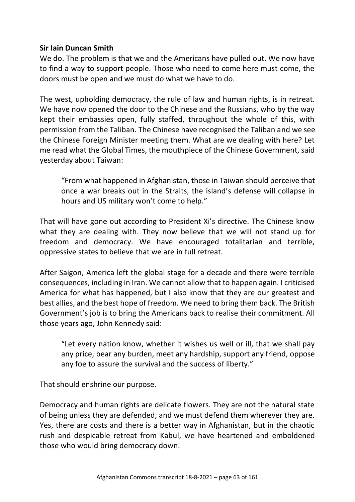### **Sir Iain Duncan Smith**

We do. The problem is that we and the Americans have pulled out. We now have to find a way to support people. Those who need to come here must come, the doors must be open and we must do what we have to do.

The west, upholding democracy, the rule of law and human rights, is in retreat. We have now opened the door to the Chinese and the Russians, who by the way kept their embassies open, fully staffed, throughout the whole of this, with permission from the Taliban. The Chinese have recognised the Taliban and we see the Chinese Foreign Minister meeting them. What are we dealing with here? Let me read what the Global Times, the mouthpiece of the Chinese Government, said yesterday about Taiwan:

"From what happened in Afghanistan, those in Taiwan should perceive that once a war breaks out in the Straits, the island's defense will collapse in hours and US military won't come to help."

That will have gone out according to President Xi's directive. The Chinese know what they are dealing with. They now believe that we will not stand up for freedom and democracy. We have encouraged totalitarian and terrible, oppressive states to believe that we are in full retreat.

After Saigon, America left the global stage for a decade and there were terrible consequences, including in Iran. We cannot allow that to happen again. I criticised America for what has happened, but I also know that they are our greatest and best allies, and the best hope of freedom. We need to bring them back. The British Government's job is to bring the Americans back to realise their commitment. All those years ago, John Kennedy said:

"Let every nation know, whether it wishes us well or ill, that we shall pay any price, bear any burden, meet any hardship, support any friend, oppose any foe to assure the survival and the success of liberty."

That should enshrine our purpose.

Democracy and human rights are delicate flowers. They are not the natural state of being unless they are defended, and we must defend them wherever they are. Yes, there are costs and there is a better way in Afghanistan, but in the chaotic rush and despicable retreat from Kabul, we have heartened and emboldened those who would bring democracy down.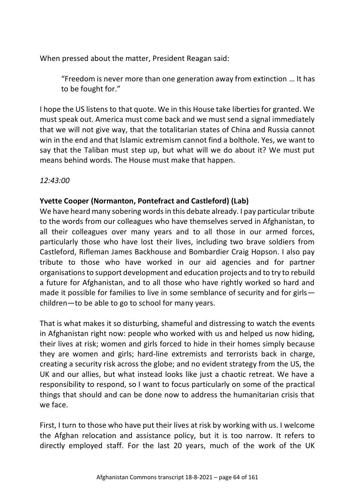When pressed about the matter, President Reagan said:

"Freedom is never more than one generation away from extinction … It has to be fought for."

I hope the US listens to that quote. We in this House take liberties for granted. We must speak out. America must come back and we must send a signal immediately that we will not give way, that the totalitarian states of China and Russia cannot win in the end and that Islamic extremism cannot find a bolthole. Yes, we want to say that the Taliban must step up, but what will we do about it? We must put means behind words. The House must make that happen.

*12:43:00*

# **Yvette Cooper (Normanton, Pontefract and Castleford) (Lab)**

We have heard many sobering words in this debate already. I pay particular tribute to the words from our colleagues who have themselves served in Afghanistan, to all their colleagues over many years and to all those in our armed forces, particularly those who have lost their lives, including two brave soldiers from Castleford, Rifleman James Backhouse and Bombardier Craig Hopson. I also pay tribute to those who have worked in our aid agencies and for partner organisations to support development and education projects and to try to rebuild a future for Afghanistan, and to all those who have rightly worked so hard and made it possible for families to live in some semblance of security and for girls children—to be able to go to school for many years.

That is what makes it so disturbing, shameful and distressing to watch the events in Afghanistan right now: people who worked with us and helped us now hiding, their lives at risk; women and girls forced to hide in their homes simply because they are women and girls; hard-line extremists and terrorists back in charge, creating a security risk across the globe; and no evident strategy from the US, the UK and our allies, but what instead looks like just a chaotic retreat. We have a responsibility to respond, so I want to focus particularly on some of the practical things that should and can be done now to address the humanitarian crisis that we face.

First, I turn to those who have put their lives at risk by working with us. I welcome the Afghan relocation and assistance policy, but it is too narrow. It refers to directly employed staff. For the last 20 years, much of the work of the UK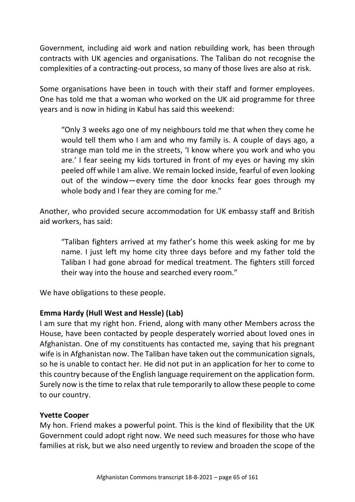Government, including aid work and nation rebuilding work, has been through contracts with UK agencies and organisations. The Taliban do not recognise the complexities of a contracting-out process, so many of those lives are also at risk.

Some organisations have been in touch with their staff and former employees. One has told me that a woman who worked on the UK aid programme for three years and is now in hiding in Kabul has said this weekend:

"Only 3 weeks ago one of my neighbours told me that when they come he would tell them who I am and who my family is. A couple of days ago, a strange man told me in the streets, 'I know where you work and who you are.' I fear seeing my kids tortured in front of my eyes or having my skin peeled off while I am alive. We remain locked inside, fearful of even looking out of the window—every time the door knocks fear goes through my whole body and I fear they are coming for me."

Another, who provided secure accommodation for UK embassy staff and British aid workers, has said:

"Taliban fighters arrived at my father's home this week asking for me by name. I just left my home city three days before and my father told the Taliban I had gone abroad for medical treatment. The fighters still forced their way into the house and searched every room."

We have obligations to these people.

# **Emma Hardy (Hull West and Hessle) (Lab)**

I am sure that my right hon. Friend, along with many other Members across the House, have been contacted by people desperately worried about loved ones in Afghanistan. One of my constituents has contacted me, saying that his pregnant wife is in Afghanistan now. The Taliban have taken out the communication signals, so he is unable to contact her. He did not put in an application for her to come to this country because of the English language requirement on the application form. Surely now is the time to relax that rule temporarily to allow these people to come to our country.

# **Yvette Cooper**

My hon. Friend makes a powerful point. This is the kind of flexibility that the UK Government could adopt right now. We need such measures for those who have families at risk, but we also need urgently to review and broaden the scope of the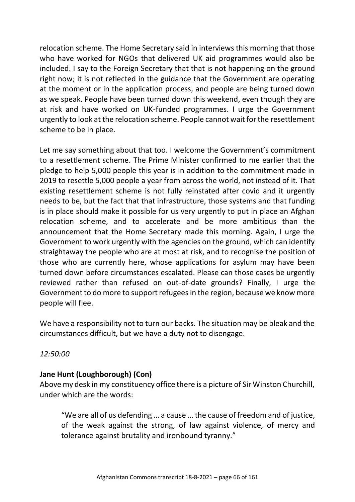relocation scheme. The Home Secretary said in interviews this morning that those who have worked for NGOs that delivered UK aid programmes would also be included. I say to the Foreign Secretary that that is not happening on the ground right now; it is not reflected in the guidance that the Government are operating at the moment or in the application process, and people are being turned down as we speak. People have been turned down this weekend, even though they are at risk and have worked on UK-funded programmes. I urge the Government urgently to look at the relocation scheme. People cannot wait for the resettlement scheme to be in place.

Let me say something about that too. I welcome the Government's commitment to a resettlement scheme. The Prime Minister confirmed to me earlier that the pledge to help 5,000 people this year is in addition to the commitment made in 2019 to resettle 5,000 people a year from across the world, not instead of it. That existing resettlement scheme is not fully reinstated after covid and it urgently needs to be, but the fact that that infrastructure, those systems and that funding is in place should make it possible for us very urgently to put in place an Afghan relocation scheme, and to accelerate and be more ambitious than the announcement that the Home Secretary made this morning. Again, I urge the Government to work urgently with the agencies on the ground, which can identify straightaway the people who are at most at risk, and to recognise the position of those who are currently here, whose applications for asylum may have been turned down before circumstances escalated. Please can those cases be urgently reviewed rather than refused on out-of-date grounds? Finally, I urge the Government to do more to support refugees in the region, because we know more people will flee.

We have a responsibility not to turn our backs. The situation may be bleak and the circumstances difficult, but we have a duty not to disengage.

*12:50:00*

# **Jane Hunt (Loughborough) (Con)**

Above my desk in my constituency office there is a picture of Sir Winston Churchill, under which are the words:

"We are all of us defending … a cause … the cause of freedom and of justice, of the weak against the strong, of law against violence, of mercy and tolerance against brutality and ironbound tyranny."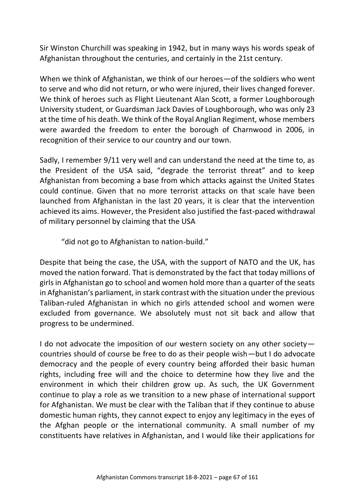Sir Winston Churchill was speaking in 1942, but in many ways his words speak of Afghanistan throughout the centuries, and certainly in the 21st century.

When we think of Afghanistan, we think of our heroes—of the soldiers who went to serve and who did not return, or who were injured, their lives changed forever. We think of heroes such as Flight Lieutenant Alan Scott, a former Loughborough University student, or Guardsman Jack Davies of Loughborough, who was only 23 at the time of his death. We think of the Royal Anglian Regiment, whose members were awarded the freedom to enter the borough of Charnwood in 2006, in recognition of their service to our country and our town.

Sadly, I remember 9/11 very well and can understand the need at the time to, as the President of the USA said, "degrade the terrorist threat" and to keep Afghanistan from becoming a base from which attacks against the United States could continue. Given that no more terrorist attacks on that scale have been launched from Afghanistan in the last 20 years, it is clear that the intervention achieved its aims. However, the President also justified the fast-paced withdrawal of military personnel by claiming that the USA

"did not go to Afghanistan to nation-build."

Despite that being the case, the USA, with the support of NATO and the UK, has moved the nation forward. That is demonstrated by the fact that today millions of girls in Afghanistan go to school and women hold more than a quarter of the seats in Afghanistan's parliament, in stark contrast with the situation under the previous Taliban-ruled Afghanistan in which no girls attended school and women were excluded from governance. We absolutely must not sit back and allow that progress to be undermined.

I do not advocate the imposition of our western society on any other society countries should of course be free to do as their people wish—but I do advocate democracy and the people of every country being afforded their basic human rights, including free will and the choice to determine how they live and the environment in which their children grow up. As such, the UK Government continue to play a role as we transition to a new phase of international support for Afghanistan. We must be clear with the Taliban that if they continue to abuse domestic human rights, they cannot expect to enjoy any legitimacy in the eyes of the Afghan people or the international community. A small number of my constituents have relatives in Afghanistan, and I would like their applications for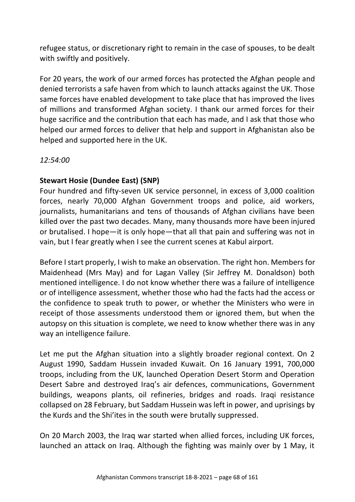refugee status, or discretionary right to remain in the case of spouses, to be dealt with swiftly and positively.

For 20 years, the work of our armed forces has protected the Afghan people and denied terrorists a safe haven from which to launch attacks against the UK. Those same forces have enabled development to take place that has improved the lives of millions and transformed Afghan society. I thank our armed forces for their huge sacrifice and the contribution that each has made, and I ask that those who helped our armed forces to deliver that help and support in Afghanistan also be helped and supported here in the UK.

*12:54:00*

# **Stewart Hosie (Dundee East) (SNP)**

Four hundred and fifty-seven UK service personnel, in excess of 3,000 coalition forces, nearly 70,000 Afghan Government troops and police, aid workers, journalists, humanitarians and tens of thousands of Afghan civilians have been killed over the past two decades. Many, many thousands more have been injured or brutalised. I hope—it is only hope—that all that pain and suffering was not in vain, but I fear greatly when I see the current scenes at Kabul airport.

Before I start properly, I wish to make an observation. The right hon. Members for Maidenhead (Mrs May) and for Lagan Valley (Sir Jeffrey M. Donaldson) both mentioned intelligence. I do not know whether there was a failure of intelligence or of intelligence assessment, whether those who had the facts had the access or the confidence to speak truth to power, or whether the Ministers who were in receipt of those assessments understood them or ignored them, but when the autopsy on this situation is complete, we need to know whether there was in any way an intelligence failure.

Let me put the Afghan situation into a slightly broader regional context. On 2 August 1990, Saddam Hussein invaded Kuwait. On 16 January 1991, 700,000 troops, including from the UK, launched Operation Desert Storm and Operation Desert Sabre and destroyed Iraq's air defences, communications, Government buildings, weapons plants, oil refineries, bridges and roads. Iraqi resistance collapsed on 28 February, but Saddam Hussein was left in power, and uprisings by the Kurds and the Shi'ites in the south were brutally suppressed.

On 20 March 2003, the Iraq war started when allied forces, including UK forces, launched an attack on Iraq. Although the fighting was mainly over by 1 May, it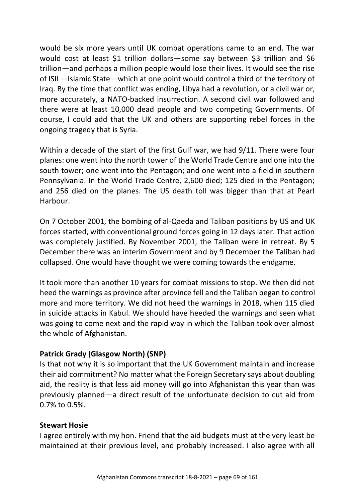would be six more years until UK combat operations came to an end. The war would cost at least \$1 trillion dollars—some say between \$3 trillion and \$6 trillion—and perhaps a million people would lose their lives. It would see the rise of ISIL—Islamic State—which at one point would control a third of the territory of Iraq. By the time that conflict was ending, Libya had a revolution, or a civil war or, more accurately, a NATO-backed insurrection. A second civil war followed and there were at least 10,000 dead people and two competing Governments. Of course, I could add that the UK and others are supporting rebel forces in the ongoing tragedy that is Syria.

Within a decade of the start of the first Gulf war, we had 9/11. There were four planes: one went into the north tower of the World Trade Centre and one into the south tower; one went into the Pentagon; and one went into a field in southern Pennsylvania. In the World Trade Centre, 2,600 died; 125 died in the Pentagon; and 256 died on the planes. The US death toll was bigger than that at Pearl Harbour.

On 7 October 2001, the bombing of al-Qaeda and Taliban positions by US and UK forces started, with conventional ground forces going in 12 days later. That action was completely justified. By November 2001, the Taliban were in retreat. By 5 December there was an interim Government and by 9 December the Taliban had collapsed. One would have thought we were coming towards the endgame.

It took more than another 10 years for combat missions to stop. We then did not heed the warnings as province after province fell and the Taliban began to control more and more territory. We did not heed the warnings in 2018, when 115 died in suicide attacks in Kabul. We should have heeded the warnings and seen what was going to come next and the rapid way in which the Taliban took over almost the whole of Afghanistan.

### **Patrick Grady (Glasgow North) (SNP)**

Is that not why it is so important that the UK Government maintain and increase their aid commitment? No matter what the Foreign Secretary says about doubling aid, the reality is that less aid money will go into Afghanistan this year than was previously planned—a direct result of the unfortunate decision to cut aid from 0.7% to 0.5%.

### **Stewart Hosie**

I agree entirely with my hon. Friend that the aid budgets must at the very least be maintained at their previous level, and probably increased. I also agree with all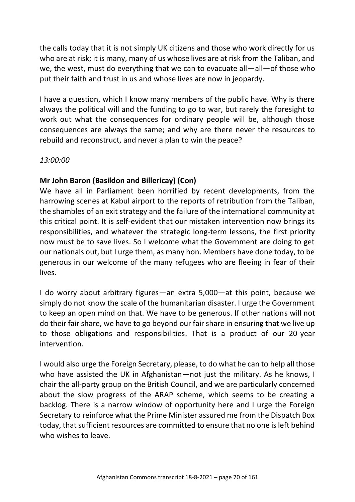the calls today that it is not simply UK citizens and those who work directly for us who are at risk; it is many, many of us whose lives are at risk from the Taliban, and we, the west, must do everything that we can to evacuate all—all—of those who put their faith and trust in us and whose lives are now in jeopardy.

I have a question, which I know many members of the public have. Why is there always the political will and the funding to go to war, but rarely the foresight to work out what the consequences for ordinary people will be, although those consequences are always the same; and why are there never the resources to rebuild and reconstruct, and never a plan to win the peace?

#### *13:00:00*

# **Mr John Baron (Basildon and Billericay) (Con)**

We have all in Parliament been horrified by recent developments, from the harrowing scenes at Kabul airport to the reports of retribution from the Taliban, the shambles of an exit strategy and the failure of the international community at this critical point. It is self-evident that our mistaken intervention now brings its responsibilities, and whatever the strategic long-term lessons, the first priority now must be to save lives. So I welcome what the Government are doing to get our nationals out, but I urge them, as many hon. Members have done today, to be generous in our welcome of the many refugees who are fleeing in fear of their lives.

I do worry about arbitrary figures—an extra 5,000—at this point, because we simply do not know the scale of the humanitarian disaster. I urge the Government to keep an open mind on that. We have to be generous. If other nations will not do their fair share, we have to go beyond our fair share in ensuring that we live up to those obligations and responsibilities. That is a product of our 20-year intervention.

I would also urge the Foreign Secretary, please, to do what he can to help all those who have assisted the UK in Afghanistan—not just the military. As he knows, I chair the all-party group on the British Council, and we are particularly concerned about the slow progress of the ARAP scheme, which seems to be creating a backlog. There is a narrow window of opportunity here and I urge the Foreign Secretary to reinforce what the Prime Minister assured me from the Dispatch Box today, that sufficient resources are committed to ensure that no one is left behind who wishes to leave.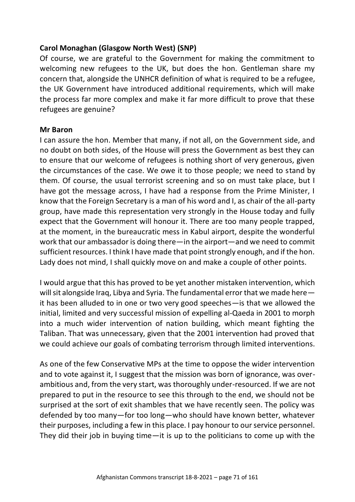## **Carol Monaghan (Glasgow North West) (SNP)**

Of course, we are grateful to the Government for making the commitment to welcoming new refugees to the UK, but does the hon. Gentleman share my concern that, alongside the UNHCR definition of what is required to be a refugee, the UK Government have introduced additional requirements, which will make the process far more complex and make it far more difficult to prove that these refugees are genuine?

#### **Mr Baron**

I can assure the hon. Member that many, if not all, on the Government side, and no doubt on both sides, of the House will press the Government as best they can to ensure that our welcome of refugees is nothing short of very generous, given the circumstances of the case. We owe it to those people; we need to stand by them. Of course, the usual terrorist screening and so on must take place, but I have got the message across, I have had a response from the Prime Minister, I know that the Foreign Secretary is a man of his word and I, as chair of the all-party group, have made this representation very strongly in the House today and fully expect that the Government will honour it. There are too many people trapped, at the moment, in the bureaucratic mess in Kabul airport, despite the wonderful work that our ambassador is doing there—in the airport—and we need to commit sufficient resources. I think I have made that point strongly enough, and if the hon. Lady does not mind, I shall quickly move on and make a couple of other points.

I would argue that this has proved to be yet another mistaken intervention, which will sit alongside Iraq, Libya and Syria. The fundamental error that we made here it has been alluded to in one or two very good speeches—is that we allowed the initial, limited and very successful mission of expelling al-Qaeda in 2001 to morph into a much wider intervention of nation building, which meant fighting the Taliban. That was unnecessary, given that the 2001 intervention had proved that we could achieve our goals of combating terrorism through limited interventions.

As one of the few Conservative MPs at the time to oppose the wider intervention and to vote against it, I suggest that the mission was born of ignorance, was overambitious and, from the very start, was thoroughly under-resourced. If we are not prepared to put in the resource to see this through to the end, we should not be surprised at the sort of exit shambles that we have recently seen. The policy was defended by too many—for too long—who should have known better, whatever their purposes, including a few in this place. I pay honour to our service personnel. They did their job in buying time—it is up to the politicians to come up with the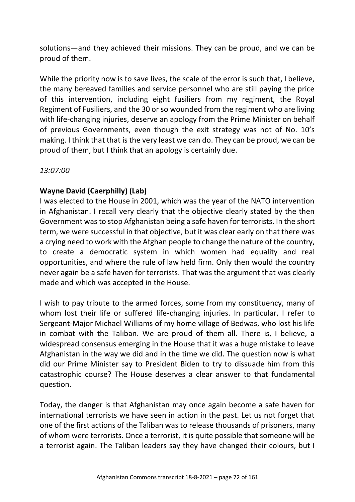solutions—and they achieved their missions. They can be proud, and we can be proud of them.

While the priority now is to save lives, the scale of the error is such that, I believe, the many bereaved families and service personnel who are still paying the price of this intervention, including eight fusiliers from my regiment, the Royal Regiment of Fusiliers, and the 30 or so wounded from the regiment who are living with life-changing injuries, deserve an apology from the Prime Minister on behalf of previous Governments, even though the exit strategy was not of No. 10's making. I think that that is the very least we can do. They can be proud, we can be proud of them, but I think that an apology is certainly due.

*13:07:00*

# **Wayne David (Caerphilly) (Lab)**

I was elected to the House in 2001, which was the year of the NATO intervention in Afghanistan. I recall very clearly that the objective clearly stated by the then Government was to stop Afghanistan being a safe haven for terrorists. In the short term, we were successful in that objective, but it was clear early on that there was a crying need to work with the Afghan people to change the nature of the country, to create a democratic system in which women had equality and real opportunities, and where the rule of law held firm. Only then would the country never again be a safe haven for terrorists. That was the argument that was clearly made and which was accepted in the House.

I wish to pay tribute to the armed forces, some from my constituency, many of whom lost their life or suffered life-changing injuries. In particular, I refer to Sergeant-Major Michael Williams of my home village of Bedwas, who lost his life in combat with the Taliban. We are proud of them all. There is, I believe, a widespread consensus emerging in the House that it was a huge mistake to leave Afghanistan in the way we did and in the time we did. The question now is what did our Prime Minister say to President Biden to try to dissuade him from this catastrophic course? The House deserves a clear answer to that fundamental question.

Today, the danger is that Afghanistan may once again become a safe haven for international terrorists we have seen in action in the past. Let us not forget that one of the first actions of the Taliban was to release thousands of prisoners, many of whom were terrorists. Once a terrorist, it is quite possible that someone will be a terrorist again. The Taliban leaders say they have changed their colours, but I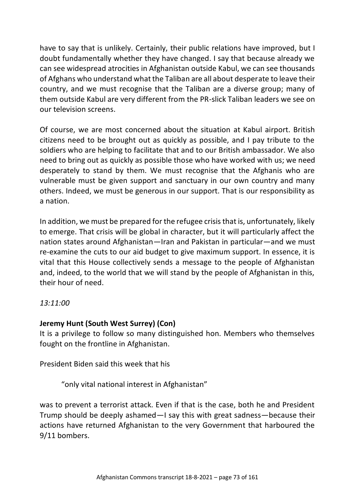have to say that is unlikely. Certainly, their public relations have improved, but I doubt fundamentally whether they have changed. I say that because already we can see widespread atrocities in Afghanistan outside Kabul, we can see thousands of Afghans who understand what the Taliban are all about desperate to leave their country, and we must recognise that the Taliban are a diverse group; many of them outside Kabul are very different from the PR-slick Taliban leaders we see on our television screens.

Of course, we are most concerned about the situation at Kabul airport. British citizens need to be brought out as quickly as possible, and I pay tribute to the soldiers who are helping to facilitate that and to our British ambassador. We also need to bring out as quickly as possible those who have worked with us; we need desperately to stand by them. We must recognise that the Afghanis who are vulnerable must be given support and sanctuary in our own country and many others. Indeed, we must be generous in our support. That is our responsibility as a nation.

In addition, we must be prepared for the refugee crisis that is, unfortunately, likely to emerge. That crisis will be global in character, but it will particularly affect the nation states around Afghanistan—Iran and Pakistan in particular—and we must re-examine the cuts to our aid budget to give maximum support. In essence, it is vital that this House collectively sends a message to the people of Afghanistan and, indeed, to the world that we will stand by the people of Afghanistan in this, their hour of need.

*13:11:00*

# **Jeremy Hunt (South West Surrey) (Con)**

It is a privilege to follow so many distinguished hon. Members who themselves fought on the frontline in Afghanistan.

President Biden said this week that his

"only vital national interest in Afghanistan"

was to prevent a terrorist attack. Even if that is the case, both he and President Trump should be deeply ashamed—I say this with great sadness—because their actions have returned Afghanistan to the very Government that harboured the 9/11 bombers.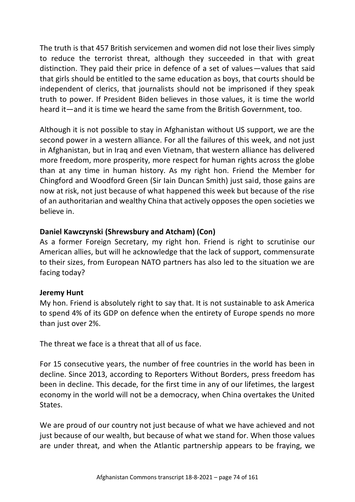The truth is that 457 British servicemen and women did not lose their lives simply to reduce the terrorist threat, although they succeeded in that with great distinction. They paid their price in defence of a set of values—values that said that girls should be entitled to the same education as boys, that courts should be independent of clerics, that journalists should not be imprisoned if they speak truth to power. If President Biden believes in those values, it is time the world heard it—and it is time we heard the same from the British Government, too.

Although it is not possible to stay in Afghanistan without US support, we are the second power in a western alliance. For all the failures of this week, and not just in Afghanistan, but in Iraq and even Vietnam, that western alliance has delivered more freedom, more prosperity, more respect for human rights across the globe than at any time in human history. As my right hon. Friend the Member for Chingford and Woodford Green (Sir Iain Duncan Smith) just said, those gains are now at risk, not just because of what happened this week but because of the rise of an authoritarian and wealthy China that actively opposes the open societies we believe in.

# **Daniel Kawczynski (Shrewsbury and Atcham) (Con)**

As a former Foreign Secretary, my right hon. Friend is right to scrutinise our American allies, but will he acknowledge that the lack of support, commensurate to their sizes, from European NATO partners has also led to the situation we are facing today?

#### **Jeremy Hunt**

My hon. Friend is absolutely right to say that. It is not sustainable to ask America to spend 4% of its GDP on defence when the entirety of Europe spends no more than just over 2%.

The threat we face is a threat that all of us face.

For 15 consecutive years, the number of free countries in the world has been in decline. Since 2013, according to Reporters Without Borders, press freedom has been in decline. This decade, for the first time in any of our lifetimes, the largest economy in the world will not be a democracy, when China overtakes the United States.

We are proud of our country not just because of what we have achieved and not just because of our wealth, but because of what we stand for. When those values are under threat, and when the Atlantic partnership appears to be fraying, we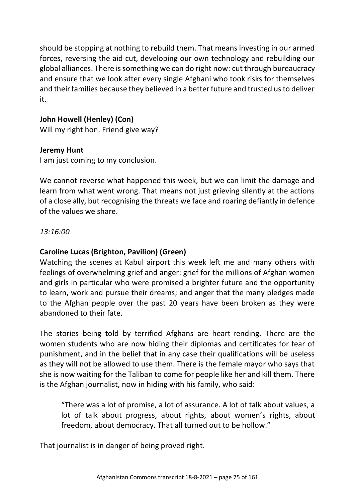should be stopping at nothing to rebuild them. That means investing in our armed forces, reversing the aid cut, developing our own technology and rebuilding our global alliances. There is something we can do right now: cut through bureaucracy and ensure that we look after every single Afghani who took risks for themselves and their families because they believed in a better future and trusted us to deliver it.

# **John Howell (Henley) (Con)**

Will my right hon. Friend give way?

#### **Jeremy Hunt**

I am just coming to my conclusion.

We cannot reverse what happened this week, but we can limit the damage and learn from what went wrong. That means not just grieving silently at the actions of a close ally, but recognising the threats we face and roaring defiantly in defence of the values we share.

#### *13:16:00*

# **Caroline Lucas (Brighton, Pavilion) (Green)**

Watching the scenes at Kabul airport this week left me and many others with feelings of overwhelming grief and anger: grief for the millions of Afghan women and girls in particular who were promised a brighter future and the opportunity to learn, work and pursue their dreams; and anger that the many pledges made to the Afghan people over the past 20 years have been broken as they were abandoned to their fate.

The stories being told by terrified Afghans are heart-rending. There are the women students who are now hiding their diplomas and certificates for fear of punishment, and in the belief that in any case their qualifications will be useless as they will not be allowed to use them. There is the female mayor who says that she is now waiting for the Taliban to come for people like her and kill them. There is the Afghan journalist, now in hiding with his family, who said:

"There was a lot of promise, a lot of assurance. A lot of talk about values, a lot of talk about progress, about rights, about women's rights, about freedom, about democracy. That all turned out to be hollow."

That journalist is in danger of being proved right.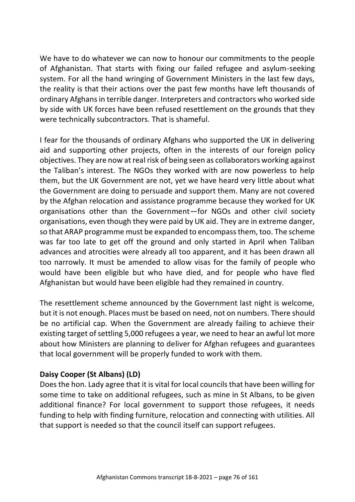We have to do whatever we can now to honour our commitments to the people of Afghanistan. That starts with fixing our failed refugee and asylum-seeking system. For all the hand wringing of Government Ministers in the last few days, the reality is that their actions over the past few months have left thousands of ordinary Afghans in terrible danger. Interpreters and contractors who worked side by side with UK forces have been refused resettlement on the grounds that they were technically subcontractors. That is shameful.

I fear for the thousands of ordinary Afghans who supported the UK in delivering aid and supporting other projects, often in the interests of our foreign policy objectives. They are now at real risk of being seen as collaborators working against the Taliban's interest. The NGOs they worked with are now powerless to help them, but the UK Government are not, yet we have heard very little about what the Government are doing to persuade and support them. Many are not covered by the Afghan relocation and assistance programme because they worked for UK organisations other than the Government—for NGOs and other civil society organisations, even though they were paid by UK aid. They are in extreme danger, so that ARAP programme must be expanded to encompass them, too. The scheme was far too late to get off the ground and only started in April when Taliban advances and atrocities were already all too apparent, and it has been drawn all too narrowly. It must be amended to allow visas for the family of people who would have been eligible but who have died, and for people who have fled Afghanistan but would have been eligible had they remained in country.

The resettlement scheme announced by the Government last night is welcome, but it is not enough. Places must be based on need, not on numbers. There should be no artificial cap. When the Government are already failing to achieve their existing target of settling 5,000 refugees a year, we need to hear an awful lot more about how Ministers are planning to deliver for Afghan refugees and guarantees that local government will be properly funded to work with them.

# **Daisy Cooper (St Albans) (LD)**

Does the hon. Lady agree that it is vital for local councils that have been willing for some time to take on additional refugees, such as mine in St Albans, to be given additional finance? For local government to support those refugees, it needs funding to help with finding furniture, relocation and connecting with utilities. All that support is needed so that the council itself can support refugees.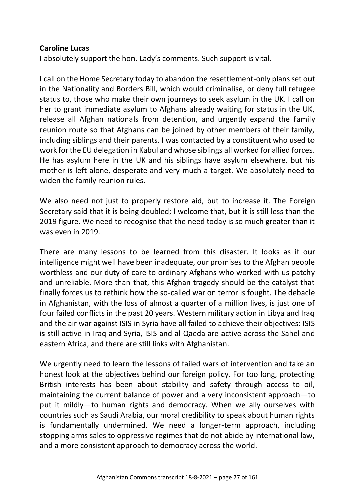#### **Caroline Lucas**

I absolutely support the hon. Lady's comments. Such support is vital.

I call on the Home Secretary today to abandon the resettlement-only plans set out in the Nationality and Borders Bill, which would criminalise, or deny full refugee status to, those who make their own journeys to seek asylum in the UK. I call on her to grant immediate asylum to Afghans already waiting for status in the UK, release all Afghan nationals from detention, and urgently expand the family reunion route so that Afghans can be joined by other members of their family, including siblings and their parents. I was contacted by a constituent who used to work for the EU delegation in Kabul and whose siblings all worked for allied forces. He has asylum here in the UK and his siblings have asylum elsewhere, but his mother is left alone, desperate and very much a target. We absolutely need to widen the family reunion rules.

We also need not just to properly restore aid, but to increase it. The Foreign Secretary said that it is being doubled; I welcome that, but it is still less than the 2019 figure. We need to recognise that the need today is so much greater than it was even in 2019.

There are many lessons to be learned from this disaster. It looks as if our intelligence might well have been inadequate, our promises to the Afghan people worthless and our duty of care to ordinary Afghans who worked with us patchy and unreliable. More than that, this Afghan tragedy should be the catalyst that finally forces us to rethink how the so-called war on terror is fought. The debacle in Afghanistan, with the loss of almost a quarter of a million lives, is just one of four failed conflicts in the past 20 years. Western military action in Libya and Iraq and the air war against ISIS in Syria have all failed to achieve their objectives: ISIS is still active in Iraq and Syria, ISIS and al-Qaeda are active across the Sahel and eastern Africa, and there are still links with Afghanistan.

We urgently need to learn the lessons of failed wars of intervention and take an honest look at the objectives behind our foreign policy. For too long, protecting British interests has been about stability and safety through access to oil, maintaining the current balance of power and a very inconsistent approach—to put it mildly—to human rights and democracy. When we ally ourselves with countries such as Saudi Arabia, our moral credibility to speak about human rights is fundamentally undermined. We need a longer-term approach, including stopping arms sales to oppressive regimes that do not abide by international law, and a more consistent approach to democracy across the world.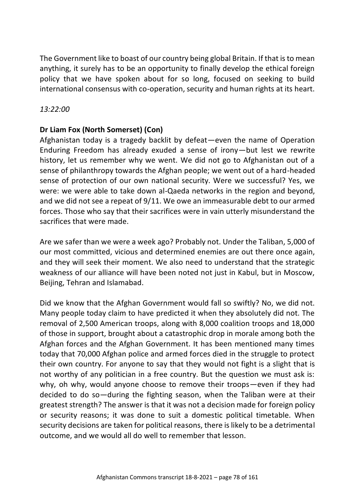The Government like to boast of our country being global Britain. If that is to mean anything, it surely has to be an opportunity to finally develop the ethical foreign policy that we have spoken about for so long, focused on seeking to build international consensus with co-operation, security and human rights at its heart.

# *13:22:00*

# **Dr Liam Fox (North Somerset) (Con)**

Afghanistan today is a tragedy backlit by defeat—even the name of Operation Enduring Freedom has already exuded a sense of irony—but lest we rewrite history, let us remember why we went. We did not go to Afghanistan out of a sense of philanthropy towards the Afghan people; we went out of a hard-headed sense of protection of our own national security. Were we successful? Yes, we were: we were able to take down al-Qaeda networks in the region and beyond, and we did not see a repeat of 9/11. We owe an immeasurable debt to our armed forces. Those who say that their sacrifices were in vain utterly misunderstand the sacrifices that were made.

Are we safer than we were a week ago? Probably not. Under the Taliban, 5,000 of our most committed, vicious and determined enemies are out there once again, and they will seek their moment. We also need to understand that the strategic weakness of our alliance will have been noted not just in Kabul, but in Moscow, Beijing, Tehran and Islamabad.

Did we know that the Afghan Government would fall so swiftly? No, we did not. Many people today claim to have predicted it when they absolutely did not. The removal of 2,500 American troops, along with 8,000 coalition troops and 18,000 of those in support, brought about a catastrophic drop in morale among both the Afghan forces and the Afghan Government. It has been mentioned many times today that 70,000 Afghan police and armed forces died in the struggle to protect their own country. For anyone to say that they would not fight is a slight that is not worthy of any politician in a free country. But the question we must ask is: why, oh why, would anyone choose to remove their troops—even if they had decided to do so—during the fighting season, when the Taliban were at their greatest strength? The answer is that it was not a decision made for foreign policy or security reasons; it was done to suit a domestic political timetable. When security decisions are taken for political reasons, there is likely to be a detrimental outcome, and we would all do well to remember that lesson.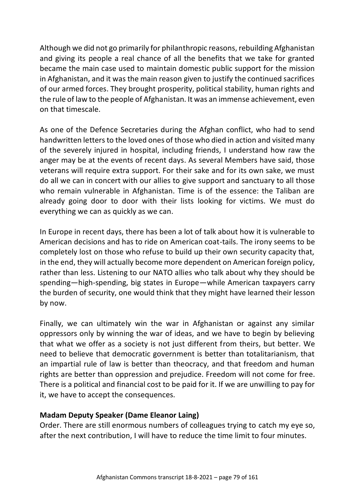Although we did not go primarily for philanthropic reasons, rebuilding Afghanistan and giving its people a real chance of all the benefits that we take for granted became the main case used to maintain domestic public support for the mission in Afghanistan, and it was the main reason given to justify the continued sacrifices of our armed forces. They brought prosperity, political stability, human rights and the rule of law to the people of Afghanistan. It was an immense achievement, even on that timescale.

As one of the Defence Secretaries during the Afghan conflict, who had to send handwritten letters to the loved ones of those who died in action and visited many of the severely injured in hospital, including friends, I understand how raw the anger may be at the events of recent days. As several Members have said, those veterans will require extra support. For their sake and for its own sake, we must do all we can in concert with our allies to give support and sanctuary to all those who remain vulnerable in Afghanistan. Time is of the essence: the Taliban are already going door to door with their lists looking for victims. We must do everything we can as quickly as we can.

In Europe in recent days, there has been a lot of talk about how it is vulnerable to American decisions and has to ride on American coat-tails. The irony seems to be completely lost on those who refuse to build up their own security capacity that, in the end, they will actually become more dependent on American foreign policy, rather than less. Listening to our NATO allies who talk about why they should be spending—high-spending, big states in Europe—while American taxpayers carry the burden of security, one would think that they might have learned their lesson by now.

Finally, we can ultimately win the war in Afghanistan or against any similar oppressors only by winning the war of ideas, and we have to begin by believing that what we offer as a society is not just different from theirs, but better. We need to believe that democratic government is better than totalitarianism, that an impartial rule of law is better than theocracy, and that freedom and human rights are better than oppression and prejudice. Freedom will not come for free. There is a political and financial cost to be paid for it. If we are unwilling to pay for it, we have to accept the consequences.

# **Madam Deputy Speaker (Dame Eleanor Laing)**

Order. There are still enormous numbers of colleagues trying to catch my eye so, after the next contribution, I will have to reduce the time limit to four minutes.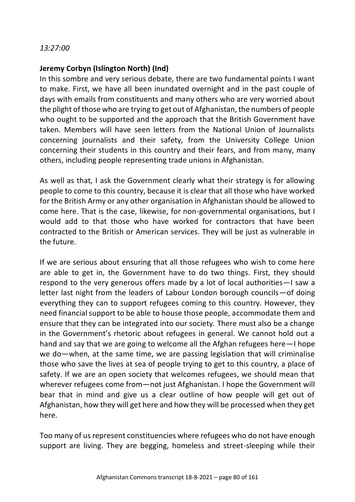### **Jeremy Corbyn (Islington North) (Ind)**

In this sombre and very serious debate, there are two fundamental points I want to make. First, we have all been inundated overnight and in the past couple of days with emails from constituents and many others who are very worried about the plight of those who are trying to get out of Afghanistan, the numbers of people who ought to be supported and the approach that the British Government have taken. Members will have seen letters from the National Union of Journalists concerning journalists and their safety, from the University College Union concerning their students in this country and their fears, and from many, many others, including people representing trade unions in Afghanistan.

As well as that, I ask the Government clearly what their strategy is for allowing people to come to this country, because it is clear that all those who have worked for the British Army or any other organisation in Afghanistan should be allowed to come here. That is the case, likewise, for non-governmental organisations, but I would add to that those who have worked for contractors that have been contracted to the British or American services. They will be just as vulnerable in the future.

If we are serious about ensuring that all those refugees who wish to come here are able to get in, the Government have to do two things. First, they should respond to the very generous offers made by a lot of local authorities—I saw a letter last night from the leaders of Labour London borough councils—of doing everything they can to support refugees coming to this country. However, they need financial support to be able to house those people, accommodate them and ensure that they can be integrated into our society. There must also be a change in the Government's rhetoric about refugees in general. We cannot hold out a hand and say that we are going to welcome all the Afghan refugees here—I hope we do—when, at the same time, we are passing legislation that will criminalise those who save the lives at sea of people trying to get to this country, a place of safety. If we are an open society that welcomes refugees, we should mean that wherever refugees come from—not just Afghanistan. I hope the Government will bear that in mind and give us a clear outline of how people will get out of Afghanistan, how they will get here and how they will be processed when they get here.

Too many of us represent constituencies where refugees who do not have enough support are living. They are begging, homeless and street-sleeping while their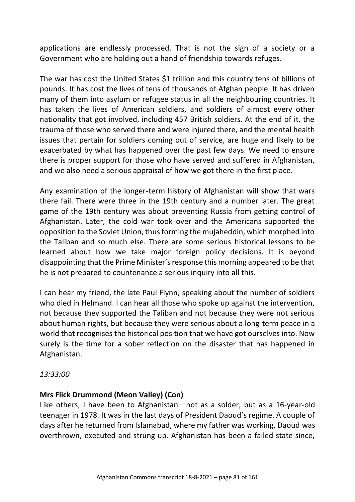applications are endlessly processed. That is not the sign of a society or a Government who are holding out a hand of friendship towards refuges.

The war has cost the United States \$1 trillion and this country tens of billions of pounds. It has cost the lives of tens of thousands of Afghan people. It has driven many of them into asylum or refugee status in all the neighbouring countries. It has taken the lives of American soldiers, and soldiers of almost every other nationality that got involved, including 457 British soldiers. At the end of it, the trauma of those who served there and were injured there, and the mental health issues that pertain for soldiers coming out of service, are huge and likely to be exacerbated by what has happened over the past few days. We need to ensure there is proper support for those who have served and suffered in Afghanistan, and we also need a serious appraisal of how we got there in the first place.

Any examination of the longer-term history of Afghanistan will show that wars there fail. There were three in the 19th century and a number later. The great game of the 19th century was about preventing Russia from getting control of Afghanistan. Later, the cold war took over and the Americans supported the opposition to the Soviet Union, thus forming the mujaheddin, which morphed into the Taliban and so much else. There are some serious historical lessons to be learned about how we take major foreign policy decisions. It is beyond disappointing that the Prime Minister's response this morning appeared to be that he is not prepared to countenance a serious inquiry into all this.

I can hear my friend, the late Paul Flynn, speaking about the number of soldiers who died in Helmand. I can hear all those who spoke up against the intervention, not because they supported the Taliban and not because they were not serious about human rights, but because they were serious about a long-term peace in a world that recognises the historical position that we have got ourselves into. Now surely is the time for a sober reflection on the disaster that has happened in Afghanistan.

*13:33:00*

# **Mrs Flick Drummond (Meon Valley) (Con)**

Like others, I have been to Afghanistan—not as a solder, but as a 16-year-old teenager in 1978. It was in the last days of President Daoud's regime. A couple of days after he returned from Islamabad, where my father was working, Daoud was overthrown, executed and strung up. Afghanistan has been a failed state since,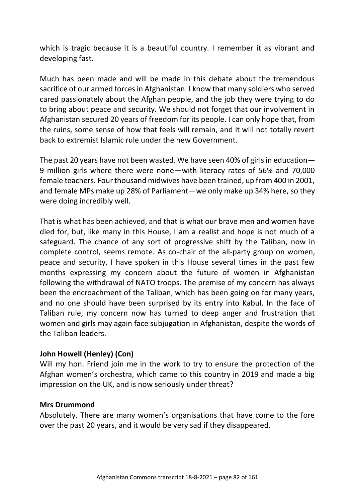which is tragic because it is a beautiful country. I remember it as vibrant and developing fast.

Much has been made and will be made in this debate about the tremendous sacrifice of our armed forces in Afghanistan. I know that many soldiers who served cared passionately about the Afghan people, and the job they were trying to do to bring about peace and security. We should not forget that our involvement in Afghanistan secured 20 years of freedom for its people. I can only hope that, from the ruins, some sense of how that feels will remain, and it will not totally revert back to extremist Islamic rule under the new Government.

The past 20 years have not been wasted. We have seen 40% of girls in education— 9 million girls where there were none—with literacy rates of 56% and 70,000 female teachers. Four thousand midwives have been trained, up from 400 in 2001, and female MPs make up 28% of Parliament—we only make up 34% here, so they were doing incredibly well.

That is what has been achieved, and that is what our brave men and women have died for, but, like many in this House, I am a realist and hope is not much of a safeguard. The chance of any sort of progressive shift by the Taliban, now in complete control, seems remote. As co-chair of the all-party group on women, peace and security, I have spoken in this House several times in the past few months expressing my concern about the future of women in Afghanistan following the withdrawal of NATO troops. The premise of my concern has always been the encroachment of the Taliban, which has been going on for many years, and no one should have been surprised by its entry into Kabul. In the face of Taliban rule, my concern now has turned to deep anger and frustration that women and girls may again face subjugation in Afghanistan, despite the words of the Taliban leaders.

# **John Howell (Henley) (Con)**

Will my hon. Friend join me in the work to try to ensure the protection of the Afghan women's orchestra, which came to this country in 2019 and made a big impression on the UK, and is now seriously under threat?

#### **Mrs Drummond**

Absolutely. There are many women's organisations that have come to the fore over the past 20 years, and it would be very sad if they disappeared.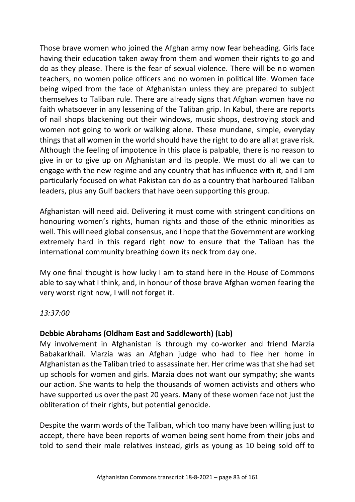Those brave women who joined the Afghan army now fear beheading. Girls face having their education taken away from them and women their rights to go and do as they please. There is the fear of sexual violence. There will be no women teachers, no women police officers and no women in political life. Women face being wiped from the face of Afghanistan unless they are prepared to subject themselves to Taliban rule. There are already signs that Afghan women have no faith whatsoever in any lessening of the Taliban grip. In Kabul, there are reports of nail shops blackening out their windows, music shops, destroying stock and women not going to work or walking alone. These mundane, simple, everyday things that all women in the world should have the right to do are all at grave risk. Although the feeling of impotence in this place is palpable, there is no reason to give in or to give up on Afghanistan and its people. We must do all we can to engage with the new regime and any country that has influence with it, and I am particularly focused on what Pakistan can do as a country that harboured Taliban leaders, plus any Gulf backers that have been supporting this group.

Afghanistan will need aid. Delivering it must come with stringent conditions on honouring women's rights, human rights and those of the ethnic minorities as well. This will need global consensus, and I hope that the Government are working extremely hard in this regard right now to ensure that the Taliban has the international community breathing down its neck from day one.

My one final thought is how lucky I am to stand here in the House of Commons able to say what I think, and, in honour of those brave Afghan women fearing the very worst right now, I will not forget it.

*13:37:00*

# **Debbie Abrahams (Oldham East and Saddleworth) (Lab)**

My involvement in Afghanistan is through my co-worker and friend Marzia Babakarkhail. Marzia was an Afghan judge who had to flee her home in Afghanistan as the Taliban tried to assassinate her. Her crime was that she had set up schools for women and girls. Marzia does not want our sympathy; she wants our action. She wants to help the thousands of women activists and others who have supported us over the past 20 years. Many of these women face not just the obliteration of their rights, but potential genocide.

Despite the warm words of the Taliban, which too many have been willing just to accept, there have been reports of women being sent home from their jobs and told to send their male relatives instead, girls as young as 10 being sold off to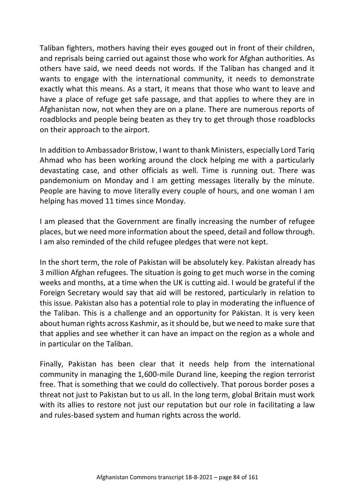Taliban fighters, mothers having their eyes gouged out in front of their children, and reprisals being carried out against those who work for Afghan authorities. As others have said, we need deeds not words. If the Taliban has changed and it wants to engage with the international community, it needs to demonstrate exactly what this means. As a start, it means that those who want to leave and have a place of refuge get safe passage, and that applies to where they are in Afghanistan now, not when they are on a plane. There are numerous reports of roadblocks and people being beaten as they try to get through those roadblocks on their approach to the airport.

In addition to Ambassador Bristow, I want to thank Ministers, especially Lord Tariq Ahmad who has been working around the clock helping me with a particularly devastating case, and other officials as well. Time is running out. There was pandemonium on Monday and I am getting messages literally by the minute. People are having to move literally every couple of hours, and one woman I am helping has moved 11 times since Monday.

I am pleased that the Government are finally increasing the number of refugee places, but we need more information about the speed, detail and follow through. I am also reminded of the child refugee pledges that were not kept.

In the short term, the role of Pakistan will be absolutely key. Pakistan already has 3 million Afghan refugees. The situation is going to get much worse in the coming weeks and months, at a time when the UK is cutting aid. I would be grateful if the Foreign Secretary would say that aid will be restored, particularly in relation to this issue. Pakistan also has a potential role to play in moderating the influence of the Taliban. This is a challenge and an opportunity for Pakistan. It is very keen about human rights across Kashmir, as it should be, but we need to make sure that that applies and see whether it can have an impact on the region as a whole and in particular on the Taliban.

Finally, Pakistan has been clear that it needs help from the international community in managing the 1,600-mile Durand line, keeping the region terrorist free. That is something that we could do collectively. That porous border poses a threat not just to Pakistan but to us all. In the long term, global Britain must work with its allies to restore not just our reputation but our role in facilitating a law and rules-based system and human rights across the world.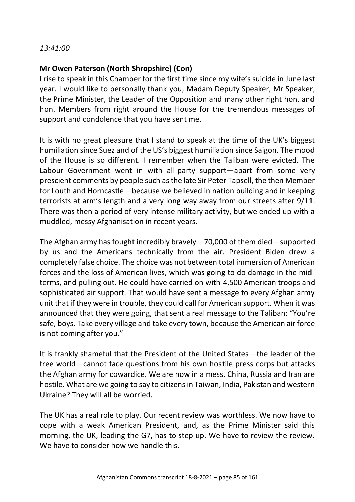#### *13:41:00*

#### **Mr Owen Paterson (North Shropshire) (Con)**

I rise to speak in this Chamber for the first time since my wife's suicide in June last year. I would like to personally thank you, Madam Deputy Speaker, Mr Speaker, the Prime Minister, the Leader of the Opposition and many other right hon. and hon. Members from right around the House for the tremendous messages of support and condolence that you have sent me.

It is with no great pleasure that I stand to speak at the time of the UK's biggest humiliation since Suez and of the US's biggest humiliation since Saigon. The mood of the House is so different. I remember when the Taliban were evicted. The Labour Government went in with all-party support—apart from some very prescient comments by people such as the late Sir Peter Tapsell, the then Member for Louth and Horncastle—because we believed in nation building and in keeping terrorists at arm's length and a very long way away from our streets after 9/11. There was then a period of very intense military activity, but we ended up with a muddled, messy Afghanisation in recent years.

The Afghan army has fought incredibly bravely—70,000 of them died—supported by us and the Americans technically from the air. President Biden drew a completely false choice. The choice was not between total immersion of American forces and the loss of American lives, which was going to do damage in the midterms, and pulling out. He could have carried on with 4,500 American troops and sophisticated air support. That would have sent a message to every Afghan army unit that if they were in trouble, they could call for American support. When it was announced that they were going, that sent a real message to the Taliban: "You're safe, boys. Take every village and take every town, because the American air force is not coming after you."

It is frankly shameful that the President of the United States—the leader of the free world—cannot face questions from his own hostile press corps but attacks the Afghan army for cowardice. We are now in a mess. China, Russia and Iran are hostile. What are we going to say to citizens in Taiwan, India, Pakistan and western Ukraine? They will all be worried.

The UK has a real role to play. Our recent review was worthless. We now have to cope with a weak American President, and, as the Prime Minister said this morning, the UK, leading the G7, has to step up. We have to review the review. We have to consider how we handle this.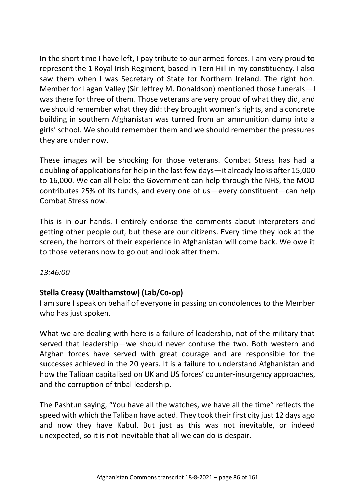In the short time I have left, I pay tribute to our armed forces. I am very proud to represent the 1 Royal Irish Regiment, based in Tern Hill in my constituency. I also saw them when I was Secretary of State for Northern Ireland. The right hon. Member for Lagan Valley (Sir Jeffrey M. Donaldson) mentioned those funerals—I was there for three of them. Those veterans are very proud of what they did, and we should remember what they did: they brought women's rights, and a concrete building in southern Afghanistan was turned from an ammunition dump into a girls' school. We should remember them and we should remember the pressures they are under now.

These images will be shocking for those veterans. Combat Stress has had a doubling of applications for help in the last few days—it already looks after 15,000 to 16,000. We can all help: the Government can help through the NHS, the MOD contributes 25% of its funds, and every one of us—every constituent—can help Combat Stress now.

This is in our hands. I entirely endorse the comments about interpreters and getting other people out, but these are our citizens. Every time they look at the screen, the horrors of their experience in Afghanistan will come back. We owe it to those veterans now to go out and look after them.

*13:46:00*

# **Stella Creasy (Walthamstow) (Lab/Co-op)**

I am sure I speak on behalf of everyone in passing on condolences to the Member who has just spoken.

What we are dealing with here is a failure of leadership, not of the military that served that leadership—we should never confuse the two. Both western and Afghan forces have served with great courage and are responsible for the successes achieved in the 20 years. It is a failure to understand Afghanistan and how the Taliban capitalised on UK and US forces' counter-insurgency approaches, and the corruption of tribal leadership.

The Pashtun saying, "You have all the watches, we have all the time" reflects the speed with which the Taliban have acted. They took their first city just 12 days ago and now they have Kabul. But just as this was not inevitable, or indeed unexpected, so it is not inevitable that all we can do is despair.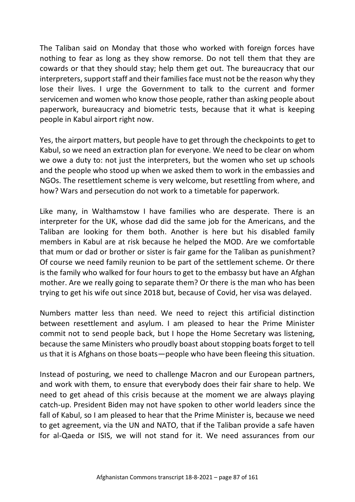The Taliban said on Monday that those who worked with foreign forces have nothing to fear as long as they show remorse. Do not tell them that they are cowards or that they should stay; help them get out. The bureaucracy that our interpreters, support staff and their families face must not be the reason why they lose their lives. I urge the Government to talk to the current and former servicemen and women who know those people, rather than asking people about paperwork, bureaucracy and biometric tests, because that it what is keeping people in Kabul airport right now.

Yes, the airport matters, but people have to get through the checkpoints to get to Kabul, so we need an extraction plan for everyone. We need to be clear on whom we owe a duty to: not just the interpreters, but the women who set up schools and the people who stood up when we asked them to work in the embassies and NGOs. The resettlement scheme is very welcome, but resettling from where, and how? Wars and persecution do not work to a timetable for paperwork.

Like many, in Walthamstow I have families who are desperate. There is an interpreter for the UK, whose dad did the same job for the Americans, and the Taliban are looking for them both. Another is here but his disabled family members in Kabul are at risk because he helped the MOD. Are we comfortable that mum or dad or brother or sister is fair game for the Taliban as punishment? Of course we need family reunion to be part of the settlement scheme. Or there is the family who walked for four hours to get to the embassy but have an Afghan mother. Are we really going to separate them? Or there is the man who has been trying to get his wife out since 2018 but, because of Covid, her visa was delayed.

Numbers matter less than need. We need to reject this artificial distinction between resettlement and asylum. I am pleased to hear the Prime Minister commit not to send people back, but I hope the Home Secretary was listening, because the same Ministers who proudly boast about stopping boats forget to tell us that it is Afghans on those boats—people who have been fleeing this situation.

Instead of posturing, we need to challenge Macron and our European partners, and work with them, to ensure that everybody does their fair share to help. We need to get ahead of this crisis because at the moment we are always playing catch-up. President Biden may not have spoken to other world leaders since the fall of Kabul, so I am pleased to hear that the Prime Minister is, because we need to get agreement, via the UN and NATO, that if the Taliban provide a safe haven for al-Qaeda or ISIS, we will not stand for it. We need assurances from our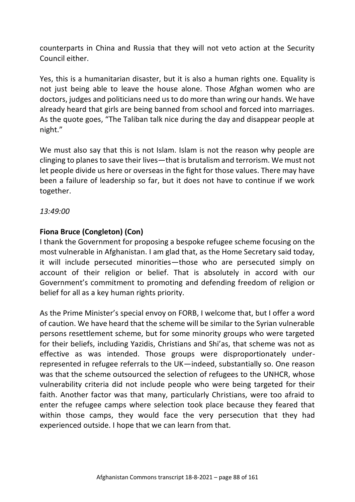counterparts in China and Russia that they will not veto action at the Security Council either.

Yes, this is a humanitarian disaster, but it is also a human rights one. Equality is not just being able to leave the house alone. Those Afghan women who are doctors, judges and politicians need us to do more than wring our hands. We have already heard that girls are being banned from school and forced into marriages. As the quote goes, "The Taliban talk nice during the day and disappear people at night."

We must also say that this is not Islam. Islam is not the reason why people are clinging to planes to save their lives—that is brutalism and terrorism. We must not let people divide us here or overseas in the fight for those values. There may have been a failure of leadership so far, but it does not have to continue if we work together.

*13:49:00*

# **Fiona Bruce (Congleton) (Con)**

I thank the Government for proposing a bespoke refugee scheme focusing on the most vulnerable in Afghanistan. I am glad that, as the Home Secretary said today, it will include persecuted minorities—those who are persecuted simply on account of their religion or belief. That is absolutely in accord with our Government's commitment to promoting and defending freedom of religion or belief for all as a key human rights priority.

As the Prime Minister's special envoy on FORB, I welcome that, but I offer a word of caution. We have heard that the scheme will be similar to the Syrian vulnerable persons resettlement scheme, but for some minority groups who were targeted for their beliefs, including Yazidis, Christians and Shi'as, that scheme was not as effective as was intended. Those groups were disproportionately underrepresented in refugee referrals to the UK—indeed, substantially so. One reason was that the scheme outsourced the selection of refugees to the UNHCR, whose vulnerability criteria did not include people who were being targeted for their faith. Another factor was that many, particularly Christians, were too afraid to enter the refugee camps where selection took place because they feared that within those camps, they would face the very persecution that they had experienced outside. I hope that we can learn from that.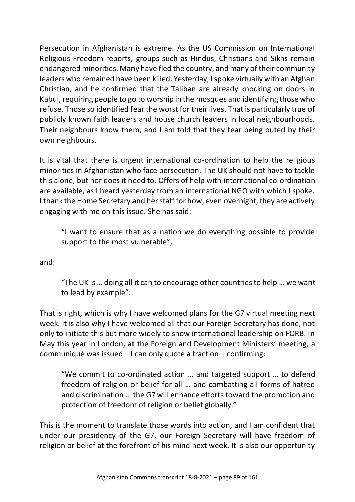Persecution in Afghanistan is extreme. As the US Commission on International Religious Freedom reports, groups such as Hindus, Christians and Sikhs remain endangered minorities. Many have fled the country, and many of their community leaders who remained have been killed. Yesterday, I spoke virtually with an Afghan Christian, and he confirmed that the Taliban are already knocking on doors in Kabul, requiring people to go to worship in the mosques and identifying those who refuse. Those so identified fear the worst for their lives. That is particularly true of publicly known faith leaders and house church leaders in local neighbourhoods. Their neighbours know them, and I am told that they fear being outed by their own neighbours.

It is vital that there is urgent international co-ordination to help the religious minorities in Afghanistan who face persecution. The UK should not have to tackle this alone, but nor does it need to. Offers of help with international co-ordination are available, as I heard yesterday from an international NGO with which I spoke. I thank the Home Secretary and her staff for how, even overnight, they are actively engaging with me on this issue. She has said:

"I want to ensure that as a nation we do everything possible to provide support to the most vulnerable",

and:

"The UK is … doing all it can to encourage other countries to help … we want to lead by example".

That is right, which is why I have welcomed plans for the G7 virtual meeting next week. It is also why I have welcomed all that our Foreign Secretary has done, not only to initiate this but more widely to show international leadership on FORB. In May this year in London, at the Foreign and Development Ministers' meeting, a communiqué was issued—I can only quote a fraction—confirming:

"We commit to co-ordinated action … and targeted support … to defend freedom of religion or belief for all … and combatting all forms of hatred and discrimination … the G7 will enhance efforts toward the promotion and protection of freedom of religion or belief globally."

This is the moment to translate those words into action, and I am confident that under our presidency of the G7, our Foreign Secretary will have freedom of religion or belief at the forefront of his mind next week. It is also our opportunity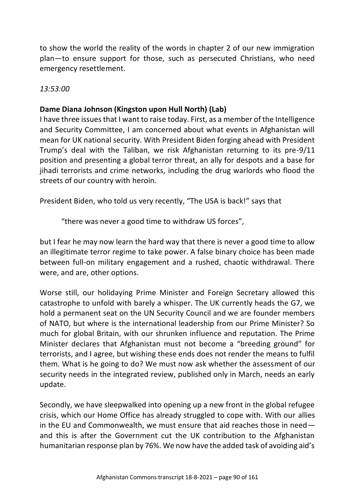to show the world the reality of the words in chapter 2 of our new immigration plan—to ensure support for those, such as persecuted Christians, who need emergency resettlement.

*13:53:00*

# **Dame Diana Johnson (Kingston upon Hull North) (Lab)**

I have three issues that I want to raise today. First, as a member of the Intelligence and Security Committee, I am concerned about what events in Afghanistan will mean for UK national security. With President Biden forging ahead with President Trump's deal with the Taliban, we risk Afghanistan returning to its pre-9/11 position and presenting a global terror threat, an ally for despots and a base for jihadi terrorists and crime networks, including the drug warlords who flood the streets of our country with heroin.

President Biden, who told us very recently, "The USA is back!" says that

"there was never a good time to withdraw US forces",

but I fear he may now learn the hard way that there is never a good time to allow an illegitimate terror regime to take power. A false binary choice has been made between full-on military engagement and a rushed, chaotic withdrawal. There were, and are, other options.

Worse still, our holidaying Prime Minister and Foreign Secretary allowed this catastrophe to unfold with barely a whisper. The UK currently heads the G7, we hold a permanent seat on the UN Security Council and we are founder members of NATO, but where is the international leadership from our Prime Minister? So much for global Britain, with our shrunken influence and reputation. The Prime Minister declares that Afghanistan must not become a "breeding ground" for terrorists, and I agree, but wishing these ends does not render the means to fulfil them. What is he going to do? We must now ask whether the assessment of our security needs in the integrated review, published only in March, needs an early update.

Secondly, we have sleepwalked into opening up a new front in the global refugee crisis, which our Home Office has already struggled to cope with. With our allies in the EU and Commonwealth, we must ensure that aid reaches those in need and this is after the Government cut the UK contribution to the Afghanistan humanitarian response plan by 76%. We now have the added task of avoiding aid's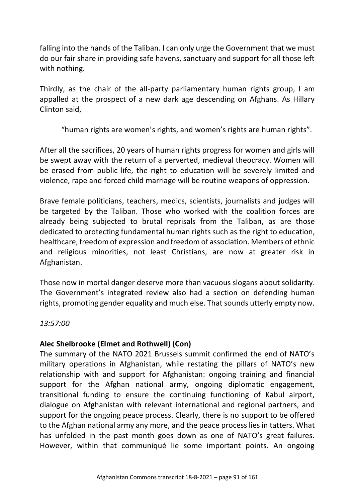falling into the hands of the Taliban. I can only urge the Government that we must do our fair share in providing safe havens, sanctuary and support for all those left with nothing.

Thirdly, as the chair of the all-party parliamentary human rights group, I am appalled at the prospect of a new dark age descending on Afghans. As Hillary Clinton said,

"human rights are women's rights, and women's rights are human rights".

After all the sacrifices, 20 years of human rights progress for women and girls will be swept away with the return of a perverted, medieval theocracy. Women will be erased from public life, the right to education will be severely limited and violence, rape and forced child marriage will be routine weapons of oppression.

Brave female politicians, teachers, medics, scientists, journalists and judges will be targeted by the Taliban. Those who worked with the coalition forces are already being subjected to brutal reprisals from the Taliban, as are those dedicated to protecting fundamental human rights such as the right to education, healthcare, freedom of expression and freedom of association. Members of ethnic and religious minorities, not least Christians, are now at greater risk in Afghanistan.

Those now in mortal danger deserve more than vacuous slogans about solidarity. The Government's integrated review also had a section on defending human rights, promoting gender equality and much else. That sounds utterly empty now.

*13:57:00*

# **Alec Shelbrooke (Elmet and Rothwell) (Con)**

The summary of the NATO 2021 Brussels summit confirmed the end of NATO's military operations in Afghanistan, while restating the pillars of NATO's new relationship with and support for Afghanistan: ongoing training and financial support for the Afghan national army, ongoing diplomatic engagement, transitional funding to ensure the continuing functioning of Kabul airport, dialogue on Afghanistan with relevant international and regional partners, and support for the ongoing peace process. Clearly, there is no support to be offered to the Afghan national army any more, and the peace process lies in tatters. What has unfolded in the past month goes down as one of NATO's great failures. However, within that communiqué lie some important points. An ongoing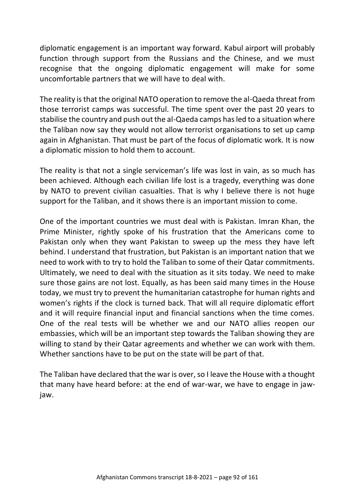diplomatic engagement is an important way forward. Kabul airport will probably function through support from the Russians and the Chinese, and we must recognise that the ongoing diplomatic engagement will make for some uncomfortable partners that we will have to deal with.

The reality is that the original NATO operation to remove the al-Qaeda threat from those terrorist camps was successful. The time spent over the past 20 years to stabilise the country and push out the al-Qaeda camps has led to a situation where the Taliban now say they would not allow terrorist organisations to set up camp again in Afghanistan. That must be part of the focus of diplomatic work. It is now a diplomatic mission to hold them to account.

The reality is that not a single serviceman's life was lost in vain, as so much has been achieved. Although each civilian life lost is a tragedy, everything was done by NATO to prevent civilian casualties. That is why I believe there is not huge support for the Taliban, and it shows there is an important mission to come.

One of the important countries we must deal with is Pakistan. Imran Khan, the Prime Minister, rightly spoke of his frustration that the Americans come to Pakistan only when they want Pakistan to sweep up the mess they have left behind. I understand that frustration, but Pakistan is an important nation that we need to work with to try to hold the Taliban to some of their Qatar commitments. Ultimately, we need to deal with the situation as it sits today. We need to make sure those gains are not lost. Equally, as has been said many times in the House today, we must try to prevent the humanitarian catastrophe for human rights and women's rights if the clock is turned back. That will all require diplomatic effort and it will require financial input and financial sanctions when the time comes. One of the real tests will be whether we and our NATO allies reopen our embassies, which will be an important step towards the Taliban showing they are willing to stand by their Qatar agreements and whether we can work with them. Whether sanctions have to be put on the state will be part of that.

The Taliban have declared that the war is over, so I leave the House with a thought that many have heard before: at the end of war-war, we have to engage in jawjaw.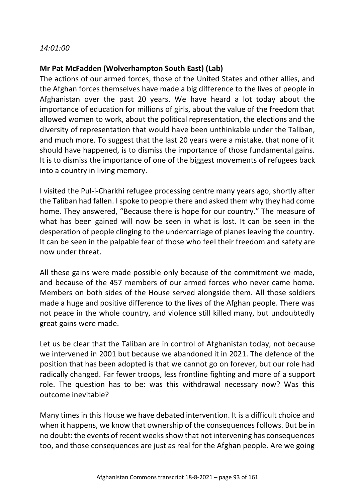#### *14:01:00*

### **Mr Pat McFadden (Wolverhampton South East) (Lab)**

The actions of our armed forces, those of the United States and other allies, and the Afghan forces themselves have made a big difference to the lives of people in Afghanistan over the past 20 years. We have heard a lot today about the importance of education for millions of girls, about the value of the freedom that allowed women to work, about the political representation, the elections and the diversity of representation that would have been unthinkable under the Taliban, and much more. To suggest that the last 20 years were a mistake, that none of it should have happened, is to dismiss the importance of those fundamental gains. It is to dismiss the importance of one of the biggest movements of refugees back into a country in living memory.

I visited the Pul-i-Charkhi refugee processing centre many years ago, shortly after the Taliban had fallen. I spoke to people there and asked them why they had come home. They answered, "Because there is hope for our country." The measure of what has been gained will now be seen in what is lost. It can be seen in the desperation of people clinging to the undercarriage of planes leaving the country. It can be seen in the palpable fear of those who feel their freedom and safety are now under threat.

All these gains were made possible only because of the commitment we made, and because of the 457 members of our armed forces who never came home. Members on both sides of the House served alongside them. All those soldiers made a huge and positive difference to the lives of the Afghan people. There was not peace in the whole country, and violence still killed many, but undoubtedly great gains were made.

Let us be clear that the Taliban are in control of Afghanistan today, not because we intervened in 2001 but because we abandoned it in 2021. The defence of the position that has been adopted is that we cannot go on forever, but our role had radically changed. Far fewer troops, less frontline fighting and more of a support role. The question has to be: was this withdrawal necessary now? Was this outcome inevitable?

Many times in this House we have debated intervention. It is a difficult choice and when it happens, we know that ownership of the consequences follows. But be in no doubt: the events of recent weeks show that not intervening has consequences too, and those consequences are just as real for the Afghan people. Are we going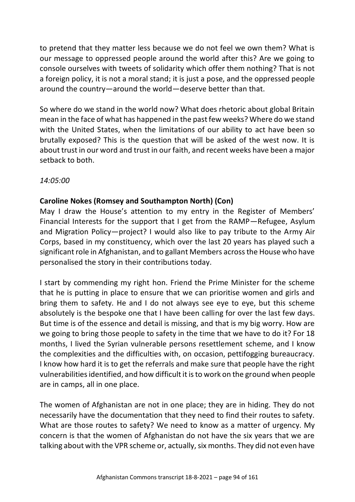to pretend that they matter less because we do not feel we own them? What is our message to oppressed people around the world after this? Are we going to console ourselves with tweets of solidarity which offer them nothing? That is not a foreign policy, it is not a moral stand; it is just a pose, and the oppressed people around the country—around the world—deserve better than that.

So where do we stand in the world now? What does rhetoric about global Britain mean in the face of what has happened in the past few weeks? Where do we stand with the United States, when the limitations of our ability to act have been so brutally exposed? This is the question that will be asked of the west now. It is about trust in our word and trust in our faith, and recent weeks have been a major setback to both.

*14:05:00*

# **Caroline Nokes (Romsey and Southampton North) (Con)**

May I draw the House's attention to my entry in the Register of Members' Financial Interests for the support that I get from the RAMP—Refugee, Asylum and Migration Policy—project? I would also like to pay tribute to the Army Air Corps, based in my constituency, which over the last 20 years has played such a significant role in Afghanistan, and to gallant Members across the House who have personalised the story in their contributions today.

I start by commending my right hon. Friend the Prime Minister for the scheme that he is putting in place to ensure that we can prioritise women and girls and bring them to safety. He and I do not always see eye to eye, but this scheme absolutely is the bespoke one that I have been calling for over the last few days. But time is of the essence and detail is missing, and that is my big worry. How are we going to bring those people to safety in the time that we have to do it? For 18 months, I lived the Syrian vulnerable persons resettlement scheme, and I know the complexities and the difficulties with, on occasion, pettifogging bureaucracy. I know how hard it is to get the referrals and make sure that people have the right vulnerabilities identified, and how difficult it is to work on the ground when people are in camps, all in one place.

The women of Afghanistan are not in one place; they are in hiding. They do not necessarily have the documentation that they need to find their routes to safety. What are those routes to safety? We need to know as a matter of urgency. My concern is that the women of Afghanistan do not have the six years that we are talking about with the VPR scheme or, actually, six months. They did not even have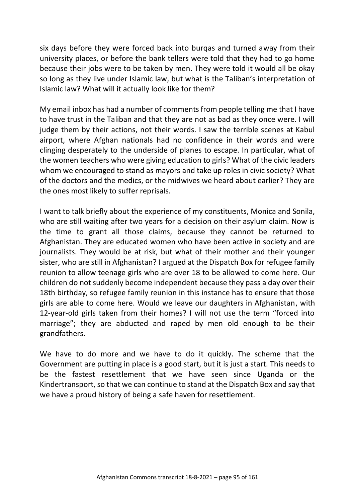six days before they were forced back into burqas and turned away from their university places, or before the bank tellers were told that they had to go home because their jobs were to be taken by men. They were told it would all be okay so long as they live under Islamic law, but what is the Taliban's interpretation of Islamic law? What will it actually look like for them?

My email inbox has had a number of comments from people telling me that I have to have trust in the Taliban and that they are not as bad as they once were. I will judge them by their actions, not their words. I saw the terrible scenes at Kabul airport, where Afghan nationals had no confidence in their words and were clinging desperately to the underside of planes to escape. In particular, what of the women teachers who were giving education to girls? What of the civic leaders whom we encouraged to stand as mayors and take up roles in civic society? What of the doctors and the medics, or the midwives we heard about earlier? They are the ones most likely to suffer reprisals.

I want to talk briefly about the experience of my constituents, Monica and Sonila, who are still waiting after two years for a decision on their asylum claim. Now is the time to grant all those claims, because they cannot be returned to Afghanistan. They are educated women who have been active in society and are journalists. They would be at risk, but what of their mother and their younger sister, who are still in Afghanistan? I argued at the Dispatch Box for refugee family reunion to allow teenage girls who are over 18 to be allowed to come here. Our children do not suddenly become independent because they pass a day over their 18th birthday, so refugee family reunion in this instance has to ensure that those girls are able to come here. Would we leave our daughters in Afghanistan, with 12-year-old girls taken from their homes? I will not use the term "forced into marriage"; they are abducted and raped by men old enough to be their grandfathers.

We have to do more and we have to do it quickly. The scheme that the Government are putting in place is a good start, but it is just a start. This needs to be the fastest resettlement that we have seen since Uganda or the Kindertransport, so that we can continue to stand at the Dispatch Box and say that we have a proud history of being a safe haven for resettlement.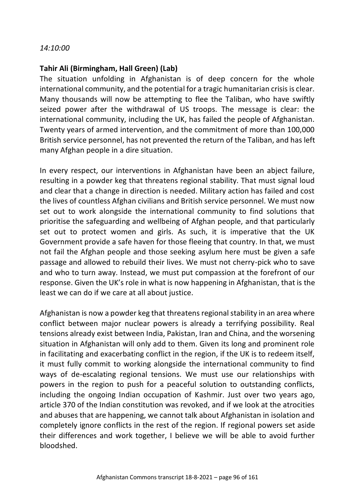#### *14:10:00*

#### **Tahir Ali (Birmingham, Hall Green) (Lab)**

The situation unfolding in Afghanistan is of deep concern for the whole international community, and the potential for a tragic humanitarian crisis is clear. Many thousands will now be attempting to flee the Taliban, who have swiftly seized power after the withdrawal of US troops. The message is clear: the international community, including the UK, has failed the people of Afghanistan. Twenty years of armed intervention, and the commitment of more than 100,000 British service personnel, has not prevented the return of the Taliban, and has left many Afghan people in a dire situation.

In every respect, our interventions in Afghanistan have been an abject failure, resulting in a powder keg that threatens regional stability. That must signal loud and clear that a change in direction is needed. Military action has failed and cost the lives of countless Afghan civilians and British service personnel. We must now set out to work alongside the international community to find solutions that prioritise the safeguarding and wellbeing of Afghan people, and that particularly set out to protect women and girls. As such, it is imperative that the UK Government provide a safe haven for those fleeing that country. In that, we must not fail the Afghan people and those seeking asylum here must be given a safe passage and allowed to rebuild their lives. We must not cherry-pick who to save and who to turn away. Instead, we must put compassion at the forefront of our response. Given the UK's role in what is now happening in Afghanistan, that is the least we can do if we care at all about justice.

Afghanistan is now a powder keg that threatens regional stability in an area where conflict between major nuclear powers is already a terrifying possibility. Real tensions already exist between India, Pakistan, Iran and China, and the worsening situation in Afghanistan will only add to them. Given its long and prominent role in facilitating and exacerbating conflict in the region, if the UK is to redeem itself, it must fully commit to working alongside the international community to find ways of de-escalating regional tensions. We must use our relationships with powers in the region to push for a peaceful solution to outstanding conflicts, including the ongoing Indian occupation of Kashmir. Just over two years ago, article 370 of the Indian constitution was revoked, and if we look at the atrocities and abuses that are happening, we cannot talk about Afghanistan in isolation and completely ignore conflicts in the rest of the region. If regional powers set aside their differences and work together, I believe we will be able to avoid further bloodshed.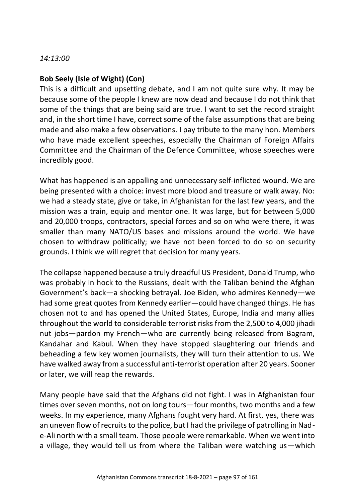#### *14:13:00*

# **Bob Seely (Isle of Wight) (Con)**

This is a difficult and upsetting debate, and I am not quite sure why. It may be because some of the people I knew are now dead and because I do not think that some of the things that are being said are true. I want to set the record straight and, in the short time I have, correct some of the false assumptions that are being made and also make a few observations. I pay tribute to the many hon. Members who have made excellent speeches, especially the Chairman of Foreign Affairs Committee and the Chairman of the Defence Committee, whose speeches were incredibly good.

What has happened is an appalling and unnecessary self-inflicted wound. We are being presented with a choice: invest more blood and treasure or walk away. No: we had a steady state, give or take, in Afghanistan for the last few years, and the mission was a train, equip and mentor one. It was large, but for between 5,000 and 20,000 troops, contractors, special forces and so on who were there, it was smaller than many NATO/US bases and missions around the world. We have chosen to withdraw politically; we have not been forced to do so on security grounds. I think we will regret that decision for many years.

The collapse happened because a truly dreadful US President, Donald Trump, who was probably in hock to the Russians, dealt with the Taliban behind the Afghan Government's back—a shocking betrayal. Joe Biden, who admires Kennedy—we had some great quotes from Kennedy earlier—could have changed things. He has chosen not to and has opened the United States, Europe, India and many allies throughout the world to considerable terrorist risks from the 2,500 to 4,000 jihadi nut jobs—pardon my French—who are currently being released from Bagram, Kandahar and Kabul. When they have stopped slaughtering our friends and beheading a few key women journalists, they will turn their attention to us. We have walked away from a successful anti-terrorist operation after 20 years. Sooner or later, we will reap the rewards.

Many people have said that the Afghans did not fight. I was in Afghanistan four times over seven months, not on long tours—four months, two months and a few weeks. In my experience, many Afghans fought very hard. At first, yes, there was an uneven flow of recruits to the police, but I had the privilege of patrolling in Nade-Ali north with a small team. Those people were remarkable. When we went into a village, they would tell us from where the Taliban were watching us—which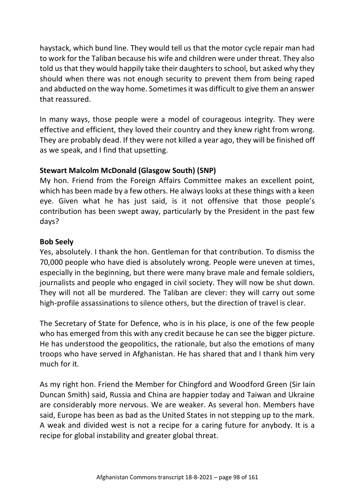haystack, which bund line. They would tell us that the motor cycle repair man had to work for the Taliban because his wife and children were under threat. They also told us that they would happily take their daughters to school, but asked why they should when there was not enough security to prevent them from being raped and abducted on the way home. Sometimes it was difficult to give them an answer that reassured.

In many ways, those people were a model of courageous integrity. They were effective and efficient, they loved their country and they knew right from wrong. They are probably dead. If they were not killed a year ago, they will be finished off as we speak, and I find that upsetting.

# **Stewart Malcolm McDonald (Glasgow South) (SNP)**

My hon. Friend from the Foreign Affairs Committee makes an excellent point, which has been made by a few others. He always looks at these things with a keen eye. Given what he has just said, is it not offensive that those people's contribution has been swept away, particularly by the President in the past few days?

# **Bob Seely**

Yes, absolutely. I thank the hon. Gentleman for that contribution. To dismiss the 70,000 people who have died is absolutely wrong. People were uneven at times, especially in the beginning, but there were many brave male and female soldiers, journalists and people who engaged in civil society. They will now be shut down. They will not all be murdered. The Taliban are clever: they will carry out some high-profile assassinations to silence others, but the direction of travel is clear.

The Secretary of State for Defence, who is in his place, is one of the few people who has emerged from this with any credit because he can see the bigger picture. He has understood the geopolitics, the rationale, but also the emotions of many troops who have served in Afghanistan. He has shared that and I thank him very much for it.

As my right hon. Friend the Member for Chingford and Woodford Green (Sir Iain Duncan Smith) said, Russia and China are happier today and Taiwan and Ukraine are considerably more nervous. We are weaker. As several hon. Members have said, Europe has been as bad as the United States in not stepping up to the mark. A weak and divided west is not a recipe for a caring future for anybody. It is a recipe for global instability and greater global threat.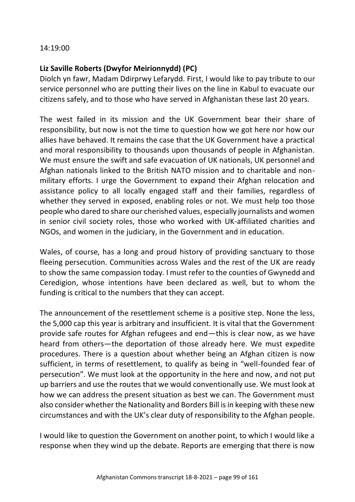#### 14:19:00

# **Liz Saville Roberts (Dwyfor Meirionnydd) (PC)**

Diolch yn fawr, Madam Ddirprwy Lefarydd. First, I would like to pay tribute to our service personnel who are putting their lives on the line in Kabul to evacuate our citizens safely, and to those who have served in Afghanistan these last 20 years.

The west failed in its mission and the UK Government bear their share of responsibility, but now is not the time to question how we got here nor how our allies have behaved. It remains the case that the UK Government have a practical and moral responsibility to thousands upon thousands of people in Afghanistan. We must ensure the swift and safe evacuation of UK nationals, UK personnel and Afghan nationals linked to the British NATO mission and to charitable and nonmilitary efforts. I urge the Government to expand their Afghan relocation and assistance policy to all locally engaged staff and their families, regardless of whether they served in exposed, enabling roles or not. We must help too those people who dared to share our cherished values, especially journalists and women in senior civil society roles, those who worked with UK-affiliated charities and NGOs, and women in the judiciary, in the Government and in education.

Wales, of course, has a long and proud history of providing sanctuary to those fleeing persecution. Communities across Wales and the rest of the UK are ready to show the same compassion today. I must refer to the counties of Gwynedd and Ceredigion, whose intentions have been declared as well, but to whom the funding is critical to the numbers that they can accept.

The announcement of the resettlement scheme is a positive step. None the less, the 5,000 cap this year is arbitrary and insufficient. It is vital that the Government provide safe routes for Afghan refugees and end—this is clear now, as we have heard from others—the deportation of those already here. We must expedite procedures. There is a question about whether being an Afghan citizen is now sufficient, in terms of resettlement, to qualify as being in "well-founded fear of persecution". We must look at the opportunity in the here and now, and not put up barriers and use the routes that we would conventionally use. We must look at how we can address the present situation as best we can. The Government must also consider whether the Nationality and Borders Bill is in keeping with these new circumstances and with the UK's clear duty of responsibility to the Afghan people.

I would like to question the Government on another point, to which I would like a response when they wind up the debate. Reports are emerging that there is now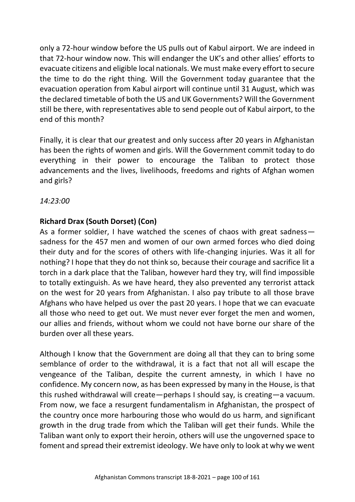only a 72-hour window before the US pulls out of Kabul airport. We are indeed in that 72-hour window now. This will endanger the UK's and other allies' efforts to evacuate citizens and eligible local nationals. We must make every effort to secure the time to do the right thing. Will the Government today guarantee that the evacuation operation from Kabul airport will continue until 31 August, which was the declared timetable of both the US and UK Governments? Will the Government still be there, with representatives able to send people out of Kabul airport, to the end of this month?

Finally, it is clear that our greatest and only success after 20 years in Afghanistan has been the rights of women and girls. Will the Government commit today to do everything in their power to encourage the Taliban to protect those advancements and the lives, livelihoods, freedoms and rights of Afghan women and girls?

*14:23:00*

# **Richard Drax (South Dorset) (Con)**

As a former soldier, I have watched the scenes of chaos with great sadness sadness for the 457 men and women of our own armed forces who died doing their duty and for the scores of others with life-changing injuries. Was it all for nothing? I hope that they do not think so, because their courage and sacrifice lit a torch in a dark place that the Taliban, however hard they try, will find impossible to totally extinguish. As we have heard, they also prevented any terrorist attack on the west for 20 years from Afghanistan. I also pay tribute to all those brave Afghans who have helped us over the past 20 years. I hope that we can evacuate all those who need to get out. We must never ever forget the men and women, our allies and friends, without whom we could not have borne our share of the burden over all these years.

Although I know that the Government are doing all that they can to bring some semblance of order to the withdrawal, it is a fact that not all will escape the vengeance of the Taliban, despite the current amnesty, in which I have no confidence. My concern now, as has been expressed by many in the House, is that this rushed withdrawal will create—perhaps I should say, is creating—a vacuum. From now, we face a resurgent fundamentalism in Afghanistan, the prospect of the country once more harbouring those who would do us harm, and significant growth in the drug trade from which the Taliban will get their funds. While the Taliban want only to export their heroin, others will use the ungoverned space to foment and spread their extremist ideology. We have only to look at why we went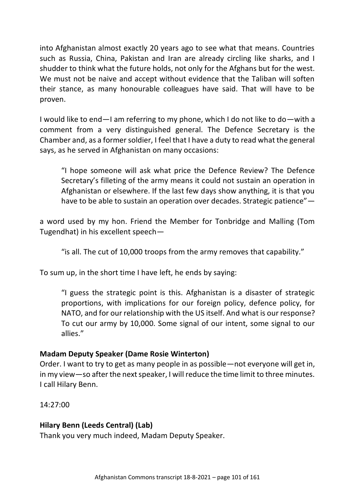into Afghanistan almost exactly 20 years ago to see what that means. Countries such as Russia, China, Pakistan and Iran are already circling like sharks, and I shudder to think what the future holds, not only for the Afghans but for the west. We must not be naive and accept without evidence that the Taliban will soften their stance, as many honourable colleagues have said. That will have to be proven.

I would like to end—I am referring to my phone, which I do not like to do—with a comment from a very distinguished general. The Defence Secretary is the Chamber and, as a former soldier, I feel that I have a duty to read what the general says, as he served in Afghanistan on many occasions:

"I hope someone will ask what price the Defence Review? The Defence Secretary's filleting of the army means it could not sustain an operation in Afghanistan or elsewhere. If the last few days show anything, it is that you have to be able to sustain an operation over decades. Strategic patience"—

a word used by my hon. Friend the Member for Tonbridge and Malling (Tom Tugendhat) in his excellent speech—

"is all. The cut of 10,000 troops from the army removes that capability."

To sum up, in the short time I have left, he ends by saying:

"I guess the strategic point is this. Afghanistan is a disaster of strategic proportions, with implications for our foreign policy, defence policy, for NATO, and for our relationship with the US itself. And what is our response? To cut our army by 10,000. Some signal of our intent, some signal to our allies."

# **Madam Deputy Speaker (Dame Rosie Winterton)**

Order. I want to try to get as many people in as possible—not everyone will get in, in my view—so after the next speaker, I will reduce the time limit to three minutes. I call Hilary Benn.

14:27:00

# **Hilary Benn (Leeds Central) (Lab)**

Thank you very much indeed, Madam Deputy Speaker.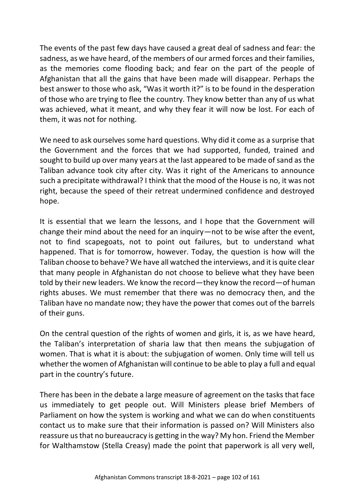The events of the past few days have caused a great deal of sadness and fear: the sadness, as we have heard, of the members of our armed forces and their families, as the memories come flooding back; and fear on the part of the people of Afghanistan that all the gains that have been made will disappear. Perhaps the best answer to those who ask, "Was it worth it?" is to be found in the desperation of those who are trying to flee the country. They know better than any of us what was achieved, what it meant, and why they fear it will now be lost. For each of them, it was not for nothing.

We need to ask ourselves some hard questions. Why did it come as a surprise that the Government and the forces that we had supported, funded, trained and sought to build up over many years at the last appeared to be made of sand as the Taliban advance took city after city. Was it right of the Americans to announce such a precipitate withdrawal? I think that the mood of the House is no, it was not right, because the speed of their retreat undermined confidence and destroyed hope.

It is essential that we learn the lessons, and I hope that the Government will change their mind about the need for an inquiry—not to be wise after the event, not to find scapegoats, not to point out failures, but to understand what happened. That is for tomorrow, however. Today, the question is how will the Taliban choose to behave? We have all watched the interviews, and it is quite clear that many people in Afghanistan do not choose to believe what they have been told by their new leaders. We know the record—they know the record—of human rights abuses. We must remember that there was no democracy then, and the Taliban have no mandate now; they have the power that comes out of the barrels of their guns.

On the central question of the rights of women and girls, it is, as we have heard, the Taliban's interpretation of sharia law that then means the subjugation of women. That is what it is about: the subjugation of women. Only time will tell us whether the women of Afghanistan will continue to be able to play a full and equal part in the country's future.

There has been in the debate a large measure of agreement on the tasks that face us immediately to get people out. Will Ministers please brief Members of Parliament on how the system is working and what we can do when constituents contact us to make sure that their information is passed on? Will Ministers also reassure us that no bureaucracy is getting in the way? My hon. Friend the Member for Walthamstow (Stella Creasy) made the point that paperwork is all very well,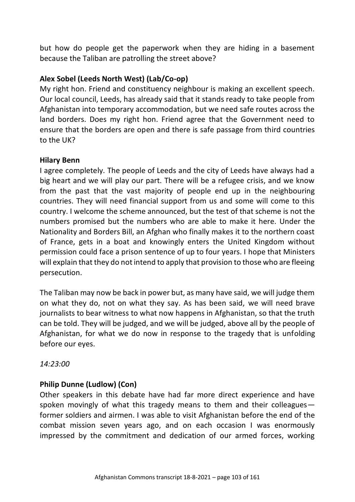but how do people get the paperwork when they are hiding in a basement because the Taliban are patrolling the street above?

# **Alex Sobel (Leeds North West) (Lab/Co-op)**

My right hon. Friend and constituency neighbour is making an excellent speech. Our local council, Leeds, has already said that it stands ready to take people from Afghanistan into temporary accommodation, but we need safe routes across the land borders. Does my right hon. Friend agree that the Government need to ensure that the borders are open and there is safe passage from third countries to the UK?

#### **Hilary Benn**

I agree completely. The people of Leeds and the city of Leeds have always had a big heart and we will play our part. There will be a refugee crisis, and we know from the past that the vast majority of people end up in the neighbouring countries. They will need financial support from us and some will come to this country. I welcome the scheme announced, but the test of that scheme is not the numbers promised but the numbers who are able to make it here. Under the Nationality and Borders Bill, an Afghan who finally makes it to the northern coast of France, gets in a boat and knowingly enters the United Kingdom without permission could face a prison sentence of up to four years. I hope that Ministers will explain that they do not intend to apply that provision to those who are fleeing persecution.

The Taliban may now be back in power but, as many have said, we will judge them on what they do, not on what they say. As has been said, we will need brave journalists to bear witness to what now happens in Afghanistan, so that the truth can be told. They will be judged, and we will be judged, above all by the people of Afghanistan, for what we do now in response to the tragedy that is unfolding before our eyes.

*14:23:00*

# **Philip Dunne (Ludlow) (Con)**

Other speakers in this debate have had far more direct experience and have spoken movingly of what this tragedy means to them and their colleagues former soldiers and airmen. I was able to visit Afghanistan before the end of the combat mission seven years ago, and on each occasion I was enormously impressed by the commitment and dedication of our armed forces, working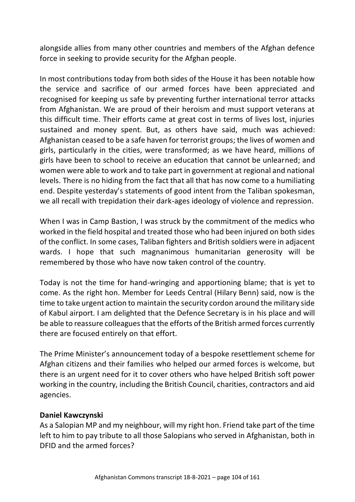alongside allies from many other countries and members of the Afghan defence force in seeking to provide security for the Afghan people.

In most contributions today from both sides of the House it has been notable how the service and sacrifice of our armed forces have been appreciated and recognised for keeping us safe by preventing further international terror attacks from Afghanistan. We are proud of their heroism and must support veterans at this difficult time. Their efforts came at great cost in terms of lives lost, injuries sustained and money spent. But, as others have said, much was achieved: Afghanistan ceased to be a safe haven for terrorist groups; the lives of women and girls, particularly in the cities, were transformed; as we have heard, millions of girls have been to school to receive an education that cannot be unlearned; and women were able to work and to take part in government at regional and national levels. There is no hiding from the fact that all that has now come to a humiliating end. Despite yesterday's statements of good intent from the Taliban spokesman, we all recall with trepidation their dark-ages ideology of violence and repression.

When I was in Camp Bastion, I was struck by the commitment of the medics who worked in the field hospital and treated those who had been injured on both sides of the conflict. In some cases, Taliban fighters and British soldiers were in adjacent wards. I hope that such magnanimous humanitarian generosity will be remembered by those who have now taken control of the country.

Today is not the time for hand-wringing and apportioning blame; that is yet to come. As the right hon. Member for Leeds Central (Hilary Benn) said, now is the time to take urgent action to maintain the security cordon around the military side of Kabul airport. I am delighted that the Defence Secretary is in his place and will be able to reassure colleagues that the efforts of the British armed forces currently there are focused entirely on that effort.

The Prime Minister's announcement today of a bespoke resettlement scheme for Afghan citizens and their families who helped our armed forces is welcome, but there is an urgent need for it to cover others who have helped British soft power working in the country, including the British Council, charities, contractors and aid agencies.

# **Daniel Kawczynski**

As a Salopian MP and my neighbour, will my right hon. Friend take part of the time left to him to pay tribute to all those Salopians who served in Afghanistan, both in DFID and the armed forces?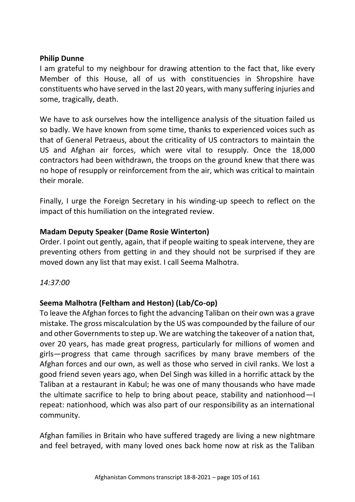#### **Philip Dunne**

I am grateful to my neighbour for drawing attention to the fact that, like every Member of this House, all of us with constituencies in Shropshire have constituents who have served in the last 20 years, with many suffering injuries and some, tragically, death.

We have to ask ourselves how the intelligence analysis of the situation failed us so badly. We have known from some time, thanks to experienced voices such as that of General Petraeus, about the criticality of US contractors to maintain the US and Afghan air forces, which were vital to resupply. Once the 18,000 contractors had been withdrawn, the troops on the ground knew that there was no hope of resupply or reinforcement from the air, which was critical to maintain their morale.

Finally, I urge the Foreign Secretary in his winding-up speech to reflect on the impact of this humiliation on the integrated review.

# **Madam Deputy Speaker (Dame Rosie Winterton)**

Order. I point out gently, again, that if people waiting to speak intervene, they are preventing others from getting in and they should not be surprised if they are moved down any list that may exist. I call Seema Malhotra.

#### *14:37:00*

# **Seema Malhotra (Feltham and Heston) (Lab/Co-op)**

To leave the Afghan forces to fight the advancing Taliban on their own was a grave mistake. The gross miscalculation by the US was compounded by the failure of our and other Governments to step up. We are watching the takeover of a nation that, over 20 years, has made great progress, particularly for millions of women and girls—progress that came through sacrifices by many brave members of the Afghan forces and our own, as well as those who served in civil ranks. We lost a good friend seven years ago, when Del Singh was killed in a horrific attack by the Taliban at a restaurant in Kabul; he was one of many thousands who have made the ultimate sacrifice to help to bring about peace, stability and nationhood—I repeat: nationhood, which was also part of our responsibility as an international community.

Afghan families in Britain who have suffered tragedy are living a new nightmare and feel betrayed, with many loved ones back home now at risk as the Taliban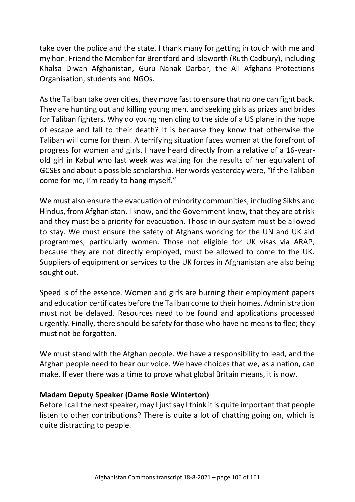take over the police and the state. I thank many for getting in touch with me and my hon. Friend the Member for Brentford and Isleworth (Ruth Cadbury), including Khalsa Diwan Afghanistan, Guru Nanak Darbar, the All Afghans Protections Organisation, students and NGOs.

As the Taliban take over cities, they move fast to ensure that no one can fight back. They are hunting out and killing young men, and seeking girls as prizes and brides for Taliban fighters. Why do young men cling to the side of a US plane in the hope of escape and fall to their death? It is because they know that otherwise the Taliban will come for them. A terrifying situation faces women at the forefront of progress for women and girls. I have heard directly from a relative of a 16-yearold girl in Kabul who last week was waiting for the results of her equivalent of GCSEs and about a possible scholarship. Her words yesterday were, "If the Taliban come for me, I'm ready to hang myself."

We must also ensure the evacuation of minority communities, including Sikhs and Hindus, from Afghanistan. I know, and the Government know, that they are at risk and they must be a priority for evacuation. Those in our system must be allowed to stay. We must ensure the safety of Afghans working for the UN and UK aid programmes, particularly women. Those not eligible for UK visas via ARAP, because they are not directly employed, must be allowed to come to the UK. Suppliers of equipment or services to the UK forces in Afghanistan are also being sought out.

Speed is of the essence. Women and girls are burning their employment papers and education certificates before the Taliban come to their homes. Administration must not be delayed. Resources need to be found and applications processed urgently. Finally, there should be safety for those who have no means to flee; they must not be forgotten.

We must stand with the Afghan people. We have a responsibility to lead, and the Afghan people need to hear our voice. We have choices that we, as a nation, can make. If ever there was a time to prove what global Britain means, it is now.

# **Madam Deputy Speaker (Dame Rosie Winterton)**

Before I call the next speaker, may I just say I think it is quite important that people listen to other contributions? There is quite a lot of chatting going on, which is quite distracting to people.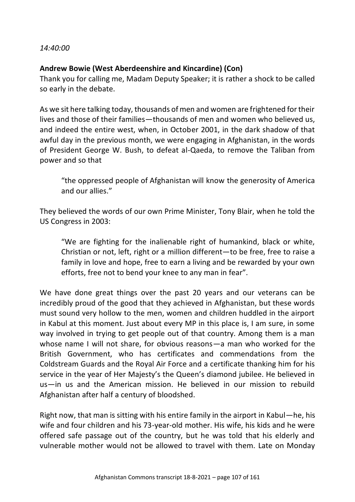#### *14:40:00*

### **Andrew Bowie (West Aberdeenshire and Kincardine) (Con)**

Thank you for calling me, Madam Deputy Speaker; it is rather a shock to be called so early in the debate.

As we sit here talking today, thousands of men and women are frightened for their lives and those of their families—thousands of men and women who believed us, and indeed the entire west, when, in October 2001, in the dark shadow of that awful day in the previous month, we were engaging in Afghanistan, in the words of President George W. Bush, to defeat al-Qaeda, to remove the Taliban from power and so that

"the oppressed people of Afghanistan will know the generosity of America and our allies."

They believed the words of our own Prime Minister, Tony Blair, when he told the US Congress in 2003:

"We are fighting for the inalienable right of humankind, black or white, Christian or not, left, right or a million different—to be free, free to raise a family in love and hope, free to earn a living and be rewarded by your own efforts, free not to bend your knee to any man in fear".

We have done great things over the past 20 years and our veterans can be incredibly proud of the good that they achieved in Afghanistan, but these words must sound very hollow to the men, women and children huddled in the airport in Kabul at this moment. Just about every MP in this place is, I am sure, in some way involved in trying to get people out of that country. Among them is a man whose name I will not share, for obvious reasons—a man who worked for the British Government, who has certificates and commendations from the Coldstream Guards and the Royal Air Force and a certificate thanking him for his service in the year of Her Majesty's the Queen's diamond jubilee. He believed in us—in us and the American mission. He believed in our mission to rebuild Afghanistan after half a century of bloodshed.

Right now, that man is sitting with his entire family in the airport in Kabul—he, his wife and four children and his 73-year-old mother. His wife, his kids and he were offered safe passage out of the country, but he was told that his elderly and vulnerable mother would not be allowed to travel with them. Late on Monday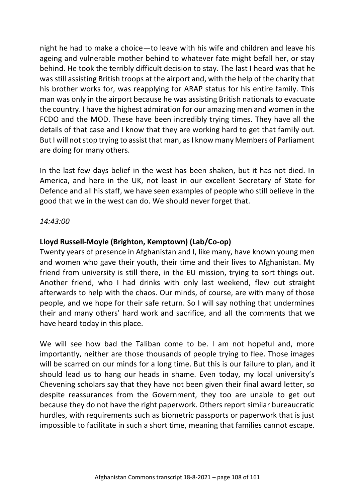night he had to make a choice—to leave with his wife and children and leave his ageing and vulnerable mother behind to whatever fate might befall her, or stay behind. He took the terribly difficult decision to stay. The last I heard was that he was still assisting British troops at the airport and, with the help of the charity that his brother works for, was reapplying for ARAP status for his entire family. This man was only in the airport because he was assisting British nationals to evacuate the country. I have the highest admiration for our amazing men and women in the FCDO and the MOD. These have been incredibly trying times. They have all the details of that case and I know that they are working hard to get that family out. But I will not stop trying to assist that man, as I know many Members of Parliament are doing for many others.

In the last few days belief in the west has been shaken, but it has not died. In America, and here in the UK, not least in our excellent Secretary of State for Defence and all his staff, we have seen examples of people who still believe in the good that we in the west can do. We should never forget that.

*14:43:00*

# **Lloyd Russell-Moyle (Brighton, Kemptown) (Lab/Co-op)**

Twenty years of presence in Afghanistan and I, like many, have known young men and women who gave their youth, their time and their lives to Afghanistan. My friend from university is still there, in the EU mission, trying to sort things out. Another friend, who I had drinks with only last weekend, flew out straight afterwards to help with the chaos. Our minds, of course, are with many of those people, and we hope for their safe return. So I will say nothing that undermines their and many others' hard work and sacrifice, and all the comments that we have heard today in this place.

We will see how bad the Taliban come to be. I am not hopeful and, more importantly, neither are those thousands of people trying to flee. Those images will be scarred on our minds for a long time. But this is our failure to plan, and it should lead us to hang our heads in shame. Even today, my local university's Chevening scholars say that they have not been given their final award letter, so despite reassurances from the Government, they too are unable to get out because they do not have the right paperwork. Others report similar bureaucratic hurdles, with requirements such as biometric passports or paperwork that is just impossible to facilitate in such a short time, meaning that families cannot escape.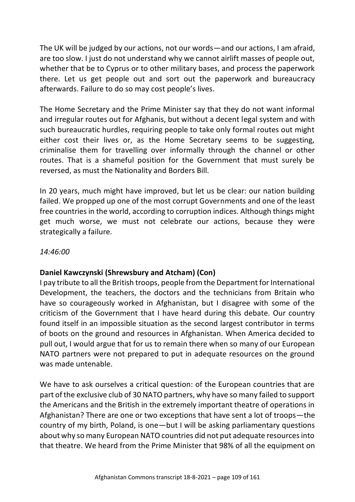The UK will be judged by our actions, not our words—and our actions, I am afraid, are too slow. I just do not understand why we cannot airlift masses of people out, whether that be to Cyprus or to other military bases, and process the paperwork there. Let us get people out and sort out the paperwork and bureaucracy afterwards. Failure to do so may cost people's lives.

The Home Secretary and the Prime Minister say that they do not want informal and irregular routes out for Afghanis, but without a decent legal system and with such bureaucratic hurdles, requiring people to take only formal routes out might either cost their lives or, as the Home Secretary seems to be suggesting, criminalise them for travelling over informally through the channel or other routes. That is a shameful position for the Government that must surely be reversed, as must the Nationality and Borders Bill.

In 20 years, much might have improved, but let us be clear: our nation building failed. We propped up one of the most corrupt Governments and one of the least free countries in the world, according to corruption indices. Although things might get much worse, we must not celebrate our actions, because they were strategically a failure.

### *14:46:00*

### **Daniel Kawczynski (Shrewsbury and Atcham) (Con)**

I pay tribute to all the British troops, people from the Department for International Development, the teachers, the doctors and the technicians from Britain who have so courageously worked in Afghanistan, but I disagree with some of the criticism of the Government that I have heard during this debate. Our country found itself in an impossible situation as the second largest contributor in terms of boots on the ground and resources in Afghanistan. When America decided to pull out, I would argue that for us to remain there when so many of our European NATO partners were not prepared to put in adequate resources on the ground was made untenable.

We have to ask ourselves a critical question: of the European countries that are part of the exclusive club of 30 NATO partners, why have so many failed to support the Americans and the British in the extremely important theatre of operations in Afghanistan? There are one or two exceptions that have sent a lot of troops—the country of my birth, Poland, is one—but I will be asking parliamentary questions about why so many European NATO countries did not put adequate resources into that theatre. We heard from the Prime Minister that 98% of all the equipment on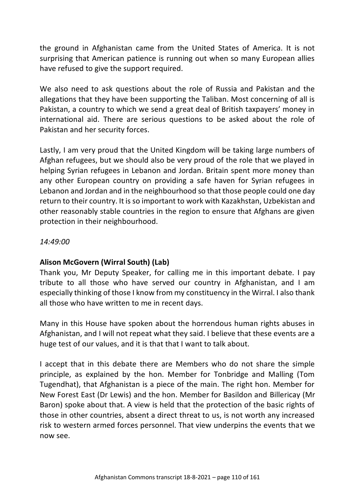the ground in Afghanistan came from the United States of America. It is not surprising that American patience is running out when so many European allies have refused to give the support required.

We also need to ask questions about the role of Russia and Pakistan and the allegations that they have been supporting the Taliban. Most concerning of all is Pakistan, a country to which we send a great deal of British taxpayers' money in international aid. There are serious questions to be asked about the role of Pakistan and her security forces.

Lastly, I am very proud that the United Kingdom will be taking large numbers of Afghan refugees, but we should also be very proud of the role that we played in helping Syrian refugees in Lebanon and Jordan. Britain spent more money than any other European country on providing a safe haven for Syrian refugees in Lebanon and Jordan and in the neighbourhood so that those people could one day return to their country. It is so important to work with Kazakhstan, Uzbekistan and other reasonably stable countries in the region to ensure that Afghans are given protection in their neighbourhood.

### *14:49:00*

### **Alison McGovern (Wirral South) (Lab)**

Thank you, Mr Deputy Speaker, for calling me in this important debate. I pay tribute to all those who have served our country in Afghanistan, and I am especially thinking of those I know from my constituency in the Wirral. I also thank all those who have written to me in recent days.

Many in this House have spoken about the horrendous human rights abuses in Afghanistan, and I will not repeat what they said. I believe that these events are a huge test of our values, and it is that that I want to talk about.

I accept that in this debate there are Members who do not share the simple principle, as explained by the hon. Member for Tonbridge and Malling (Tom Tugendhat), that Afghanistan is a piece of the main. The right hon. Member for New Forest East (Dr Lewis) and the hon. Member for Basildon and Billericay (Mr Baron) spoke about that. A view is held that the protection of the basic rights of those in other countries, absent a direct threat to us, is not worth any increased risk to western armed forces personnel. That view underpins the events that we now see.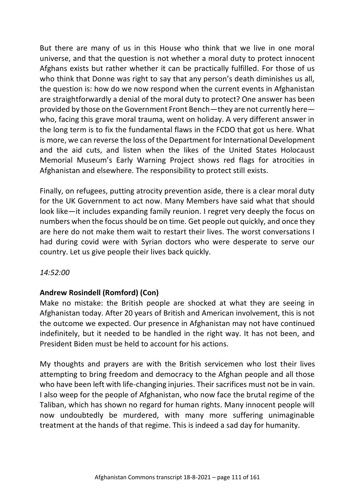But there are many of us in this House who think that we live in one moral universe, and that the question is not whether a moral duty to protect innocent Afghans exists but rather whether it can be practically fulfilled. For those of us who think that Donne was right to say that any person's death diminishes us all, the question is: how do we now respond when the current events in Afghanistan are straightforwardly a denial of the moral duty to protect? One answer has been provided by those on the Government Front Bench—they are not currently here who, facing this grave moral trauma, went on holiday. A very different answer in the long term is to fix the fundamental flaws in the FCDO that got us here. What is more, we can reverse the loss of the Department for International Development and the aid cuts, and listen when the likes of the United States Holocaust Memorial Museum's Early Warning Project shows red flags for atrocities in Afghanistan and elsewhere. The responsibility to protect still exists.

Finally, on refugees, putting atrocity prevention aside, there is a clear moral duty for the UK Government to act now. Many Members have said what that should look like—it includes expanding family reunion. I regret very deeply the focus on numbers when the focus should be on time. Get people out quickly, and once they are here do not make them wait to restart their lives. The worst conversations I had during covid were with Syrian doctors who were desperate to serve our country. Let us give people their lives back quickly.

### *14:52:00*

### **Andrew Rosindell (Romford) (Con)**

Make no mistake: the British people are shocked at what they are seeing in Afghanistan today. After 20 years of British and American involvement, this is not the outcome we expected. Our presence in Afghanistan may not have continued indefinitely, but it needed to be handled in the right way. It has not been, and President Biden must be held to account for his actions.

My thoughts and prayers are with the British servicemen who lost their lives attempting to bring freedom and democracy to the Afghan people and all those who have been left with life-changing injuries. Their sacrifices must not be in vain. I also weep for the people of Afghanistan, who now face the brutal regime of the Taliban, which has shown no regard for human rights. Many innocent people will now undoubtedly be murdered, with many more suffering unimaginable treatment at the hands of that regime. This is indeed a sad day for humanity.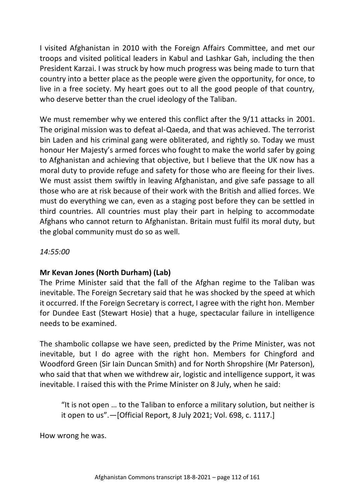I visited Afghanistan in 2010 with the Foreign Affairs Committee, and met our troops and visited political leaders in Kabul and Lashkar Gah, including the then President Karzai. I was struck by how much progress was being made to turn that country into a better place as the people were given the opportunity, for once, to live in a free society. My heart goes out to all the good people of that country, who deserve better than the cruel ideology of the Taliban.

We must remember why we entered this conflict after the 9/11 attacks in 2001. The original mission was to defeat al-Qaeda, and that was achieved. The terrorist bin Laden and his criminal gang were obliterated, and rightly so. Today we must honour Her Majesty's armed forces who fought to make the world safer by going to Afghanistan and achieving that objective, but I believe that the UK now has a moral duty to provide refuge and safety for those who are fleeing for their lives. We must assist them swiftly in leaving Afghanistan, and give safe passage to all those who are at risk because of their work with the British and allied forces. We must do everything we can, even as a staging post before they can be settled in third countries. All countries must play their part in helping to accommodate Afghans who cannot return to Afghanistan. Britain must fulfil its moral duty, but the global community must do so as well.

### *14:55:00*

### **Mr Kevan Jones (North Durham) (Lab)**

The Prime Minister said that the fall of the Afghan regime to the Taliban was inevitable. The Foreign Secretary said that he was shocked by the speed at which it occurred. If the Foreign Secretary is correct, I agree with the right hon. Member for Dundee East (Stewart Hosie) that a huge, spectacular failure in intelligence needs to be examined.

The shambolic collapse we have seen, predicted by the Prime Minister, was not inevitable, but I do agree with the right hon. Members for Chingford and Woodford Green (Sir Iain Duncan Smith) and for North Shropshire (Mr Paterson), who said that that when we withdrew air, logistic and intelligence support, it was inevitable. I raised this with the Prime Minister on 8 July, when he said:

"It is not open … to the Taliban to enforce a military solution, but neither is it open to us".—[Official Report, 8 July 2021; Vol. 698, c. 1117.]

How wrong he was.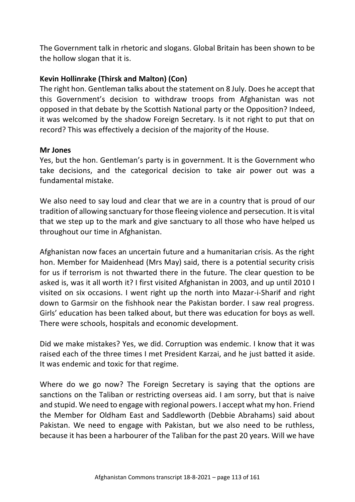The Government talk in rhetoric and slogans. Global Britain has been shown to be the hollow slogan that it is.

### **Kevin Hollinrake (Thirsk and Malton) (Con)**

The right hon. Gentleman talks about the statement on 8 July. Does he accept that this Government's decision to withdraw troops from Afghanistan was not opposed in that debate by the Scottish National party or the Opposition? Indeed, it was welcomed by the shadow Foreign Secretary. Is it not right to put that on record? This was effectively a decision of the majority of the House.

#### **Mr Jones**

Yes, but the hon. Gentleman's party is in government. It is the Government who take decisions, and the categorical decision to take air power out was a fundamental mistake.

We also need to say loud and clear that we are in a country that is proud of our tradition of allowing sanctuary for those fleeing violence and persecution. It is vital that we step up to the mark and give sanctuary to all those who have helped us throughout our time in Afghanistan.

Afghanistan now faces an uncertain future and a humanitarian crisis. As the right hon. Member for Maidenhead (Mrs May) said, there is a potential security crisis for us if terrorism is not thwarted there in the future. The clear question to be asked is, was it all worth it? I first visited Afghanistan in 2003, and up until 2010 I visited on six occasions. I went right up the north into Mazar-i-Sharif and right down to Garmsir on the fishhook near the Pakistan border. I saw real progress. Girls' education has been talked about, but there was education for boys as well. There were schools, hospitals and economic development.

Did we make mistakes? Yes, we did. Corruption was endemic. I know that it was raised each of the three times I met President Karzai, and he just batted it aside. It was endemic and toxic for that regime.

Where do we go now? The Foreign Secretary is saying that the options are sanctions on the Taliban or restricting overseas aid. I am sorry, but that is naive and stupid. We need to engage with regional powers. I accept what my hon. Friend the Member for Oldham East and Saddleworth (Debbie Abrahams) said about Pakistan. We need to engage with Pakistan, but we also need to be ruthless, because it has been a harbourer of the Taliban for the past 20 years. Will we have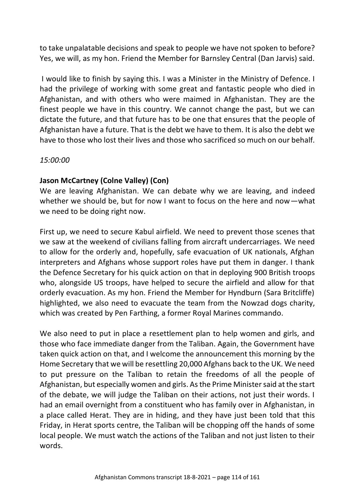to take unpalatable decisions and speak to people we have not spoken to before? Yes, we will, as my hon. Friend the Member for Barnsley Central (Dan Jarvis) said.

I would like to finish by saying this. I was a Minister in the Ministry of Defence. I had the privilege of working with some great and fantastic people who died in Afghanistan, and with others who were maimed in Afghanistan. They are the finest people we have in this country. We cannot change the past, but we can dictate the future, and that future has to be one that ensures that the people of Afghanistan have a future. That is the debt we have to them. It is also the debt we have to those who lost their lives and those who sacrificed so much on our behalf.

### *15:00:00*

### **Jason McCartney (Colne Valley) (Con)**

We are leaving Afghanistan. We can debate why we are leaving, and indeed whether we should be, but for now I want to focus on the here and now—what we need to be doing right now.

First up, we need to secure Kabul airfield. We need to prevent those scenes that we saw at the weekend of civilians falling from aircraft undercarriages. We need to allow for the orderly and, hopefully, safe evacuation of UK nationals, Afghan interpreters and Afghans whose support roles have put them in danger. I thank the Defence Secretary for his quick action on that in deploying 900 British troops who, alongside US troops, have helped to secure the airfield and allow for that orderly evacuation. As my hon. Friend the Member for Hyndburn (Sara Britcliffe) highlighted, we also need to evacuate the team from the Nowzad dogs charity, which was created by Pen Farthing, a former Royal Marines commando.

We also need to put in place a resettlement plan to help women and girls, and those who face immediate danger from the Taliban. Again, the Government have taken quick action on that, and I welcome the announcement this morning by the Home Secretary that we will be resettling 20,000 Afghans back to the UK. We need to put pressure on the Taliban to retain the freedoms of all the people of Afghanistan, but especially women and girls. As the Prime Minister said at the start of the debate, we will judge the Taliban on their actions, not just their words. I had an email overnight from a constituent who has family over in Afghanistan, in a place called Herat. They are in hiding, and they have just been told that this Friday, in Herat sports centre, the Taliban will be chopping off the hands of some local people. We must watch the actions of the Taliban and not just listen to their words.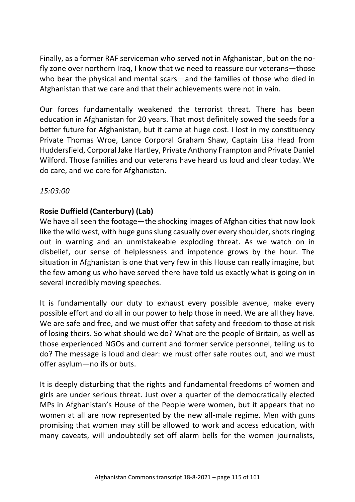Finally, as a former RAF serviceman who served not in Afghanistan, but on the nofly zone over northern Iraq, I know that we need to reassure our veterans—those who bear the physical and mental scars—and the families of those who died in Afghanistan that we care and that their achievements were not in vain.

Our forces fundamentally weakened the terrorist threat. There has been education in Afghanistan for 20 years. That most definitely sowed the seeds for a better future for Afghanistan, but it came at huge cost. I lost in my constituency Private Thomas Wroe, Lance Corporal Graham Shaw, Captain Lisa Head from Huddersfield, Corporal Jake Hartley, Private Anthony Frampton and Private Daniel Wilford. Those families and our veterans have heard us loud and clear today. We do care, and we care for Afghanistan.

### *15:03:00*

# **Rosie Duffield (Canterbury) (Lab)**

We have all seen the footage—the shocking images of Afghan cities that now look like the wild west, with huge guns slung casually over every shoulder, shots ringing out in warning and an unmistakeable exploding threat. As we watch on in disbelief, our sense of helplessness and impotence grows by the hour. The situation in Afghanistan is one that very few in this House can really imagine, but the few among us who have served there have told us exactly what is going on in several incredibly moving speeches.

It is fundamentally our duty to exhaust every possible avenue, make every possible effort and do all in our power to help those in need. We are all they have. We are safe and free, and we must offer that safety and freedom to those at risk of losing theirs. So what should we do? What are the people of Britain, as well as those experienced NGOs and current and former service personnel, telling us to do? The message is loud and clear: we must offer safe routes out, and we must offer asylum—no ifs or buts.

It is deeply disturbing that the rights and fundamental freedoms of women and girls are under serious threat. Just over a quarter of the democratically elected MPs in Afghanistan's House of the People were women, but it appears that no women at all are now represented by the new all-male regime. Men with guns promising that women may still be allowed to work and access education, with many caveats, will undoubtedly set off alarm bells for the women journalists,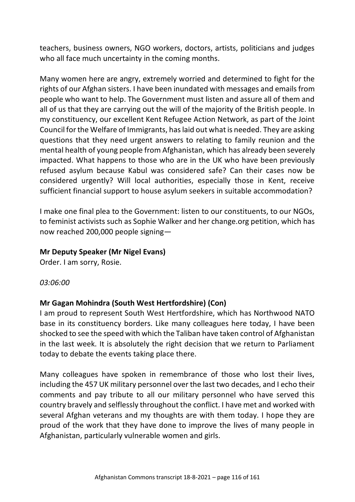teachers, business owners, NGO workers, doctors, artists, politicians and judges who all face much uncertainty in the coming months.

Many women here are angry, extremely worried and determined to fight for the rights of our Afghan sisters. I have been inundated with messages and emails from people who want to help. The Government must listen and assure all of them and all of us that they are carrying out the will of the majority of the British people. In my constituency, our excellent Kent Refugee Action Network, as part of the Joint Council for the Welfare of Immigrants, has laid out what is needed. They are asking questions that they need urgent answers to relating to family reunion and the mental health of young people from Afghanistan, which has already been severely impacted. What happens to those who are in the UK who have been previously refused asylum because Kabul was considered safe? Can their cases now be considered urgently? Will local authorities, especially those in Kent, receive sufficient financial support to house asylum seekers in suitable accommodation?

I make one final plea to the Government: listen to our constituents, to our NGOs, to feminist activists such as Sophie Walker and her change.org petition, which has now reached 200,000 people signing—

#### **Mr Deputy Speaker (Mr Nigel Evans)**

Order. I am sorry, Rosie.

*03:06:00*

### **Mr Gagan Mohindra (South West Hertfordshire) (Con)**

I am proud to represent South West Hertfordshire, which has Northwood NATO base in its constituency borders. Like many colleagues here today, I have been shocked to see the speed with which the Taliban have taken control of Afghanistan in the last week. It is absolutely the right decision that we return to Parliament today to debate the events taking place there.

Many colleagues have spoken in remembrance of those who lost their lives, including the 457 UK military personnel over the last two decades, and I echo their comments and pay tribute to all our military personnel who have served this country bravely and selflessly throughout the conflict. I have met and worked with several Afghan veterans and my thoughts are with them today. I hope they are proud of the work that they have done to improve the lives of many people in Afghanistan, particularly vulnerable women and girls.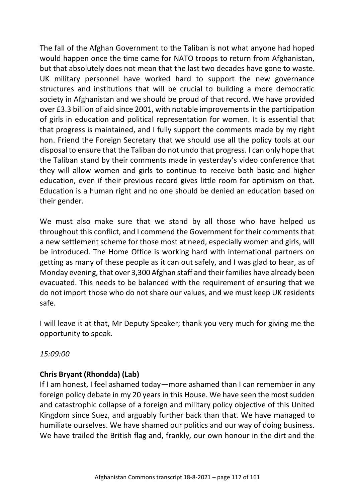The fall of the Afghan Government to the Taliban is not what anyone had hoped would happen once the time came for NATO troops to return from Afghanistan, but that absolutely does not mean that the last two decades have gone to waste. UK military personnel have worked hard to support the new governance structures and institutions that will be crucial to building a more democratic society in Afghanistan and we should be proud of that record. We have provided over £3.3 billion of aid since 2001, with notable improvements in the participation of girls in education and political representation for women. It is essential that that progress is maintained, and I fully support the comments made by my right hon. Friend the Foreign Secretary that we should use all the policy tools at our disposal to ensure that the Taliban do not undo that progress. I can only hope that the Taliban stand by their comments made in yesterday's video conference that they will allow women and girls to continue to receive both basic and higher education, even if their previous record gives little room for optimism on that. Education is a human right and no one should be denied an education based on their gender.

We must also make sure that we stand by all those who have helped us throughout this conflict, and I commend the Government for their comments that a new settlement scheme for those most at need, especially women and girls, will be introduced. The Home Office is working hard with international partners on getting as many of these people as it can out safely, and I was glad to hear, as of Monday evening, that over 3,300 Afghan staff and their families have already been evacuated. This needs to be balanced with the requirement of ensuring that we do not import those who do not share our values, and we must keep UK residents safe.

I will leave it at that, Mr Deputy Speaker; thank you very much for giving me the opportunity to speak.

*15:09:00*

# **Chris Bryant (Rhondda) (Lab)**

If I am honest, I feel ashamed today—more ashamed than I can remember in any foreign policy debate in my 20 years in this House. We have seen the most sudden and catastrophic collapse of a foreign and military policy objective of this United Kingdom since Suez, and arguably further back than that. We have managed to humiliate ourselves. We have shamed our politics and our way of doing business. We have trailed the British flag and, frankly, our own honour in the dirt and the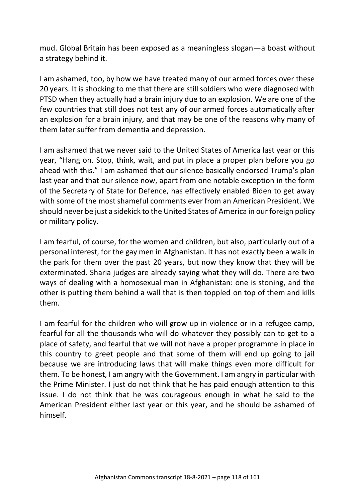mud. Global Britain has been exposed as a meaningless slogan—a boast without a strategy behind it.

I am ashamed, too, by how we have treated many of our armed forces over these 20 years. It is shocking to me that there are still soldiers who were diagnosed with PTSD when they actually had a brain injury due to an explosion. We are one of the few countries that still does not test any of our armed forces automatically after an explosion for a brain injury, and that may be one of the reasons why many of them later suffer from dementia and depression.

I am ashamed that we never said to the United States of America last year or this year, "Hang on. Stop, think, wait, and put in place a proper plan before you go ahead with this." I am ashamed that our silence basically endorsed Trump's plan last year and that our silence now, apart from one notable exception in the form of the Secretary of State for Defence, has effectively enabled Biden to get away with some of the most shameful comments ever from an American President. We should never be just a sidekick to the United States of America in our foreign policy or military policy.

I am fearful, of course, for the women and children, but also, particularly out of a personal interest, for the gay men in Afghanistan. It has not exactly been a walk in the park for them over the past 20 years, but now they know that they will be exterminated. Sharia judges are already saying what they will do. There are two ways of dealing with a homosexual man in Afghanistan: one is stoning, and the other is putting them behind a wall that is then toppled on top of them and kills them.

I am fearful for the children who will grow up in violence or in a refugee camp, fearful for all the thousands who will do whatever they possibly can to get to a place of safety, and fearful that we will not have a proper programme in place in this country to greet people and that some of them will end up going to jail because we are introducing laws that will make things even more difficult for them. To be honest, I am angry with the Government. I am angry in particular with the Prime Minister. I just do not think that he has paid enough attention to this issue. I do not think that he was courageous enough in what he said to the American President either last year or this year, and he should be ashamed of himself.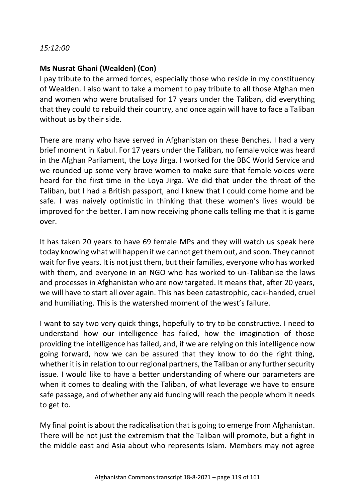#### *15:12:00*

### **Ms Nusrat Ghani (Wealden) (Con)**

I pay tribute to the armed forces, especially those who reside in my constituency of Wealden. I also want to take a moment to pay tribute to all those Afghan men and women who were brutalised for 17 years under the Taliban, did everything that they could to rebuild their country, and once again will have to face a Taliban without us by their side.

There are many who have served in Afghanistan on these Benches. I had a very brief moment in Kabul. For 17 years under the Taliban, no female voice was heard in the Afghan Parliament, the Loya Jirga. I worked for the BBC World Service and we rounded up some very brave women to make sure that female voices were heard for the first time in the Loya Jirga. We did that under the threat of the Taliban, but I had a British passport, and I knew that I could come home and be safe. I was naively optimistic in thinking that these women's lives would be improved for the better. I am now receiving phone calls telling me that it is game over.

It has taken 20 years to have 69 female MPs and they will watch us speak here today knowing what will happen if we cannot get them out, and soon. They cannot wait for five years. It is not just them, but their families, everyone who has worked with them, and everyone in an NGO who has worked to un-Talibanise the laws and processes in Afghanistan who are now targeted. It means that, after 20 years, we will have to start all over again. This has been catastrophic, cack-handed, cruel and humiliating. This is the watershed moment of the west's failure.

I want to say two very quick things, hopefully to try to be constructive. I need to understand how our intelligence has failed, how the imagination of those providing the intelligence has failed, and, if we are relying on this intelligence now going forward, how we can be assured that they know to do the right thing, whether it is in relation to our regional partners, the Taliban or any further security issue. I would like to have a better understanding of where our parameters are when it comes to dealing with the Taliban, of what leverage we have to ensure safe passage, and of whether any aid funding will reach the people whom it needs to get to.

My final point is about the radicalisation that is going to emerge from Afghanistan. There will be not just the extremism that the Taliban will promote, but a fight in the middle east and Asia about who represents Islam. Members may not agree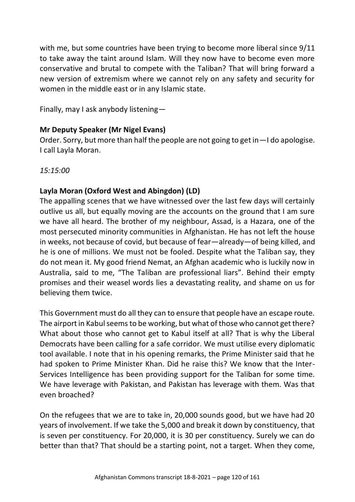with me, but some countries have been trying to become more liberal since  $9/11$ to take away the taint around Islam. Will they now have to become even more conservative and brutal to compete with the Taliban? That will bring forward a new version of extremism where we cannot rely on any safety and security for women in the middle east or in any Islamic state.

Finally, may I ask anybody listening—

# **Mr Deputy Speaker (Mr Nigel Evans)**

Order. Sorry, but more than half the people are not going to get in—I do apologise. I call Layla Moran.

*15:15:00*

# **Layla Moran (Oxford West and Abingdon) (LD)**

The appalling scenes that we have witnessed over the last few days will certainly outlive us all, but equally moving are the accounts on the ground that I am sure we have all heard. The brother of my neighbour, Assad, is a Hazara, one of the most persecuted minority communities in Afghanistan. He has not left the house in weeks, not because of covid, but because of fear—already—of being killed, and he is one of millions. We must not be fooled. Despite what the Taliban say, they do not mean it. My good friend Nemat, an Afghan academic who is luckily now in Australia, said to me, "The Taliban are professional liars". Behind their empty promises and their weasel words lies a devastating reality, and shame on us for believing them twice.

This Government must do all they can to ensure that people have an escape route. The airport in Kabul seems to be working, but what of those who cannot get there? What about those who cannot get to Kabul itself at all? That is why the Liberal Democrats have been calling for a safe corridor. We must utilise every diplomatic tool available. I note that in his opening remarks, the Prime Minister said that he had spoken to Prime Minister Khan. Did he raise this? We know that the Inter-Services Intelligence has been providing support for the Taliban for some time. We have leverage with Pakistan, and Pakistan has leverage with them. Was that even broached?

On the refugees that we are to take in, 20,000 sounds good, but we have had 20 years of involvement. If we take the 5,000 and break it down by constituency, that is seven per constituency. For 20,000, it is 30 per constituency. Surely we can do better than that? That should be a starting point, not a target. When they come,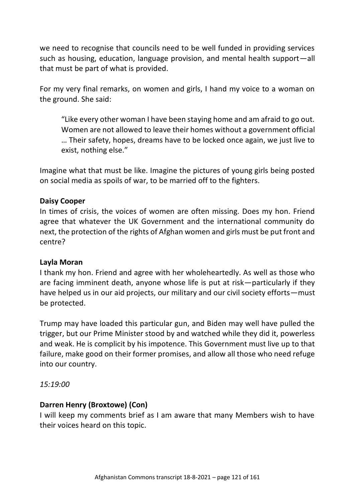we need to recognise that councils need to be well funded in providing services such as housing, education, language provision, and mental health support—all that must be part of what is provided.

For my very final remarks, on women and girls, I hand my voice to a woman on the ground. She said:

"Like every other woman I have been staying home and am afraid to go out. Women are not allowed to leave their homes without a government official … Their safety, hopes, dreams have to be locked once again, we just live to exist, nothing else."

Imagine what that must be like. Imagine the pictures of young girls being posted on social media as spoils of war, to be married off to the fighters.

### **Daisy Cooper**

In times of crisis, the voices of women are often missing. Does my hon. Friend agree that whatever the UK Government and the international community do next, the protection of the rights of Afghan women and girls must be put front and centre?

#### **Layla Moran**

I thank my hon. Friend and agree with her wholeheartedly. As well as those who are facing imminent death, anyone whose life is put at risk—particularly if they have helped us in our aid projects, our military and our civil society efforts—must be protected.

Trump may have loaded this particular gun, and Biden may well have pulled the trigger, but our Prime Minister stood by and watched while they did it, powerless and weak. He is complicit by his impotence. This Government must live up to that failure, make good on their former promises, and allow all those who need refuge into our country.

*15:19:00*

### **Darren Henry (Broxtowe) (Con)**

I will keep my comments brief as I am aware that many Members wish to have their voices heard on this topic.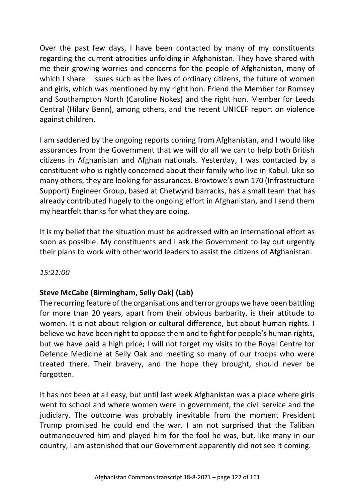Over the past few days, I have been contacted by many of my constituents regarding the current atrocities unfolding in Afghanistan. They have shared with me their growing worries and concerns for the people of Afghanistan, many of which I share—issues such as the lives of ordinary citizens, the future of women and girls, which was mentioned by my right hon. Friend the Member for Romsey and Southampton North (Caroline Nokes) and the right hon. Member for Leeds Central (Hilary Benn), among others, and the recent UNICEF report on violence against children.

I am saddened by the ongoing reports coming from Afghanistan, and I would like assurances from the Government that we will do all we can to help both British citizens in Afghanistan and Afghan nationals. Yesterday, I was contacted by a constituent who is rightly concerned about their family who live in Kabul. Like so many others, they are looking for assurances. Broxtowe's own 170 (Infrastructure Support) Engineer Group, based at Chetwynd barracks, has a small team that has already contributed hugely to the ongoing effort in Afghanistan, and I send them my heartfelt thanks for what they are doing.

It is my belief that the situation must be addressed with an international effort as soon as possible. My constituents and I ask the Government to lay out urgently their plans to work with other world leaders to assist the citizens of Afghanistan.

*15:21:00*

# **Steve McCabe (Birmingham, Selly Oak) (Lab)**

The recurring feature of the organisations and terror groups we have been battling for more than 20 years, apart from their obvious barbarity, is their attitude to women. It is not about religion or cultural difference, but about human rights. I believe we have been right to oppose them and to fight for people's human rights, but we have paid a high price; I will not forget my visits to the Royal Centre for Defence Medicine at Selly Oak and meeting so many of our troops who were treated there. Their bravery, and the hope they brought, should never be forgotten.

It has not been at all easy, but until last week Afghanistan was a place where girls went to school and where women were in government, the civil service and the judiciary. The outcome was probably inevitable from the moment President Trump promised he could end the war. I am not surprised that the Taliban outmanoeuvred him and played him for the fool he was, but, like many in our country, I am astonished that our Government apparently did not see it coming.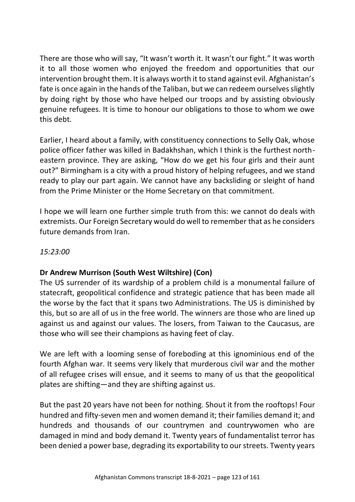There are those who will say, "It wasn't worth it. It wasn't our fight." It was worth it to all those women who enjoyed the freedom and opportunities that our intervention brought them. It is always worth it to stand against evil. Afghanistan's fate is once again in the hands of the Taliban, but we can redeem ourselves slightly by doing right by those who have helped our troops and by assisting obviously genuine refugees. It is time to honour our obligations to those to whom we owe this debt.

Earlier, I heard about a family, with constituency connections to Selly Oak, whose police officer father was killed in Badakhshan, which I think is the furthest northeastern province. They are asking, "How do we get his four girls and their aunt out?" Birmingham is a city with a proud history of helping refugees, and we stand ready to play our part again. We cannot have any backsliding or sleight of hand from the Prime Minister or the Home Secretary on that commitment.

I hope we will learn one further simple truth from this: we cannot do deals with extremists. Our Foreign Secretary would do well to remember that as he considers future demands from Iran.

### *15:23:00*

# **Dr Andrew Murrison (South West Wiltshire) (Con)**

The US surrender of its wardship of a problem child is a monumental failure of statecraft, geopolitical confidence and strategic patience that has been made all the worse by the fact that it spans two Administrations. The US is diminished by this, but so are all of us in the free world. The winners are those who are lined up against us and against our values. The losers, from Taiwan to the Caucasus, are those who will see their champions as having feet of clay.

We are left with a looming sense of foreboding at this ignominious end of the fourth Afghan war. It seems very likely that murderous civil war and the mother of all refugee crises will ensue, and it seems to many of us that the geopolitical plates are shifting—and they are shifting against us.

But the past 20 years have not been for nothing. Shout it from the rooftops! Four hundred and fifty-seven men and women demand it; their families demand it; and hundreds and thousands of our countrymen and countrywomen who are damaged in mind and body demand it. Twenty years of fundamentalist terror has been denied a power base, degrading its exportability to our streets. Twenty years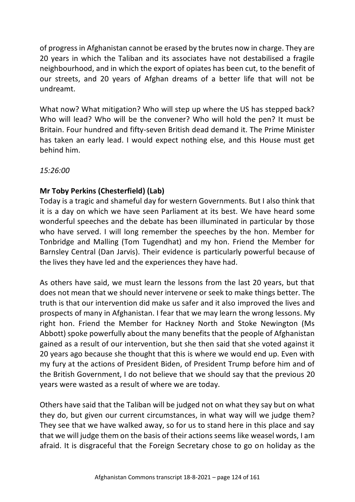of progress in Afghanistan cannot be erased by the brutes now in charge. They are 20 years in which the Taliban and its associates have not destabilised a fragile neighbourhood, and in which the export of opiates has been cut, to the benefit of our streets, and 20 years of Afghan dreams of a better life that will not be undreamt.

What now? What mitigation? Who will step up where the US has stepped back? Who will lead? Who will be the convener? Who will hold the pen? It must be Britain. Four hundred and fifty-seven British dead demand it. The Prime Minister has taken an early lead. I would expect nothing else, and this House must get behind him.

*15:26:00*

# **Mr Toby Perkins (Chesterfield) (Lab)**

Today is a tragic and shameful day for western Governments. But I also think that it is a day on which we have seen Parliament at its best. We have heard some wonderful speeches and the debate has been illuminated in particular by those who have served. I will long remember the speeches by the hon. Member for Tonbridge and Malling (Tom Tugendhat) and my hon. Friend the Member for Barnsley Central (Dan Jarvis). Their evidence is particularly powerful because of the lives they have led and the experiences they have had.

As others have said, we must learn the lessons from the last 20 years, but that does not mean that we should never intervene or seek to make things better. The truth is that our intervention did make us safer and it also improved the lives and prospects of many in Afghanistan. I fear that we may learn the wrong lessons. My right hon. Friend the Member for Hackney North and Stoke Newington (Ms Abbott) spoke powerfully about the many benefits that the people of Afghanistan gained as a result of our intervention, but she then said that she voted against it 20 years ago because she thought that this is where we would end up. Even with my fury at the actions of President Biden, of President Trump before him and of the British Government, I do not believe that we should say that the previous 20 years were wasted as a result of where we are today.

Others have said that the Taliban will be judged not on what they say but on what they do, but given our current circumstances, in what way will we judge them? They see that we have walked away, so for us to stand here in this place and say that we will judge them on the basis of their actions seems like weasel words, I am afraid. It is disgraceful that the Foreign Secretary chose to go on holiday as the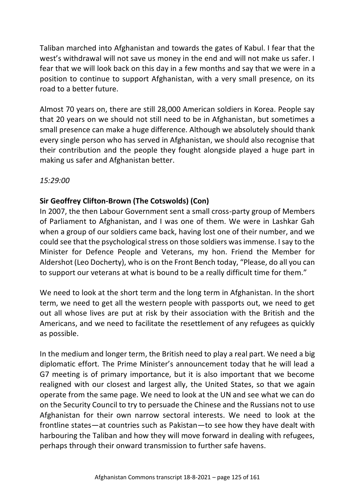Taliban marched into Afghanistan and towards the gates of Kabul. I fear that the west's withdrawal will not save us money in the end and will not make us safer. I fear that we will look back on this day in a few months and say that we were in a position to continue to support Afghanistan, with a very small presence, on its road to a better future.

Almost 70 years on, there are still 28,000 American soldiers in Korea. People say that 20 years on we should not still need to be in Afghanistan, but sometimes a small presence can make a huge difference. Although we absolutely should thank every single person who has served in Afghanistan, we should also recognise that their contribution and the people they fought alongside played a huge part in making us safer and Afghanistan better.

*15:29:00*

# **Sir Geoffrey Clifton-Brown (The Cotswolds) (Con)**

In 2007, the then Labour Government sent a small cross-party group of Members of Parliament to Afghanistan, and I was one of them. We were in Lashkar Gah when a group of our soldiers came back, having lost one of their number, and we could see that the psychological stress on those soldiers was immense. I say to the Minister for Defence People and Veterans, my hon. Friend the Member for Aldershot (Leo Docherty), who is on the Front Bench today, "Please, do all you can to support our veterans at what is bound to be a really difficult time for them."

We need to look at the short term and the long term in Afghanistan. In the short term, we need to get all the western people with passports out, we need to get out all whose lives are put at risk by their association with the British and the Americans, and we need to facilitate the resettlement of any refugees as quickly as possible.

In the medium and longer term, the British need to play a real part. We need a big diplomatic effort. The Prime Minister's announcement today that he will lead a G7 meeting is of primary importance, but it is also important that we become realigned with our closest and largest ally, the United States, so that we again operate from the same page. We need to look at the UN and see what we can do on the Security Council to try to persuade the Chinese and the Russians not to use Afghanistan for their own narrow sectoral interests. We need to look at the frontline states—at countries such as Pakistan—to see how they have dealt with harbouring the Taliban and how they will move forward in dealing with refugees, perhaps through their onward transmission to further safe havens.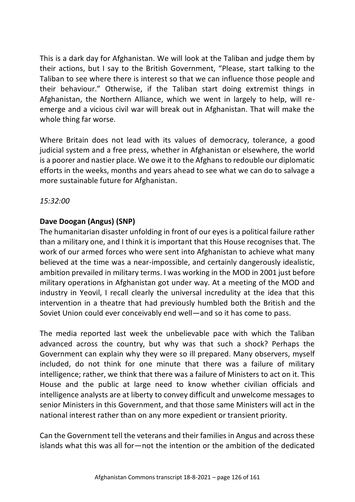This is a dark day for Afghanistan. We will look at the Taliban and judge them by their actions, but I say to the British Government, "Please, start talking to the Taliban to see where there is interest so that we can influence those people and their behaviour." Otherwise, if the Taliban start doing extremist things in Afghanistan, the Northern Alliance, which we went in largely to help, will reemerge and a vicious civil war will break out in Afghanistan. That will make the whole thing far worse.

Where Britain does not lead with its values of democracy, tolerance, a good judicial system and a free press, whether in Afghanistan or elsewhere, the world is a poorer and nastier place. We owe it to the Afghans to redouble our diplomatic efforts in the weeks, months and years ahead to see what we can do to salvage a more sustainable future for Afghanistan.

### *15:32:00*

### **Dave Doogan (Angus) (SNP)**

The humanitarian disaster unfolding in front of our eyes is a political failure rather than a military one, and I think it is important that this House recognises that. The work of our armed forces who were sent into Afghanistan to achieve what many believed at the time was a near-impossible, and certainly dangerously idealistic, ambition prevailed in military terms. I was working in the MOD in 2001 just before military operations in Afghanistan got under way. At a meeting of the MOD and industry in Yeovil, I recall clearly the universal incredulity at the idea that this intervention in a theatre that had previously humbled both the British and the Soviet Union could ever conceivably end well—and so it has come to pass.

The media reported last week the unbelievable pace with which the Taliban advanced across the country, but why was that such a shock? Perhaps the Government can explain why they were so ill prepared. Many observers, myself included, do not think for one minute that there was a failure of military intelligence; rather, we think that there was a failure of Ministers to act on it. This House and the public at large need to know whether civilian officials and intelligence analysts are at liberty to convey difficult and unwelcome messages to senior Ministers in this Government, and that those same Ministers will act in the national interest rather than on any more expedient or transient priority.

Can the Government tell the veterans and their families in Angus and across these islands what this was all for—not the intention or the ambition of the dedicated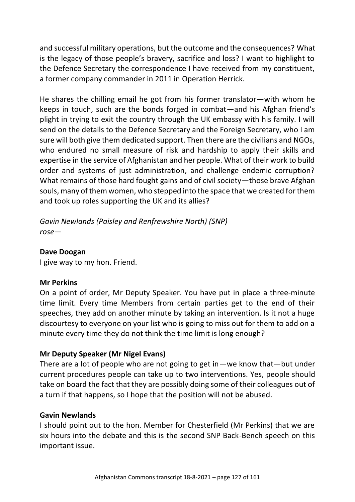and successful military operations, but the outcome and the consequences? What is the legacy of those people's bravery, sacrifice and loss? I want to highlight to the Defence Secretary the correspondence I have received from my constituent, a former company commander in 2011 in Operation Herrick.

He shares the chilling email he got from his former translator—with whom he keeps in touch, such are the bonds forged in combat—and his Afghan friend's plight in trying to exit the country through the UK embassy with his family. I will send on the details to the Defence Secretary and the Foreign Secretary, who I am sure will both give them dedicated support. Then there are the civilians and NGOs, who endured no small measure of risk and hardship to apply their skills and expertise in the service of Afghanistan and her people. What of their work to build order and systems of just administration, and challenge endemic corruption? What remains of those hard fought gains and of civil society—those brave Afghan souls, many of them women, who stepped into the space that we created for them and took up roles supporting the UK and its allies?

*Gavin Newlands (Paisley and Renfrewshire North) (SNP) rose—*

#### **Dave Doogan**

I give way to my hon. Friend.

#### **Mr Perkins**

On a point of order, Mr Deputy Speaker. You have put in place a three-minute time limit. Every time Members from certain parties get to the end of their speeches, they add on another minute by taking an intervention. Is it not a huge discourtesy to everyone on your list who is going to miss out for them to add on a minute every time they do not think the time limit is long enough?

### **Mr Deputy Speaker (Mr Nigel Evans)**

There are a lot of people who are not going to get in—we know that—but under current procedures people can take up to two interventions. Yes, people should take on board the fact that they are possibly doing some of their colleagues out of a turn if that happens, so I hope that the position will not be abused.

#### **Gavin Newlands**

I should point out to the hon. Member for Chesterfield (Mr Perkins) that we are six hours into the debate and this is the second SNP Back-Bench speech on this important issue.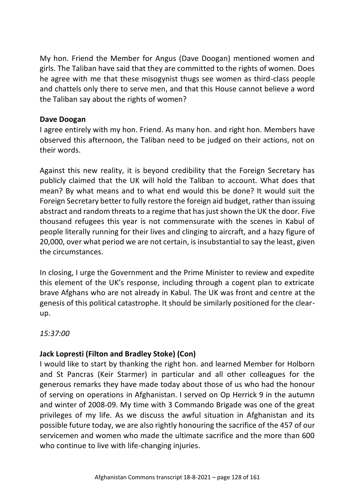My hon. Friend the Member for Angus (Dave Doogan) mentioned women and girls. The Taliban have said that they are committed to the rights of women. Does he agree with me that these misogynist thugs see women as third-class people and chattels only there to serve men, and that this House cannot believe a word the Taliban say about the rights of women?

### **Dave Doogan**

I agree entirely with my hon. Friend. As many hon. and right hon. Members have observed this afternoon, the Taliban need to be judged on their actions, not on their words.

Against this new reality, it is beyond credibility that the Foreign Secretary has publicly claimed that the UK will hold the Taliban to account. What does that mean? By what means and to what end would this be done? It would suit the Foreign Secretary better to fully restore the foreign aid budget, rather than issuing abstract and random threats to a regime that has just shown the UK the door. Five thousand refugees this year is not commensurate with the scenes in Kabul of people literally running for their lives and clinging to aircraft, and a hazy figure of 20,000, over what period we are not certain, is insubstantial to say the least, given the circumstances.

In closing, I urge the Government and the Prime Minister to review and expedite this element of the UK's response, including through a cogent plan to extricate brave Afghans who are not already in Kabul. The UK was front and centre at the genesis of this political catastrophe. It should be similarly positioned for the clearup.

*15:37:00*

# **Jack Lopresti (Filton and Bradley Stoke) (Con)**

I would like to start by thanking the right hon. and learned Member for Holborn and St Pancras (Keir Starmer) in particular and all other colleagues for the generous remarks they have made today about those of us who had the honour of serving on operations in Afghanistan. I served on Op Herrick 9 in the autumn and winter of 2008-09. My time with 3 Commando Brigade was one of the great privileges of my life. As we discuss the awful situation in Afghanistan and its possible future today, we are also rightly honouring the sacrifice of the 457 of our servicemen and women who made the ultimate sacrifice and the more than 600 who continue to live with life-changing injuries.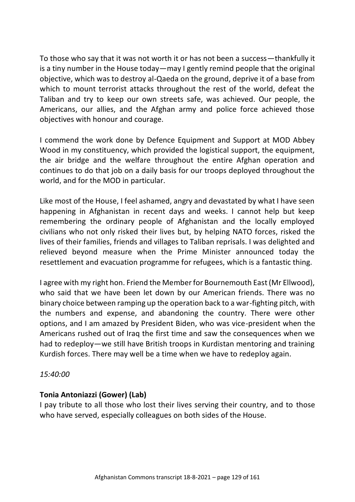To those who say that it was not worth it or has not been a success—thankfully it is a tiny number in the House today—may I gently remind people that the original objective, which was to destroy al-Qaeda on the ground, deprive it of a base from which to mount terrorist attacks throughout the rest of the world, defeat the Taliban and try to keep our own streets safe, was achieved. Our people, the Americans, our allies, and the Afghan army and police force achieved those objectives with honour and courage.

I commend the work done by Defence Equipment and Support at MOD Abbey Wood in my constituency, which provided the logistical support, the equipment, the air bridge and the welfare throughout the entire Afghan operation and continues to do that job on a daily basis for our troops deployed throughout the world, and for the MOD in particular.

Like most of the House, I feel ashamed, angry and devastated by what I have seen happening in Afghanistan in recent days and weeks. I cannot help but keep remembering the ordinary people of Afghanistan and the locally employed civilians who not only risked their lives but, by helping NATO forces, risked the lives of their families, friends and villages to Taliban reprisals. I was delighted and relieved beyond measure when the Prime Minister announced today the resettlement and evacuation programme for refugees, which is a fantastic thing.

I agree with my right hon. Friend the Member for Bournemouth East (Mr Ellwood), who said that we have been let down by our American friends. There was no binary choice between ramping up the operation back to a war-fighting pitch, with the numbers and expense, and abandoning the country. There were other options, and I am amazed by President Biden, who was vice-president when the Americans rushed out of Iraq the first time and saw the consequences when we had to redeploy—we still have British troops in Kurdistan mentoring and training Kurdish forces. There may well be a time when we have to redeploy again.

*15:40:00*

# **Tonia Antoniazzi (Gower) (Lab)**

I pay tribute to all those who lost their lives serving their country, and to those who have served, especially colleagues on both sides of the House.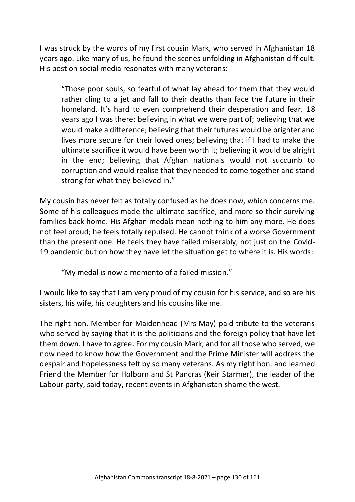I was struck by the words of my first cousin Mark, who served in Afghanistan 18 years ago. Like many of us, he found the scenes unfolding in Afghanistan difficult. His post on social media resonates with many veterans:

"Those poor souls, so fearful of what lay ahead for them that they would rather cling to a jet and fall to their deaths than face the future in their homeland. It's hard to even comprehend their desperation and fear. 18 years ago I was there: believing in what we were part of; believing that we would make a difference; believing that their futures would be brighter and lives more secure for their loved ones; believing that if I had to make the ultimate sacrifice it would have been worth it; believing it would be alright in the end; believing that Afghan nationals would not succumb to corruption and would realise that they needed to come together and stand strong for what they believed in."

My cousin has never felt as totally confused as he does now, which concerns me. Some of his colleagues made the ultimate sacrifice, and more so their surviving families back home. His Afghan medals mean nothing to him any more. He does not feel proud; he feels totally repulsed. He cannot think of a worse Government than the present one. He feels they have failed miserably, not just on the Covid-19 pandemic but on how they have let the situation get to where it is. His words:

"My medal is now a memento of a failed mission."

I would like to say that I am very proud of my cousin for his service, and so are his sisters, his wife, his daughters and his cousins like me.

The right hon. Member for Maidenhead (Mrs May) paid tribute to the veterans who served by saying that it is the politicians and the foreign policy that have let them down. I have to agree. For my cousin Mark, and for all those who served, we now need to know how the Government and the Prime Minister will address the despair and hopelessness felt by so many veterans. As my right hon. and learned Friend the Member for Holborn and St Pancras (Keir Starmer), the leader of the Labour party, said today, recent events in Afghanistan shame the west.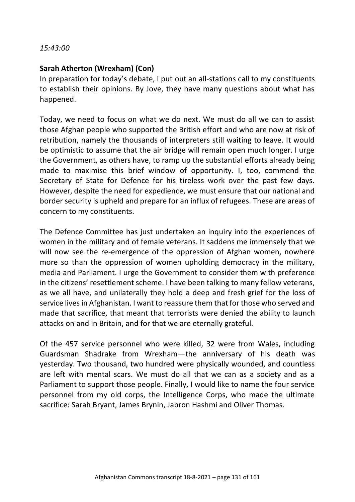#### *15:43:00*

### **Sarah Atherton (Wrexham) (Con)**

In preparation for today's debate, I put out an all-stations call to my constituents to establish their opinions. By Jove, they have many questions about what has happened.

Today, we need to focus on what we do next. We must do all we can to assist those Afghan people who supported the British effort and who are now at risk of retribution, namely the thousands of interpreters still waiting to leave. It would be optimistic to assume that the air bridge will remain open much longer. I urge the Government, as others have, to ramp up the substantial efforts already being made to maximise this brief window of opportunity. I, too, commend the Secretary of State for Defence for his tireless work over the past few days. However, despite the need for expedience, we must ensure that our national and border security is upheld and prepare for an influx of refugees. These are areas of concern to my constituents.

The Defence Committee has just undertaken an inquiry into the experiences of women in the military and of female veterans. It saddens me immensely that we will now see the re-emergence of the oppression of Afghan women, nowhere more so than the oppression of women upholding democracy in the military, media and Parliament. I urge the Government to consider them with preference in the citizens' resettlement scheme. I have been talking to many fellow veterans, as we all have, and unilaterally they hold a deep and fresh grief for the loss of service lives in Afghanistan. I want to reassure them that for those who served and made that sacrifice, that meant that terrorists were denied the ability to launch attacks on and in Britain, and for that we are eternally grateful.

Of the 457 service personnel who were killed, 32 were from Wales, including Guardsman Shadrake from Wrexham—the anniversary of his death was yesterday. Two thousand, two hundred were physically wounded, and countless are left with mental scars. We must do all that we can as a society and as a Parliament to support those people. Finally, I would like to name the four service personnel from my old corps, the Intelligence Corps, who made the ultimate sacrifice: Sarah Bryant, James Brynin, Jabron Hashmi and Oliver Thomas.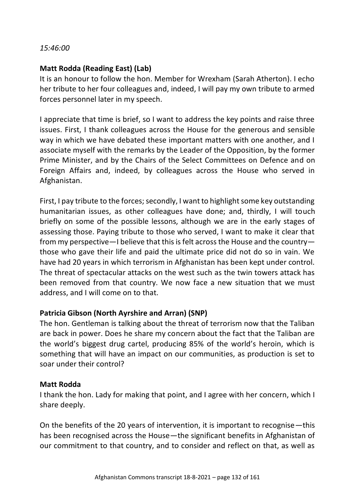### *15:46:00*

### **Matt Rodda (Reading East) (Lab)**

It is an honour to follow the hon. Member for Wrexham (Sarah Atherton). I echo her tribute to her four colleagues and, indeed, I will pay my own tribute to armed forces personnel later in my speech.

I appreciate that time is brief, so I want to address the key points and raise three issues. First, I thank colleagues across the House for the generous and sensible way in which we have debated these important matters with one another, and I associate myself with the remarks by the Leader of the Opposition, by the former Prime Minister, and by the Chairs of the Select Committees on Defence and on Foreign Affairs and, indeed, by colleagues across the House who served in Afghanistan.

First, I pay tribute to the forces; secondly, I want to highlight some key outstanding humanitarian issues, as other colleagues have done; and, thirdly, I will touch briefly on some of the possible lessons, although we are in the early stages of assessing those. Paying tribute to those who served, I want to make it clear that from my perspective—I believe that this is felt across the House and the country those who gave their life and paid the ultimate price did not do so in vain. We have had 20 years in which terrorism in Afghanistan has been kept under control. The threat of spectacular attacks on the west such as the twin towers attack has been removed from that country. We now face a new situation that we must address, and I will come on to that.

### **Patricia Gibson (North Ayrshire and Arran) (SNP)**

The hon. Gentleman is talking about the threat of terrorism now that the Taliban are back in power. Does he share my concern about the fact that the Taliban are the world's biggest drug cartel, producing 85% of the world's heroin, which is something that will have an impact on our communities, as production is set to soar under their control?

### **Matt Rodda**

I thank the hon. Lady for making that point, and I agree with her concern, which I share deeply.

On the benefits of the 20 years of intervention, it is important to recognise—this has been recognised across the House—the significant benefits in Afghanistan of our commitment to that country, and to consider and reflect on that, as well as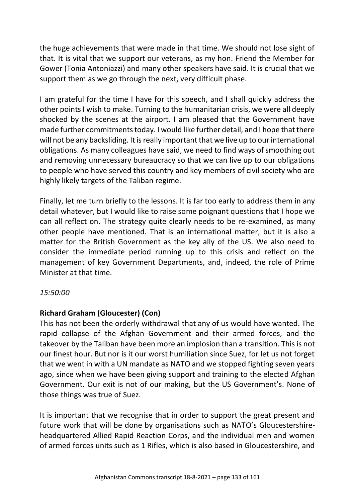the huge achievements that were made in that time. We should not lose sight of that. It is vital that we support our veterans, as my hon. Friend the Member for Gower (Tonia Antoniazzi) and many other speakers have said. It is crucial that we support them as we go through the next, very difficult phase.

I am grateful for the time I have for this speech, and I shall quickly address the other points I wish to make. Turning to the humanitarian crisis, we were all deeply shocked by the scenes at the airport. I am pleased that the Government have made further commitments today. I would like further detail, and I hope that there will not be any backsliding. It is really important that we live up to our international obligations. As many colleagues have said, we need to find ways of smoothing out and removing unnecessary bureaucracy so that we can live up to our obligations to people who have served this country and key members of civil society who are highly likely targets of the Taliban regime.

Finally, let me turn briefly to the lessons. It is far too early to address them in any detail whatever, but I would like to raise some poignant questions that I hope we can all reflect on. The strategy quite clearly needs to be re-examined, as many other people have mentioned. That is an international matter, but it is also a matter for the British Government as the key ally of the US. We also need to consider the immediate period running up to this crisis and reflect on the management of key Government Departments, and, indeed, the role of Prime Minister at that time.

### *15:50:00*

### **Richard Graham (Gloucester) (Con)**

This has not been the orderly withdrawal that any of us would have wanted. The rapid collapse of the Afghan Government and their armed forces, and the takeover by the Taliban have been more an implosion than a transition. This is not our finest hour. But nor is it our worst humiliation since Suez, for let us not forget that we went in with a UN mandate as NATO and we stopped fighting seven years ago, since when we have been giving support and training to the elected Afghan Government. Our exit is not of our making, but the US Government's. None of those things was true of Suez.

It is important that we recognise that in order to support the great present and future work that will be done by organisations such as NATO's Gloucestershireheadquartered Allied Rapid Reaction Corps, and the individual men and women of armed forces units such as 1 Rifles, which is also based in Gloucestershire, and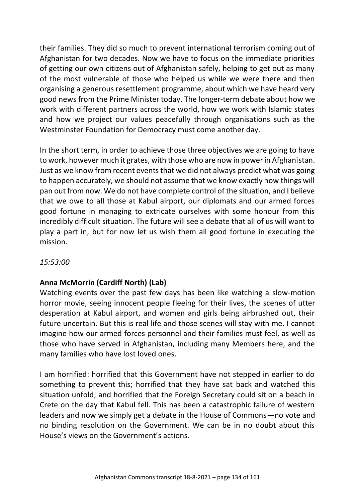their families. They did so much to prevent international terrorism coming out of Afghanistan for two decades. Now we have to focus on the immediate priorities of getting our own citizens out of Afghanistan safely, helping to get out as many of the most vulnerable of those who helped us while we were there and then organising a generous resettlement programme, about which we have heard very good news from the Prime Minister today. The longer-term debate about how we work with different partners across the world, how we work with Islamic states and how we project our values peacefully through organisations such as the Westminster Foundation for Democracy must come another day.

In the short term, in order to achieve those three objectives we are going to have to work, however much it grates, with those who are now in power in Afghanistan. Just as we know from recent events that we did not always predict what was going to happen accurately, we should not assume that we know exactly how things will pan out from now. We do not have complete control of the situation, and I believe that we owe to all those at Kabul airport, our diplomats and our armed forces good fortune in managing to extricate ourselves with some honour from this incredibly difficult situation. The future will see a debate that all of us will want to play a part in, but for now let us wish them all good fortune in executing the mission.

### *15:53:00*

### **Anna McMorrin (Cardiff North) (Lab)**

Watching events over the past few days has been like watching a slow-motion horror movie, seeing innocent people fleeing for their lives, the scenes of utter desperation at Kabul airport, and women and girls being airbrushed out, their future uncertain. But this is real life and those scenes will stay with me. I cannot imagine how our armed forces personnel and their families must feel, as well as those who have served in Afghanistan, including many Members here, and the many families who have lost loved ones.

I am horrified: horrified that this Government have not stepped in earlier to do something to prevent this; horrified that they have sat back and watched this situation unfold; and horrified that the Foreign Secretary could sit on a beach in Crete on the day that Kabul fell. This has been a catastrophic failure of western leaders and now we simply get a debate in the House of Commons—no vote and no binding resolution on the Government. We can be in no doubt about this House's views on the Government's actions.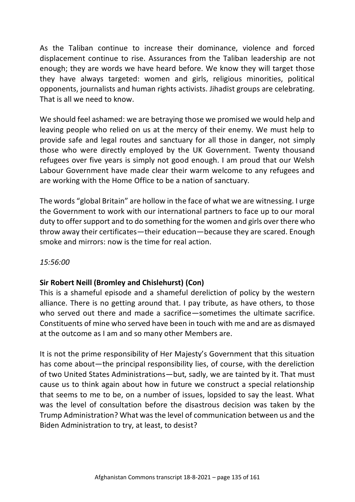As the Taliban continue to increase their dominance, violence and forced displacement continue to rise. Assurances from the Taliban leadership are not enough; they are words we have heard before. We know they will target those they have always targeted: women and girls, religious minorities, political opponents, journalists and human rights activists. Jihadist groups are celebrating. That is all we need to know.

We should feel ashamed: we are betraying those we promised we would help and leaving people who relied on us at the mercy of their enemy. We must help to provide safe and legal routes and sanctuary for all those in danger, not simply those who were directly employed by the UK Government. Twenty thousand refugees over five years is simply not good enough. I am proud that our Welsh Labour Government have made clear their warm welcome to any refugees and are working with the Home Office to be a nation of sanctuary.

The words "global Britain" are hollow in the face of what we are witnessing. I urge the Government to work with our international partners to face up to our moral duty to offer support and to do something for the women and girls over there who throw away their certificates—their education—because they are scared. Enough smoke and mirrors: now is the time for real action.

### *15:56:00*

### **Sir Robert Neill (Bromley and Chislehurst) (Con)**

This is a shameful episode and a shameful dereliction of policy by the western alliance. There is no getting around that. I pay tribute, as have others, to those who served out there and made a sacrifice—sometimes the ultimate sacrifice. Constituents of mine who served have been in touch with me and are as dismayed at the outcome as I am and so many other Members are.

It is not the prime responsibility of Her Majesty's Government that this situation has come about—the principal responsibility lies, of course, with the dereliction of two United States Administrations—but, sadly, we are tainted by it. That must cause us to think again about how in future we construct a special relationship that seems to me to be, on a number of issues, lopsided to say the least. What was the level of consultation before the disastrous decision was taken by the Trump Administration? What was the level of communication between us and the Biden Administration to try, at least, to desist?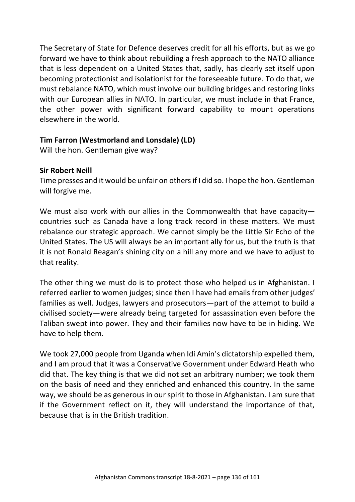The Secretary of State for Defence deserves credit for all his efforts, but as we go forward we have to think about rebuilding a fresh approach to the NATO alliance that is less dependent on a United States that, sadly, has clearly set itself upon becoming protectionist and isolationist for the foreseeable future. To do that, we must rebalance NATO, which must involve our building bridges and restoring links with our European allies in NATO. In particular, we must include in that France, the other power with significant forward capability to mount operations elsewhere in the world.

# **Tim Farron (Westmorland and Lonsdale) (LD)**

Will the hon. Gentleman give way?

# **Sir Robert Neill**

Time presses and it would be unfair on others if I did so. I hope the hon. Gentleman will forgive me.

We must also work with our allies in the Commonwealth that have capacitycountries such as Canada have a long track record in these matters. We must rebalance our strategic approach. We cannot simply be the Little Sir Echo of the United States. The US will always be an important ally for us, but the truth is that it is not Ronald Reagan's shining city on a hill any more and we have to adjust to that reality.

The other thing we must do is to protect those who helped us in Afghanistan. I referred earlier to women judges; since then I have had emails from other judges' families as well. Judges, lawyers and prosecutors—part of the attempt to build a civilised society—were already being targeted for assassination even before the Taliban swept into power. They and their families now have to be in hiding. We have to help them.

We took 27,000 people from Uganda when Idi Amin's dictatorship expelled them, and I am proud that it was a Conservative Government under Edward Heath who did that. The key thing is that we did not set an arbitrary number; we took them on the basis of need and they enriched and enhanced this country. In the same way, we should be as generous in our spirit to those in Afghanistan. I am sure that if the Government reflect on it, they will understand the importance of that, because that is in the British tradition.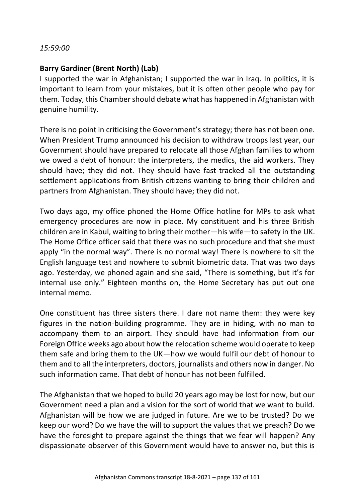#### *15:59:00*

### **Barry Gardiner (Brent North) (Lab)**

I supported the war in Afghanistan; I supported the war in Iraq. In politics, it is important to learn from your mistakes, but it is often other people who pay for them. Today, this Chamber should debate what has happened in Afghanistan with genuine humility.

There is no point in criticising the Government's strategy; there has not been one. When President Trump announced his decision to withdraw troops last year, our Government should have prepared to relocate all those Afghan families to whom we owed a debt of honour: the interpreters, the medics, the aid workers. They should have; they did not. They should have fast-tracked all the outstanding settlement applications from British citizens wanting to bring their children and partners from Afghanistan. They should have; they did not.

Two days ago, my office phoned the Home Office hotline for MPs to ask what emergency procedures are now in place. My constituent and his three British children are in Kabul, waiting to bring their mother—his wife—to safety in the UK. The Home Office officer said that there was no such procedure and that she must apply "in the normal way". There is no normal way! There is nowhere to sit the English language test and nowhere to submit biometric data. That was two days ago. Yesterday, we phoned again and she said, "There is something, but it's for internal use only." Eighteen months on, the Home Secretary has put out one internal memo.

One constituent has three sisters there. I dare not name them: they were key figures in the nation-building programme. They are in hiding, with no man to accompany them to an airport. They should have had information from our Foreign Office weeks ago about how the relocation scheme would operate to keep them safe and bring them to the UK—how we would fulfil our debt of honour to them and to all the interpreters, doctors, journalists and others now in danger. No such information came. That debt of honour has not been fulfilled.

The Afghanistan that we hoped to build 20 years ago may be lost for now, but our Government need a plan and a vision for the sort of world that we want to build. Afghanistan will be how we are judged in future. Are we to be trusted? Do we keep our word? Do we have the will to support the values that we preach? Do we have the foresight to prepare against the things that we fear will happen? Any dispassionate observer of this Government would have to answer no, but this is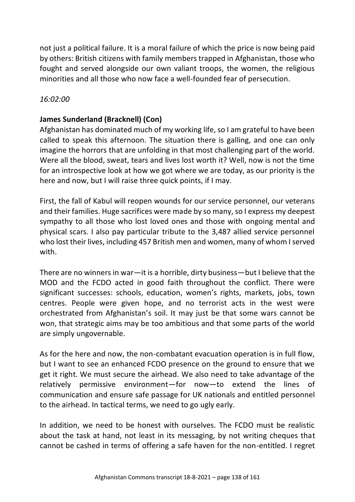not just a political failure. It is a moral failure of which the price is now being paid by others: British citizens with family members trapped in Afghanistan, those who fought and served alongside our own valiant troops, the women, the religious minorities and all those who now face a well-founded fear of persecution.

### *16:02:00*

### **James Sunderland (Bracknell) (Con)**

Afghanistan has dominated much of my working life, so I am grateful to have been called to speak this afternoon. The situation there is galling, and one can only imagine the horrors that are unfolding in that most challenging part of the world. Were all the blood, sweat, tears and lives lost worth it? Well, now is not the time for an introspective look at how we got where we are today, as our priority is the here and now, but I will raise three quick points, if I may.

First, the fall of Kabul will reopen wounds for our service personnel, our veterans and their families. Huge sacrifices were made by so many, so I express my deepest sympathy to all those who lost loved ones and those with ongoing mental and physical scars. I also pay particular tribute to the 3,487 allied service personnel who lost their lives, including 457 British men and women, many of whom I served with.

There are no winners in war—it is a horrible, dirty business—but I believe that the MOD and the FCDO acted in good faith throughout the conflict. There were significant successes: schools, education, women's rights, markets, jobs, town centres. People were given hope, and no terrorist acts in the west were orchestrated from Afghanistan's soil. It may just be that some wars cannot be won, that strategic aims may be too ambitious and that some parts of the world are simply ungovernable.

As for the here and now, the non-combatant evacuation operation is in full flow, but I want to see an enhanced FCDO presence on the ground to ensure that we get it right. We must secure the airhead. We also need to take advantage of the relatively permissive environment—for now—to extend the lines of communication and ensure safe passage for UK nationals and entitled personnel to the airhead. In tactical terms, we need to go ugly early.

In addition, we need to be honest with ourselves. The FCDO must be realistic about the task at hand, not least in its messaging, by not writing cheques that cannot be cashed in terms of offering a safe haven for the non-entitled. I regret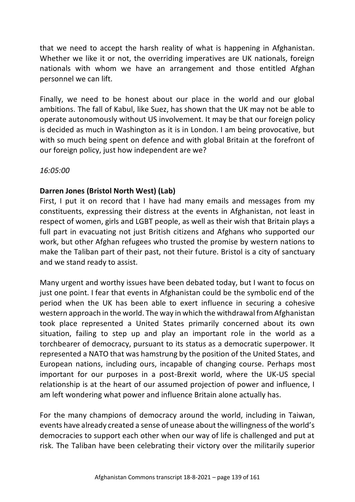that we need to accept the harsh reality of what is happening in Afghanistan. Whether we like it or not, the overriding imperatives are UK nationals, foreign nationals with whom we have an arrangement and those entitled Afghan personnel we can lift.

Finally, we need to be honest about our place in the world and our global ambitions. The fall of Kabul, like Suez, has shown that the UK may not be able to operate autonomously without US involvement. It may be that our foreign policy is decided as much in Washington as it is in London. I am being provocative, but with so much being spent on defence and with global Britain at the forefront of our foreign policy, just how independent are we?

*16:05:00*

# **Darren Jones (Bristol North West) (Lab)**

First, I put it on record that I have had many emails and messages from my constituents, expressing their distress at the events in Afghanistan, not least in respect of women, girls and LGBT people, as well as their wish that Britain plays a full part in evacuating not just British citizens and Afghans who supported our work, but other Afghan refugees who trusted the promise by western nations to make the Taliban part of their past, not their future. Bristol is a city of sanctuary and we stand ready to assist.

Many urgent and worthy issues have been debated today, but I want to focus on just one point. I fear that events in Afghanistan could be the symbolic end of the period when the UK has been able to exert influence in securing a cohesive western approach in the world. The way in which the withdrawal from Afghanistan took place represented a United States primarily concerned about its own situation, failing to step up and play an important role in the world as a torchbearer of democracy, pursuant to its status as a democratic superpower. It represented a NATO that was hamstrung by the position of the United States, and European nations, including ours, incapable of changing course. Perhaps most important for our purposes in a post-Brexit world, where the UK-US special relationship is at the heart of our assumed projection of power and influence, I am left wondering what power and influence Britain alone actually has.

For the many champions of democracy around the world, including in Taiwan, events have already created a sense of unease about the willingness of the world's democracies to support each other when our way of life is challenged and put at risk. The Taliban have been celebrating their victory over the militarily superior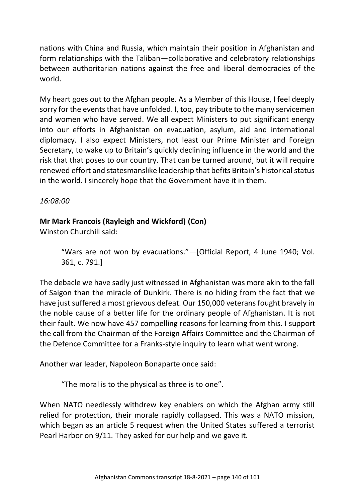nations with China and Russia, which maintain their position in Afghanistan and form relationships with the Taliban—collaborative and celebratory relationships between authoritarian nations against the free and liberal democracies of the world.

My heart goes out to the Afghan people. As a Member of this House, I feel deeply sorry for the events that have unfolded. I, too, pay tribute to the many servicemen and women who have served. We all expect Ministers to put significant energy into our efforts in Afghanistan on evacuation, asylum, aid and international diplomacy. I also expect Ministers, not least our Prime Minister and Foreign Secretary, to wake up to Britain's quickly declining influence in the world and the risk that that poses to our country. That can be turned around, but it will require renewed effort and statesmanslike leadership that befits Britain's historical status in the world. I sincerely hope that the Government have it in them.

*16:08:00*

# **Mr Mark Francois (Rayleigh and Wickford) (Con)**

Winston Churchill said:

"Wars are not won by evacuations."—[Official Report, 4 June 1940; Vol. 361, c. 791.]

The debacle we have sadly just witnessed in Afghanistan was more akin to the fall of Saigon than the miracle of Dunkirk. There is no hiding from the fact that we have just suffered a most grievous defeat. Our 150,000 veterans fought bravely in the noble cause of a better life for the ordinary people of Afghanistan. It is not their fault. We now have 457 compelling reasons for learning from this. I support the call from the Chairman of the Foreign Affairs Committee and the Chairman of the Defence Committee for a Franks-style inquiry to learn what went wrong.

Another war leader, Napoleon Bonaparte once said:

"The moral is to the physical as three is to one".

When NATO needlessly withdrew key enablers on which the Afghan army still relied for protection, their morale rapidly collapsed. This was a NATO mission, which began as an article 5 request when the United States suffered a terrorist Pearl Harbor on 9/11. They asked for our help and we gave it.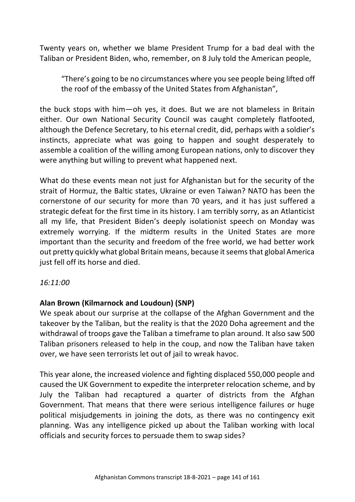Twenty years on, whether we blame President Trump for a bad deal with the Taliban or President Biden, who, remember, on 8 July told the American people,

"There's going to be no circumstances where you see people being lifted off the roof of the embassy of the United States from Afghanistan",

the buck stops with him—oh yes, it does. But we are not blameless in Britain either. Our own National Security Council was caught completely flatfooted, although the Defence Secretary, to his eternal credit, did, perhaps with a soldier's instincts, appreciate what was going to happen and sought desperately to assemble a coalition of the willing among European nations, only to discover they were anything but willing to prevent what happened next.

What do these events mean not just for Afghanistan but for the security of the strait of Hormuz, the Baltic states, Ukraine or even Taiwan? NATO has been the cornerstone of our security for more than 70 years, and it has just suffered a strategic defeat for the first time in its history. I am terribly sorry, as an Atlanticist all my life, that President Biden's deeply isolationist speech on Monday was extremely worrying. If the midterm results in the United States are more important than the security and freedom of the free world, we had better work out pretty quickly what global Britain means, because it seems that global America just fell off its horse and died.

### *16:11:00*

### **Alan Brown (Kilmarnock and Loudoun) (SNP)**

We speak about our surprise at the collapse of the Afghan Government and the takeover by the Taliban, but the reality is that the 2020 Doha agreement and the withdrawal of troops gave the Taliban a timeframe to plan around. It also saw 500 Taliban prisoners released to help in the coup, and now the Taliban have taken over, we have seen terrorists let out of jail to wreak havoc.

This year alone, the increased violence and fighting displaced 550,000 people and caused the UK Government to expedite the interpreter relocation scheme, and by July the Taliban had recaptured a quarter of districts from the Afghan Government. That means that there were serious intelligence failures or huge political misjudgements in joining the dots, as there was no contingency exit planning. Was any intelligence picked up about the Taliban working with local officials and security forces to persuade them to swap sides?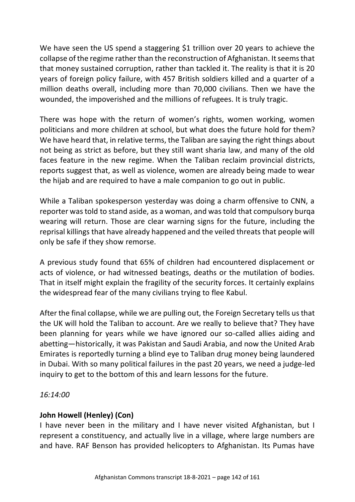We have seen the US spend a staggering \$1 trillion over 20 years to achieve the collapse of the regime rather than the reconstruction of Afghanistan. It seems that that money sustained corruption, rather than tackled it. The reality is that it is 20 years of foreign policy failure, with 457 British soldiers killed and a quarter of a million deaths overall, including more than 70,000 civilians. Then we have the wounded, the impoverished and the millions of refugees. It is truly tragic.

There was hope with the return of women's rights, women working, women politicians and more children at school, but what does the future hold for them? We have heard that, in relative terms, the Taliban are saying the right things about not being as strict as before, but they still want sharia law, and many of the old faces feature in the new regime. When the Taliban reclaim provincial districts, reports suggest that, as well as violence, women are already being made to wear the hijab and are required to have a male companion to go out in public.

While a Taliban spokesperson yesterday was doing a charm offensive to CNN, a reporter was told to stand aside, as a woman, and was told that compulsory burqa wearing will return. Those are clear warning signs for the future, including the reprisal killings that have already happened and the veiled threats that people will only be safe if they show remorse.

A previous study found that 65% of children had encountered displacement or acts of violence, or had witnessed beatings, deaths or the mutilation of bodies. That in itself might explain the fragility of the security forces. It certainly explains the widespread fear of the many civilians trying to flee Kabul.

After the final collapse, while we are pulling out, the Foreign Secretary tells us that the UK will hold the Taliban to account. Are we really to believe that? They have been planning for years while we have ignored our so-called allies aiding and abetting—historically, it was Pakistan and Saudi Arabia, and now the United Arab Emirates is reportedly turning a blind eye to Taliban drug money being laundered in Dubai. With so many political failures in the past 20 years, we need a judge-led inquiry to get to the bottom of this and learn lessons for the future.

*16:14:00*

# **John Howell (Henley) (Con)**

I have never been in the military and I have never visited Afghanistan, but I represent a constituency, and actually live in a village, where large numbers are and have. RAF Benson has provided helicopters to Afghanistan. Its Pumas have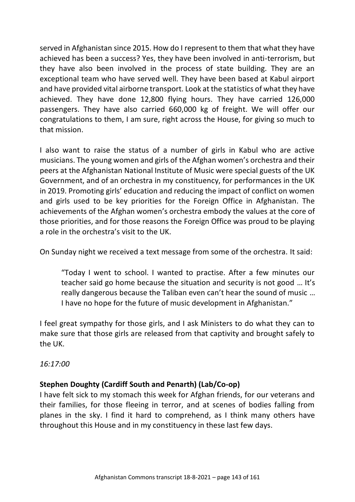served in Afghanistan since 2015. How do I represent to them that what they have achieved has been a success? Yes, they have been involved in anti-terrorism, but they have also been involved in the process of state building. They are an exceptional team who have served well. They have been based at Kabul airport and have provided vital airborne transport. Look at the statistics of what they have achieved. They have done 12,800 flying hours. They have carried 126,000 passengers. They have also carried 660,000 kg of freight. We will offer our congratulations to them, I am sure, right across the House, for giving so much to that mission.

I also want to raise the status of a number of girls in Kabul who are active musicians. The young women and girls of the Afghan women's orchestra and their peers at the Afghanistan National Institute of Music were special guests of the UK Government, and of an orchestra in my constituency, for performances in the UK in 2019. Promoting girls' education and reducing the impact of conflict on women and girls used to be key priorities for the Foreign Office in Afghanistan. The achievements of the Afghan women's orchestra embody the values at the core of those priorities, and for those reasons the Foreign Office was proud to be playing a role in the orchestra's visit to the UK.

On Sunday night we received a text message from some of the orchestra. It said:

"Today I went to school. I wanted to practise. After a few minutes our teacher said go home because the situation and security is not good … It's really dangerous because the Taliban even can't hear the sound of music … I have no hope for the future of music development in Afghanistan."

I feel great sympathy for those girls, and I ask Ministers to do what they can to make sure that those girls are released from that captivity and brought safely to the UK.

*16:17:00*

# **Stephen Doughty (Cardiff South and Penarth) (Lab/Co-op)**

I have felt sick to my stomach this week for Afghan friends, for our veterans and their families, for those fleeing in terror, and at scenes of bodies falling from planes in the sky. I find it hard to comprehend, as I think many others have throughout this House and in my constituency in these last few days.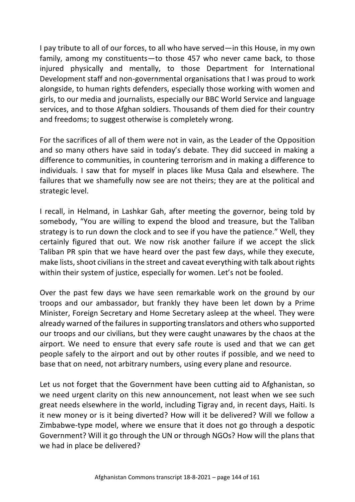I pay tribute to all of our forces, to all who have served—in this House, in my own family, among my constituents—to those 457 who never came back, to those injured physically and mentally, to those Department for International Development staff and non-governmental organisations that I was proud to work alongside, to human rights defenders, especially those working with women and girls, to our media and journalists, especially our BBC World Service and language services, and to those Afghan soldiers. Thousands of them died for their country and freedoms; to suggest otherwise is completely wrong.

For the sacrifices of all of them were not in vain, as the Leader of the Opposition and so many others have said in today's debate. They did succeed in making a difference to communities, in countering terrorism and in making a difference to individuals. I saw that for myself in places like Musa Qala and elsewhere. The failures that we shamefully now see are not theirs; they are at the political and strategic level.

I recall, in Helmand, in Lashkar Gah, after meeting the governor, being told by somebody, "You are willing to expend the blood and treasure, but the Taliban strategy is to run down the clock and to see if you have the patience." Well, they certainly figured that out. We now risk another failure if we accept the slick Taliban PR spin that we have heard over the past few days, while they execute, make lists, shoot civilians in the street and caveat everything with talk about rights within their system of justice, especially for women. Let's not be fooled.

Over the past few days we have seen remarkable work on the ground by our troops and our ambassador, but frankly they have been let down by a Prime Minister, Foreign Secretary and Home Secretary asleep at the wheel. They were already warned of the failures in supporting translators and others who supported our troops and our civilians, but they were caught unawares by the chaos at the airport. We need to ensure that every safe route is used and that we can get people safely to the airport and out by other routes if possible, and we need to base that on need, not arbitrary numbers, using every plane and resource.

Let us not forget that the Government have been cutting aid to Afghanistan, so we need urgent clarity on this new announcement, not least when we see such great needs elsewhere in the world, including Tigray and, in recent days, Haiti. Is it new money or is it being diverted? How will it be delivered? Will we follow a Zimbabwe-type model, where we ensure that it does not go through a despotic Government? Will it go through the UN or through NGOs? How will the plans that we had in place be delivered?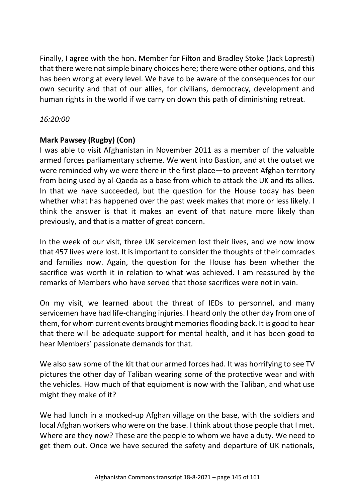Finally, I agree with the hon. Member for Filton and Bradley Stoke (Jack Lopresti) that there were not simple binary choices here; there were other options, and this has been wrong at every level. We have to be aware of the consequences for our own security and that of our allies, for civilians, democracy, development and human rights in the world if we carry on down this path of diminishing retreat.

## *16:20:00*

# **Mark Pawsey (Rugby) (Con)**

I was able to visit Afghanistan in November 2011 as a member of the valuable armed forces parliamentary scheme. We went into Bastion, and at the outset we were reminded why we were there in the first place—to prevent Afghan territory from being used by al-Qaeda as a base from which to attack the UK and its allies. In that we have succeeded, but the question for the House today has been whether what has happened over the past week makes that more or less likely. I think the answer is that it makes an event of that nature more likely than previously, and that is a matter of great concern.

In the week of our visit, three UK servicemen lost their lives, and we now know that 457 lives were lost. It is important to consider the thoughts of their comrades and families now. Again, the question for the House has been whether the sacrifice was worth it in relation to what was achieved. I am reassured by the remarks of Members who have served that those sacrifices were not in vain.

On my visit, we learned about the threat of IEDs to personnel, and many servicemen have had life-changing injuries. I heard only the other day from one of them, for whom current events brought memories flooding back. It is good to hear that there will be adequate support for mental health, and it has been good to hear Members' passionate demands for that.

We also saw some of the kit that our armed forces had. It was horrifying to see TV pictures the other day of Taliban wearing some of the protective wear and with the vehicles. How much of that equipment is now with the Taliban, and what use might they make of it?

We had lunch in a mocked-up Afghan village on the base, with the soldiers and local Afghan workers who were on the base. I think about those people that I met. Where are they now? These are the people to whom we have a duty. We need to get them out. Once we have secured the safety and departure of UK nationals,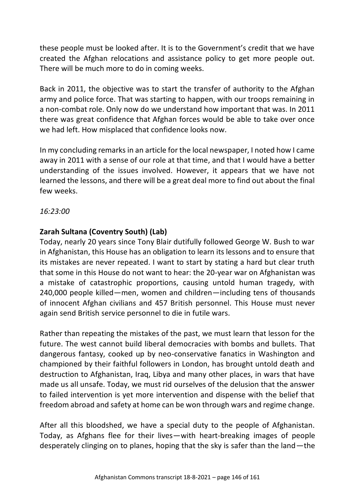these people must be looked after. It is to the Government's credit that we have created the Afghan relocations and assistance policy to get more people out. There will be much more to do in coming weeks.

Back in 2011, the objective was to start the transfer of authority to the Afghan army and police force. That was starting to happen, with our troops remaining in a non-combat role. Only now do we understand how important that was. In 2011 there was great confidence that Afghan forces would be able to take over once we had left. How misplaced that confidence looks now.

In my concluding remarks in an article for the local newspaper, I noted how I came away in 2011 with a sense of our role at that time, and that I would have a better understanding of the issues involved. However, it appears that we have not learned the lessons, and there will be a great deal more to find out about the final few weeks.

*16:23:00*

# **Zarah Sultana (Coventry South) (Lab)**

Today, nearly 20 years since Tony Blair dutifully followed George W. Bush to war in Afghanistan, this House has an obligation to learn its lessons and to ensure that its mistakes are never repeated. I want to start by stating a hard but clear truth that some in this House do not want to hear: the 20-year war on Afghanistan was a mistake of catastrophic proportions, causing untold human tragedy, with 240,000 people killed—men, women and children—including tens of thousands of innocent Afghan civilians and 457 British personnel. This House must never again send British service personnel to die in futile wars.

Rather than repeating the mistakes of the past, we must learn that lesson for the future. The west cannot build liberal democracies with bombs and bullets. That dangerous fantasy, cooked up by neo-conservative fanatics in Washington and championed by their faithful followers in London, has brought untold death and destruction to Afghanistan, Iraq, Libya and many other places, in wars that have made us all unsafe. Today, we must rid ourselves of the delusion that the answer to failed intervention is yet more intervention and dispense with the belief that freedom abroad and safety at home can be won through wars and regime change.

After all this bloodshed, we have a special duty to the people of Afghanistan. Today, as Afghans flee for their lives—with heart-breaking images of people desperately clinging on to planes, hoping that the sky is safer than the land—the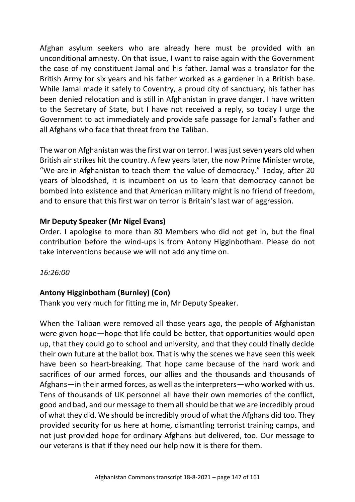Afghan asylum seekers who are already here must be provided with an unconditional amnesty. On that issue, I want to raise again with the Government the case of my constituent Jamal and his father. Jamal was a translator for the British Army for six years and his father worked as a gardener in a British base. While Jamal made it safely to Coventry, a proud city of sanctuary, his father has been denied relocation and is still in Afghanistan in grave danger. I have written to the Secretary of State, but I have not received a reply, so today I urge the Government to act immediately and provide safe passage for Jamal's father and all Afghans who face that threat from the Taliban.

The war on Afghanistan was the first war on terror. I was just seven years old when British air strikes hit the country. A few years later, the now Prime Minister wrote, "We are in Afghanistan to teach them the value of democracy." Today, after 20 years of bloodshed, it is incumbent on us to learn that democracy cannot be bombed into existence and that American military might is no friend of freedom, and to ensure that this first war on terror is Britain's last war of aggression.

# **Mr Deputy Speaker (Mr Nigel Evans)**

Order. I apologise to more than 80 Members who did not get in, but the final contribution before the wind-ups is from Antony Higginbotham. Please do not take interventions because we will not add any time on.

*16:26:00*

# **Antony Higginbotham (Burnley) (Con)**

Thank you very much for fitting me in, Mr Deputy Speaker.

When the Taliban were removed all those years ago, the people of Afghanistan were given hope—hope that life could be better, that opportunities would open up, that they could go to school and university, and that they could finally decide their own future at the ballot box. That is why the scenes we have seen this week have been so heart-breaking. That hope came because of the hard work and sacrifices of our armed forces, our allies and the thousands and thousands of Afghans—in their armed forces, as well as the interpreters—who worked with us. Tens of thousands of UK personnel all have their own memories of the conflict, good and bad, and our message to them all should be that we are incredibly proud of what they did. We should be incredibly proud of what the Afghans did too. They provided security for us here at home, dismantling terrorist training camps, and not just provided hope for ordinary Afghans but delivered, too. Our message to our veterans is that if they need our help now it is there for them.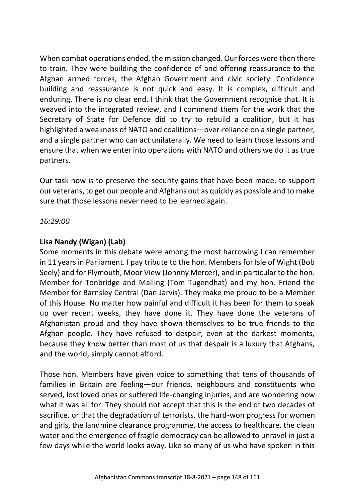When combat operations ended, the mission changed. Our forces were then there to train. They were building the confidence of and offering reassurance to the Afghan armed forces, the Afghan Government and civic society. Confidence building and reassurance is not quick and easy. It is complex, difficult and enduring. There is no clear end. I think that the Government recognise that. It is weaved into the integrated review, and I commend them for the work that the Secretary of State for Defence did to try to rebuild a coalition, but it has highlighted a weakness of NATO and coalitions—over-reliance on a single partner, and a single partner who can act unilaterally. We need to learn those lessons and ensure that when we enter into operations with NATO and others we do it as true partners.

Our task now is to preserve the security gains that have been made, to support our veterans, to get our people and Afghans out as quickly as possible and to make sure that those lessons never need to be learned again.

*16:29:00*

# **Lisa Nandy (Wigan) (Lab)**

Some moments in this debate were among the most harrowing I can remember in 11 years in Parliament. I pay tribute to the hon. Members for Isle of Wight (Bob Seely) and for Plymouth, Moor View (Johnny Mercer), and in particular to the hon. Member for Tonbridge and Malling (Tom Tugendhat) and my hon. Friend the Member for Barnsley Central (Dan Jarvis). They make me proud to be a Member of this House. No matter how painful and difficult it has been for them to speak up over recent weeks, they have done it. They have done the veterans of Afghanistan proud and they have shown themselves to be true friends to the Afghan people. They have refused to despair, even at the darkest moments, because they know better than most of us that despair is a luxury that Afghans, and the world, simply cannot afford.

Those hon. Members have given voice to something that tens of thousands of families in Britain are feeling—our friends, neighbours and constituents who served, lost loved ones or suffered life-changing injuries, and are wondering now what it was all for. They should not accept that this is the end of two decades of sacrifice, or that the degradation of terrorists, the hard-won progress for women and girls, the landmine clearance programme, the access to healthcare, the clean water and the emergence of fragile democracy can be allowed to unravel in just a few days while the world looks away. Like so many of us who have spoken in this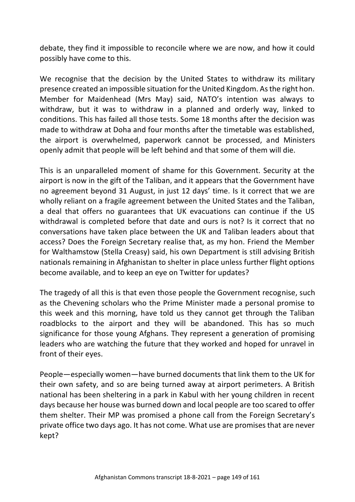debate, they find it impossible to reconcile where we are now, and how it could possibly have come to this.

We recognise that the decision by the United States to withdraw its military presence created an impossible situation for the United Kingdom. As the right hon. Member for Maidenhead (Mrs May) said, NATO's intention was always to withdraw, but it was to withdraw in a planned and orderly way, linked to conditions. This has failed all those tests. Some 18 months after the decision was made to withdraw at Doha and four months after the timetable was established, the airport is overwhelmed, paperwork cannot be processed, and Ministers openly admit that people will be left behind and that some of them will die.

This is an unparalleled moment of shame for this Government. Security at the airport is now in the gift of the Taliban, and it appears that the Government have no agreement beyond 31 August, in just 12 days' time. Is it correct that we are wholly reliant on a fragile agreement between the United States and the Taliban, a deal that offers no guarantees that UK evacuations can continue if the US withdrawal is completed before that date and ours is not? Is it correct that no conversations have taken place between the UK and Taliban leaders about that access? Does the Foreign Secretary realise that, as my hon. Friend the Member for Walthamstow (Stella Creasy) said, his own Department is still advising British nationals remaining in Afghanistan to shelter in place unless further flight options become available, and to keep an eye on Twitter for updates?

The tragedy of all this is that even those people the Government recognise, such as the Chevening scholars who the Prime Minister made a personal promise to this week and this morning, have told us they cannot get through the Taliban roadblocks to the airport and they will be abandoned. This has so much significance for those young Afghans. They represent a generation of promising leaders who are watching the future that they worked and hoped for unravel in front of their eyes.

People—especially women—have burned documents that link them to the UK for their own safety, and so are being turned away at airport perimeters. A British national has been sheltering in a park in Kabul with her young children in recent days because her house was burned down and local people are too scared to offer them shelter. Their MP was promised a phone call from the Foreign Secretary's private office two days ago. It has not come. What use are promises that are never kept?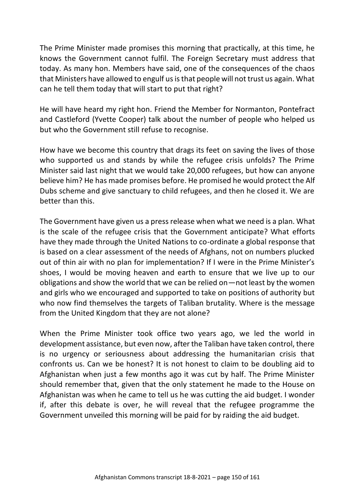The Prime Minister made promises this morning that practically, at this time, he knows the Government cannot fulfil. The Foreign Secretary must address that today. As many hon. Members have said, one of the consequences of the chaos that Ministers have allowed to engulf us is that people will not trust us again. What can he tell them today that will start to put that right?

He will have heard my right hon. Friend the Member for Normanton, Pontefract and Castleford (Yvette Cooper) talk about the number of people who helped us but who the Government still refuse to recognise.

How have we become this country that drags its feet on saving the lives of those who supported us and stands by while the refugee crisis unfolds? The Prime Minister said last night that we would take 20,000 refugees, but how can anyone believe him? He has made promises before. He promised he would protect the Alf Dubs scheme and give sanctuary to child refugees, and then he closed it. We are better than this.

The Government have given us a press release when what we need is a plan. What is the scale of the refugee crisis that the Government anticipate? What efforts have they made through the United Nations to co-ordinate a global response that is based on a clear assessment of the needs of Afghans, not on numbers plucked out of thin air with no plan for implementation? If I were in the Prime Minister's shoes, I would be moving heaven and earth to ensure that we live up to our obligations and show the world that we can be relied on—not least by the women and girls who we encouraged and supported to take on positions of authority but who now find themselves the targets of Taliban brutality. Where is the message from the United Kingdom that they are not alone?

When the Prime Minister took office two years ago, we led the world in development assistance, but even now, after the Taliban have taken control, there is no urgency or seriousness about addressing the humanitarian crisis that confronts us. Can we be honest? It is not honest to claim to be doubling aid to Afghanistan when just a few months ago it was cut by half. The Prime Minister should remember that, given that the only statement he made to the House on Afghanistan was when he came to tell us he was cutting the aid budget. I wonder if, after this debate is over, he will reveal that the refugee programme the Government unveiled this morning will be paid for by raiding the aid budget.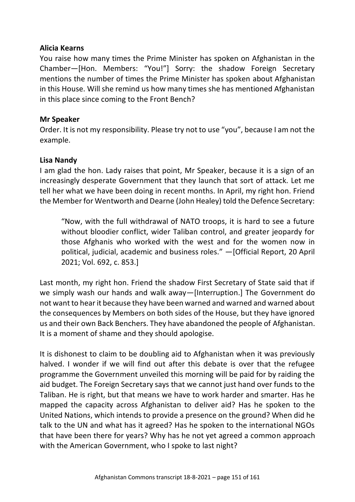#### **Alicia Kearns**

You raise how many times the Prime Minister has spoken on Afghanistan in the Chamber—[Hon. Members: "You!"] Sorry: the shadow Foreign Secretary mentions the number of times the Prime Minister has spoken about Afghanistan in this House. Will she remind us how many times she has mentioned Afghanistan in this place since coming to the Front Bench?

## **Mr Speaker**

Order. It is not my responsibility. Please try not to use "you", because I am not the example.

### **Lisa Nandy**

I am glad the hon. Lady raises that point, Mr Speaker, because it is a sign of an increasingly desperate Government that they launch that sort of attack. Let me tell her what we have been doing in recent months. In April, my right hon. Friend the Member for Wentworth and Dearne (John Healey) told the Defence Secretary:

"Now, with the full withdrawal of NATO troops, it is hard to see a future without bloodier conflict, wider Taliban control, and greater jeopardy for those Afghanis who worked with the west and for the women now in political, judicial, academic and business roles." —[Official Report, 20 April 2021; Vol. 692, c. 853.]

Last month, my right hon. Friend the shadow First Secretary of State said that if we simply wash our hands and walk away—[Interruption.] The Government do not want to hear it because they have been warned and warned and warned about the consequences by Members on both sides of the House, but they have ignored us and their own Back Benchers. They have abandoned the people of Afghanistan. It is a moment of shame and they should apologise.

It is dishonest to claim to be doubling aid to Afghanistan when it was previously halved. I wonder if we will find out after this debate is over that the refugee programme the Government unveiled this morning will be paid for by raiding the aid budget. The Foreign Secretary says that we cannot just hand over funds to the Taliban. He is right, but that means we have to work harder and smarter. Has he mapped the capacity across Afghanistan to deliver aid? Has he spoken to the United Nations, which intends to provide a presence on the ground? When did he talk to the UN and what has it agreed? Has he spoken to the international NGOs that have been there for years? Why has he not yet agreed a common approach with the American Government, who I spoke to last night?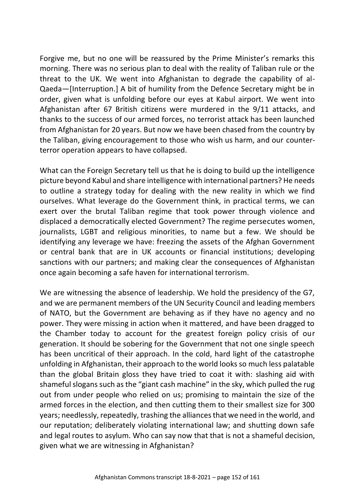Forgive me, but no one will be reassured by the Prime Minister's remarks this morning. There was no serious plan to deal with the reality of Taliban rule or the threat to the UK. We went into Afghanistan to degrade the capability of al-Qaeda—[Interruption.] A bit of humility from the Defence Secretary might be in order, given what is unfolding before our eyes at Kabul airport. We went into Afghanistan after 67 British citizens were murdered in the 9/11 attacks, and thanks to the success of our armed forces, no terrorist attack has been launched from Afghanistan for 20 years. But now we have been chased from the country by the Taliban, giving encouragement to those who wish us harm, and our counterterror operation appears to have collapsed.

What can the Foreign Secretary tell us that he is doing to build up the intelligence picture beyond Kabul and share intelligence with international partners? He needs to outline a strategy today for dealing with the new reality in which we find ourselves. What leverage do the Government think, in practical terms, we can exert over the brutal Taliban regime that took power through violence and displaced a democratically elected Government? The regime persecutes women, journalists, LGBT and religious minorities, to name but a few. We should be identifying any leverage we have: freezing the assets of the Afghan Government or central bank that are in UK accounts or financial institutions; developing sanctions with our partners; and making clear the consequences of Afghanistan once again becoming a safe haven for international terrorism.

We are witnessing the absence of leadership. We hold the presidency of the G7, and we are permanent members of the UN Security Council and leading members of NATO, but the Government are behaving as if they have no agency and no power. They were missing in action when it mattered, and have been dragged to the Chamber today to account for the greatest foreign policy crisis of our generation. It should be sobering for the Government that not one single speech has been uncritical of their approach. In the cold, hard light of the catastrophe unfolding in Afghanistan, their approach to the world looks so much less palatable than the global Britain gloss they have tried to coat it with: slashing aid with shameful slogans such as the "giant cash machine" in the sky, which pulled the rug out from under people who relied on us; promising to maintain the size of the armed forces in the election, and then cutting them to their smallest size for 300 years; needlessly, repeatedly, trashing the alliances that we need in the world, and our reputation; deliberately violating international law; and shutting down safe and legal routes to asylum. Who can say now that that is not a shameful decision, given what we are witnessing in Afghanistan?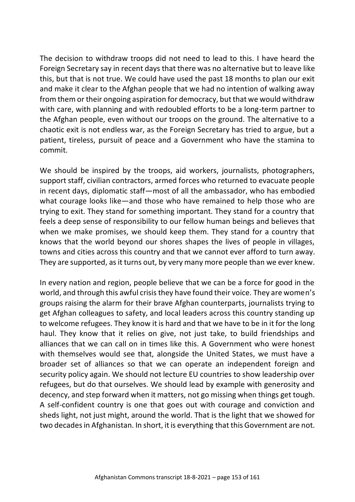The decision to withdraw troops did not need to lead to this. I have heard the Foreign Secretary say in recent days that there was no alternative but to leave like this, but that is not true. We could have used the past 18 months to plan our exit and make it clear to the Afghan people that we had no intention of walking away from them or their ongoing aspiration for democracy, but that we would withdraw with care, with planning and with redoubled efforts to be a long-term partner to the Afghan people, even without our troops on the ground. The alternative to a chaotic exit is not endless war, as the Foreign Secretary has tried to argue, but a patient, tireless, pursuit of peace and a Government who have the stamina to commit.

We should be inspired by the troops, aid workers, journalists, photographers, support staff, civilian contractors, armed forces who returned to evacuate people in recent days, diplomatic staff—most of all the ambassador, who has embodied what courage looks like—and those who have remained to help those who are trying to exit. They stand for something important. They stand for a country that feels a deep sense of responsibility to our fellow human beings and believes that when we make promises, we should keep them. They stand for a country that knows that the world beyond our shores shapes the lives of people in villages, towns and cities across this country and that we cannot ever afford to turn away. They are supported, as it turns out, by very many more people than we ever knew.

In every nation and region, people believe that we can be a force for good in the world, and through this awful crisis they have found their voice. They are women's groups raising the alarm for their brave Afghan counterparts, journalists trying to get Afghan colleagues to safety, and local leaders across this country standing up to welcome refugees. They know it is hard and that we have to be in it for the long haul. They know that it relies on give, not just take, to build friendships and alliances that we can call on in times like this. A Government who were honest with themselves would see that, alongside the United States, we must have a broader set of alliances so that we can operate an independent foreign and security policy again. We should not lecture EU countries to show leadership over refugees, but do that ourselves. We should lead by example with generosity and decency, and step forward when it matters, not go missing when things get tough. A self-confident country is one that goes out with courage and conviction and sheds light, not just might, around the world. That is the light that we showed for two decades in Afghanistan. In short, it is everything that this Government are not.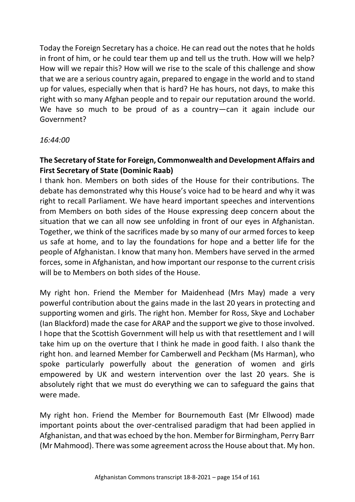Today the Foreign Secretary has a choice. He can read out the notes that he holds in front of him, or he could tear them up and tell us the truth. How will we help? How will we repair this? How will we rise to the scale of this challenge and show that we are a serious country again, prepared to engage in the world and to stand up for values, especially when that is hard? He has hours, not days, to make this right with so many Afghan people and to repair our reputation around the world. We have so much to be proud of as a country-can it again include our Government?

### *16:44:00*

# **The Secretary of State for Foreign, Commonwealth and Development Affairs and First Secretary of State (Dominic Raab)**

I thank hon. Members on both sides of the House for their contributions. The debate has demonstrated why this House's voice had to be heard and why it was right to recall Parliament. We have heard important speeches and interventions from Members on both sides of the House expressing deep concern about the situation that we can all now see unfolding in front of our eyes in Afghanistan. Together, we think of the sacrifices made by so many of our armed forces to keep us safe at home, and to lay the foundations for hope and a better life for the people of Afghanistan. I know that many hon. Members have served in the armed forces, some in Afghanistan, and how important our response to the current crisis will be to Members on both sides of the House.

My right hon. Friend the Member for Maidenhead (Mrs May) made a very powerful contribution about the gains made in the last 20 years in protecting and supporting women and girls. The right hon. Member for Ross, Skye and Lochaber (Ian Blackford) made the case for ARAP and the support we give to those involved. I hope that the Scottish Government will help us with that resettlement and I will take him up on the overture that I think he made in good faith. I also thank the right hon. and learned Member for Camberwell and Peckham (Ms Harman), who spoke particularly powerfully about the generation of women and girls empowered by UK and western intervention over the last 20 years. She is absolutely right that we must do everything we can to safeguard the gains that were made.

My right hon. Friend the Member for Bournemouth East (Mr Ellwood) made important points about the over-centralised paradigm that had been applied in Afghanistan, and that was echoed by the hon. Member for Birmingham, Perry Barr (Mr Mahmood). There was some agreement across the House about that. My hon.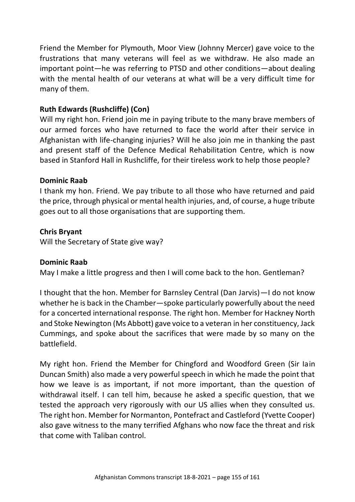Friend the Member for Plymouth, Moor View (Johnny Mercer) gave voice to the frustrations that many veterans will feel as we withdraw. He also made an important point—he was referring to PTSD and other conditions—about dealing with the mental health of our veterans at what will be a very difficult time for many of them.

## **Ruth Edwards (Rushcliffe) (Con)**

Will my right hon. Friend join me in paying tribute to the many brave members of our armed forces who have returned to face the world after their service in Afghanistan with life-changing injuries? Will he also join me in thanking the past and present staff of the Defence Medical Rehabilitation Centre, which is now based in Stanford Hall in Rushcliffe, for their tireless work to help those people?

### **Dominic Raab**

I thank my hon. Friend. We pay tribute to all those who have returned and paid the price, through physical or mental health injuries, and, of course, a huge tribute goes out to all those organisations that are supporting them.

### **Chris Bryant**

Will the Secretary of State give way?

#### **Dominic Raab**

May I make a little progress and then I will come back to the hon. Gentleman?

I thought that the hon. Member for Barnsley Central (Dan Jarvis)—I do not know whether he is back in the Chamber—spoke particularly powerfully about the need for a concerted international response. The right hon. Member for Hackney North and Stoke Newington (Ms Abbott) gave voice to a veteran in her constituency, Jack Cummings, and spoke about the sacrifices that were made by so many on the battlefield.

My right hon. Friend the Member for Chingford and Woodford Green (Sir Iain Duncan Smith) also made a very powerful speech in which he made the point that how we leave is as important, if not more important, than the question of withdrawal itself. I can tell him, because he asked a specific question, that we tested the approach very rigorously with our US allies when they consulted us. The right hon. Member for Normanton, Pontefract and Castleford (Yvette Cooper) also gave witness to the many terrified Afghans who now face the threat and risk that come with Taliban control.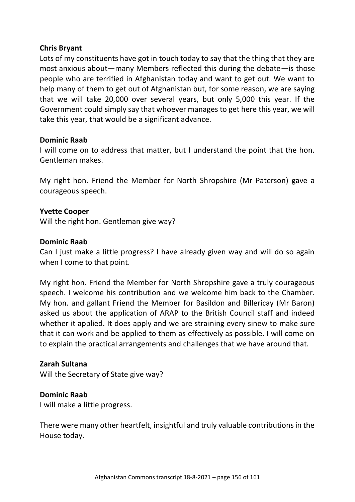### **Chris Bryant**

Lots of my constituents have got in touch today to say that the thing that they are most anxious about—many Members reflected this during the debate—is those people who are terrified in Afghanistan today and want to get out. We want to help many of them to get out of Afghanistan but, for some reason, we are saying that we will take 20,000 over several years, but only 5,000 this year. If the Government could simply say that whoever manages to get here this year, we will take this year, that would be a significant advance.

#### **Dominic Raab**

I will come on to address that matter, but I understand the point that the hon. Gentleman makes.

My right hon. Friend the Member for North Shropshire (Mr Paterson) gave a courageous speech.

### **Yvette Cooper**

Will the right hon. Gentleman give way?

### **Dominic Raab**

Can I just make a little progress? I have already given way and will do so again when I come to that point.

My right hon. Friend the Member for North Shropshire gave a truly courageous speech. I welcome his contribution and we welcome him back to the Chamber. My hon. and gallant Friend the Member for Basildon and Billericay (Mr Baron) asked us about the application of ARAP to the British Council staff and indeed whether it applied. It does apply and we are straining every sinew to make sure that it can work and be applied to them as effectively as possible. I will come on to explain the practical arrangements and challenges that we have around that.

#### **Zarah Sultana**

Will the Secretary of State give way?

## **Dominic Raab**

I will make a little progress.

There were many other heartfelt, insightful and truly valuable contributions in the House today.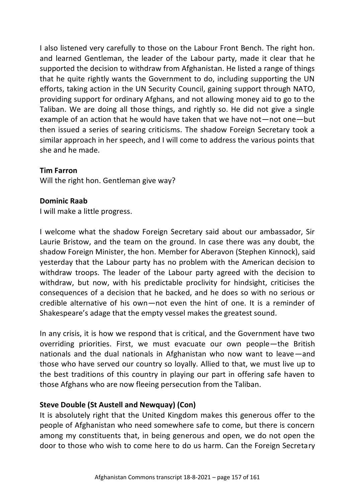I also listened very carefully to those on the Labour Front Bench. The right hon. and learned Gentleman, the leader of the Labour party, made it clear that he supported the decision to withdraw from Afghanistan. He listed a range of things that he quite rightly wants the Government to do, including supporting the UN efforts, taking action in the UN Security Council, gaining support through NATO, providing support for ordinary Afghans, and not allowing money aid to go to the Taliban. We are doing all those things, and rightly so. He did not give a single example of an action that he would have taken that we have not—not one—but then issued a series of searing criticisms. The shadow Foreign Secretary took a similar approach in her speech, and I will come to address the various points that she and he made.

#### **Tim Farron**

Will the right hon. Gentleman give way?

#### **Dominic Raab**

I will make a little progress.

I welcome what the shadow Foreign Secretary said about our ambassador, Sir Laurie Bristow, and the team on the ground. In case there was any doubt, the shadow Foreign Minister, the hon. Member for Aberavon (Stephen Kinnock), said yesterday that the Labour party has no problem with the American decision to withdraw troops. The leader of the Labour party agreed with the decision to withdraw, but now, with his predictable proclivity for hindsight, criticises the consequences of a decision that he backed, and he does so with no serious or credible alternative of his own—not even the hint of one. It is a reminder of Shakespeare's adage that the empty vessel makes the greatest sound.

In any crisis, it is how we respond that is critical, and the Government have two overriding priorities. First, we must evacuate our own people—the British nationals and the dual nationals in Afghanistan who now want to leave—and those who have served our country so loyally. Allied to that, we must live up to the best traditions of this country in playing our part in offering safe haven to those Afghans who are now fleeing persecution from the Taliban.

#### **Steve Double (St Austell and Newquay) (Con)**

It is absolutely right that the United Kingdom makes this generous offer to the people of Afghanistan who need somewhere safe to come, but there is concern among my constituents that, in being generous and open, we do not open the door to those who wish to come here to do us harm. Can the Foreign Secretary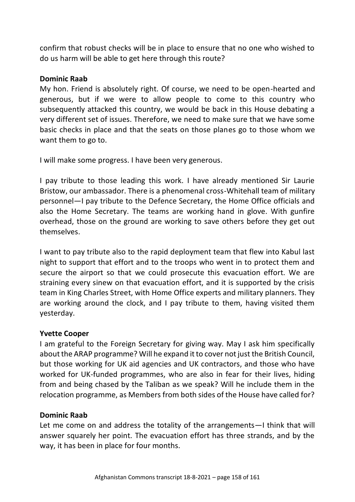confirm that robust checks will be in place to ensure that no one who wished to do us harm will be able to get here through this route?

#### **Dominic Raab**

My hon. Friend is absolutely right. Of course, we need to be open-hearted and generous, but if we were to allow people to come to this country who subsequently attacked this country, we would be back in this House debating a very different set of issues. Therefore, we need to make sure that we have some basic checks in place and that the seats on those planes go to those whom we want them to go to.

I will make some progress. I have been very generous.

I pay tribute to those leading this work. I have already mentioned Sir Laurie Bristow, our ambassador. There is a phenomenal cross-Whitehall team of military personnel—I pay tribute to the Defence Secretary, the Home Office officials and also the Home Secretary. The teams are working hand in glove. With gunfire overhead, those on the ground are working to save others before they get out themselves.

I want to pay tribute also to the rapid deployment team that flew into Kabul last night to support that effort and to the troops who went in to protect them and secure the airport so that we could prosecute this evacuation effort. We are straining every sinew on that evacuation effort, and it is supported by the crisis team in King Charles Street, with Home Office experts and military planners. They are working around the clock, and I pay tribute to them, having visited them yesterday.

## **Yvette Cooper**

I am grateful to the Foreign Secretary for giving way. May I ask him specifically about the ARAP programme? Will he expand it to cover not just the British Council, but those working for UK aid agencies and UK contractors, and those who have worked for UK-funded programmes, who are also in fear for their lives, hiding from and being chased by the Taliban as we speak? Will he include them in the relocation programme, as Members from both sides of the House have called for?

## **Dominic Raab**

Let me come on and address the totality of the arrangements—I think that will answer squarely her point. The evacuation effort has three strands, and by the way, it has been in place for four months.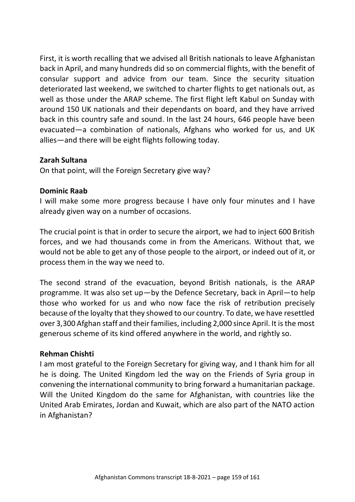First, it is worth recalling that we advised all British nationals to leave Afghanistan back in April, and many hundreds did so on commercial flights, with the benefit of consular support and advice from our team. Since the security situation deteriorated last weekend, we switched to charter flights to get nationals out, as well as those under the ARAP scheme. The first flight left Kabul on Sunday with around 150 UK nationals and their dependants on board, and they have arrived back in this country safe and sound. In the last 24 hours, 646 people have been evacuated—a combination of nationals, Afghans who worked for us, and UK allies—and there will be eight flights following today.

### **Zarah Sultana**

On that point, will the Foreign Secretary give way?

### **Dominic Raab**

I will make some more progress because I have only four minutes and I have already given way on a number of occasions.

The crucial point is that in order to secure the airport, we had to inject 600 British forces, and we had thousands come in from the Americans. Without that, we would not be able to get any of those people to the airport, or indeed out of it, or process them in the way we need to.

The second strand of the evacuation, beyond British nationals, is the ARAP programme. It was also set up—by the Defence Secretary, back in April—to help those who worked for us and who now face the risk of retribution precisely because of the loyalty that they showed to our country. To date, we have resettled over 3,300 Afghan staff and their families, including 2,000 since April. It is the most generous scheme of its kind offered anywhere in the world, and rightly so.

#### **Rehman Chishti**

I am most grateful to the Foreign Secretary for giving way, and I thank him for all he is doing. The United Kingdom led the way on the Friends of Syria group in convening the international community to bring forward a humanitarian package. Will the United Kingdom do the same for Afghanistan, with countries like the United Arab Emirates, Jordan and Kuwait, which are also part of the NATO action in Afghanistan?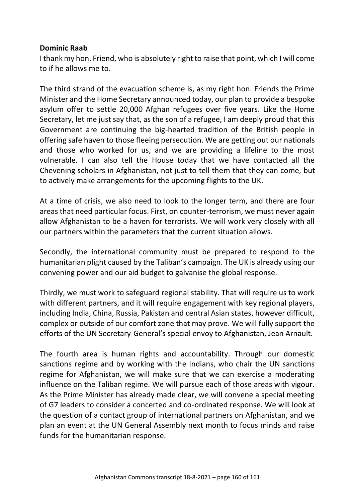#### **Dominic Raab**

I thank my hon. Friend, who is absolutely right to raise that point, which I will come to if he allows me to.

The third strand of the evacuation scheme is, as my right hon. Friends the Prime Minister and the Home Secretary announced today, our plan to provide a bespoke asylum offer to settle 20,000 Afghan refugees over five years. Like the Home Secretary, let me just say that, as the son of a refugee, I am deeply proud that this Government are continuing the big-hearted tradition of the British people in offering safe haven to those fleeing persecution. We are getting out our nationals and those who worked for us, and we are providing a lifeline to the most vulnerable. I can also tell the House today that we have contacted all the Chevening scholars in Afghanistan, not just to tell them that they can come, but to actively make arrangements for the upcoming flights to the UK.

At a time of crisis, we also need to look to the longer term, and there are four areas that need particular focus. First, on counter-terrorism, we must never again allow Afghanistan to be a haven for terrorists. We will work very closely with all our partners within the parameters that the current situation allows.

Secondly, the international community must be prepared to respond to the humanitarian plight caused by the Taliban's campaign. The UK is already using our convening power and our aid budget to galvanise the global response.

Thirdly, we must work to safeguard regional stability. That will require us to work with different partners, and it will require engagement with key regional players, including India, China, Russia, Pakistan and central Asian states, however difficult, complex or outside of our comfort zone that may prove. We will fully support the efforts of the UN Secretary-General's special envoy to Afghanistan, Jean Arnault.

The fourth area is human rights and accountability. Through our domestic sanctions regime and by working with the Indians, who chair the UN sanctions regime for Afghanistan, we will make sure that we can exercise a moderating influence on the Taliban regime. We will pursue each of those areas with vigour. As the Prime Minister has already made clear, we will convene a special meeting of G7 leaders to consider a concerted and co-ordinated response. We will look at the question of a contact group of international partners on Afghanistan, and we plan an event at the UN General Assembly next month to focus minds and raise funds for the humanitarian response.